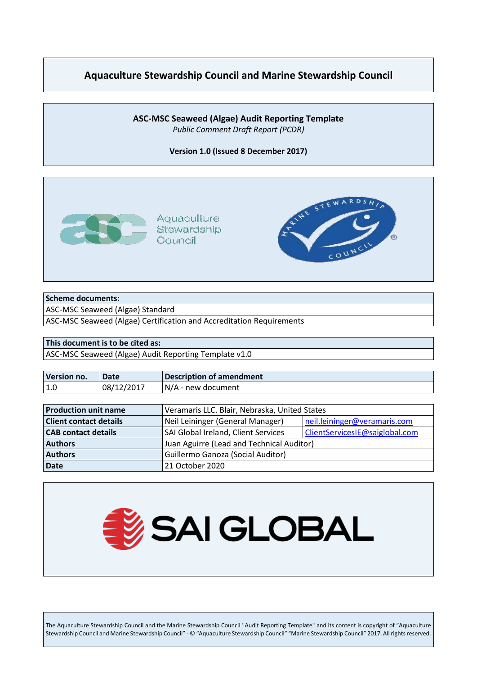# **Aquaculture Stewardship Council and Marine Stewardship Council**

#### **ASC-MSC Seaweed (Algae) Audit Reporting Template** *Public Comment Draft Report (PCDR)*

**Version 1.0 (Issued 8 December 2017)**



#### **Scheme documents:**

ASC-MSC Seaweed (Algae) Standard

ASC-MSC Seaweed (Algae) Certification and Accreditation Requirements

#### **This document is to be cited as:**

ASC-MSC Seaweed (Algae) Audit Reporting Template v1.0

| Version no. | l Date     | Description of amendment |
|-------------|------------|--------------------------|
| l 1.0       | 08/12/2017 | N/A - new document       |

| <b>Production unit name</b>   | Veramaris LLC. Blair, Nebraska, United States                    |                                |
|-------------------------------|------------------------------------------------------------------|--------------------------------|
| <b>Client contact details</b> | Neil Leininger (General Manager)<br>neil.leininger@veramaris.com |                                |
| <b>CAB</b> contact details    | SAI Global Ireland, Client Services                              | ClientServicesIE@saiglobal.com |
| <b>Authors</b>                | Juan Aguirre (Lead and Technical Auditor)                        |                                |
| <b>Authors</b>                | Guillermo Ganoza (Social Auditor)                                |                                |
| <b>Date</b>                   | 21 October 2020                                                  |                                |



The Aquaculture Stewardship Council and the Marine Stewardship Council "Audit Reporting Template" and its content is copyright of "Aquaculture Stewardship Council and Marine Stewardship Council" - © "Aquaculture Stewardship Council" "Marine Stewardship Council" 2017. All rights reserved.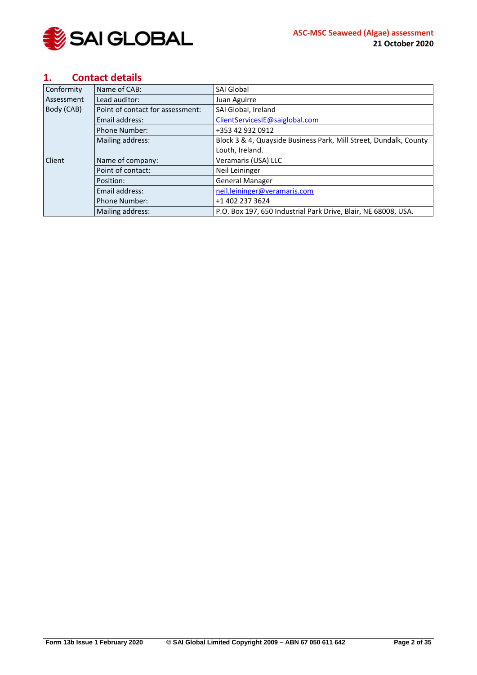

## <span id="page-1-0"></span>**1. Contact details**

| Conformity | Name of CAB:                     | <b>SAI Global</b>                                                 |
|------------|----------------------------------|-------------------------------------------------------------------|
| Assessment | Lead auditor:                    | Juan Aguirre                                                      |
| Body (CAB) | Point of contact for assessment: | SAI Global, Ireland                                               |
|            | Email address:                   | ClientServicesIE@saiglobal.com                                    |
|            | <b>Phone Number:</b>             | +353 42 932 0912                                                  |
|            | Mailing address:                 | Block 3 & 4, Quayside Business Park, Mill Street, Dundalk, County |
|            |                                  | Louth, Ireland.                                                   |
| Client     | Name of company:                 | Veramaris (USA) LLC                                               |
|            | Point of contact:                | Neil Leininger                                                    |
|            | Position:                        | <b>General Manager</b>                                            |
|            | Email address:                   | neil.leininger@veramaris.com                                      |
|            | <b>Phone Number:</b>             | +1 402 237 3624                                                   |
|            | Mailing address:                 | P.O. Box 197, 650 Industrial Park Drive, Blair, NE 68008, USA.    |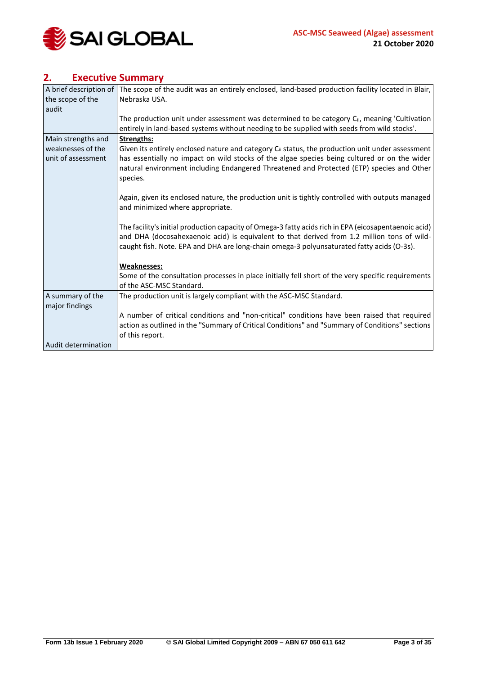

# <span id="page-2-0"></span>**2. Executive Summary**

| A brief description of | The scope of the audit was an entirely enclosed, land-based production facility located in Blair,            |
|------------------------|--------------------------------------------------------------------------------------------------------------|
| the scope of the       | Nebraska USA.                                                                                                |
| audit                  |                                                                                                              |
|                        | The production unit under assessment was determined to be category $C_{ii}$ , meaning 'Cultivation           |
|                        | entirely in land-based systems without needing to be supplied with seeds from wild stocks'.                  |
| Main strengths and     | <b>Strengths:</b>                                                                                            |
| weaknesses of the      | Given its entirely enclosed nature and category C <sub>ii</sub> status, the production unit under assessment |
| unit of assessment     | has essentially no impact on wild stocks of the algae species being cultured or on the wider                 |
|                        | natural environment including Endangered Threatened and Protected (ETP) species and Other                    |
|                        | species.                                                                                                     |
|                        |                                                                                                              |
|                        | Again, given its enclosed nature, the production unit is tightly controlled with outputs managed             |
|                        | and minimized where appropriate.                                                                             |
|                        | The facility's initial production capacity of Omega-3 fatty acids rich in EPA (eicosapentaenoic acid)        |
|                        | and DHA (docosahexaenoic acid) is equivalent to that derived from 1.2 million tons of wild-                  |
|                        | caught fish. Note. EPA and DHA are long-chain omega-3 polyunsaturated fatty acids (O-3s).                    |
|                        |                                                                                                              |
|                        | <b>Weaknesses:</b>                                                                                           |
|                        | Some of the consultation processes in place initially fell short of the very specific requirements           |
|                        | of the ASC-MSC Standard.                                                                                     |
| A summary of the       | The production unit is largely compliant with the ASC-MSC Standard.                                          |
| major findings         |                                                                                                              |
|                        | A number of critical conditions and "non-critical" conditions have been raised that required                 |
|                        | action as outlined in the "Summary of Critical Conditions" and "Summary of Conditions" sections              |
|                        | of this report.                                                                                              |
| Audit determination    |                                                                                                              |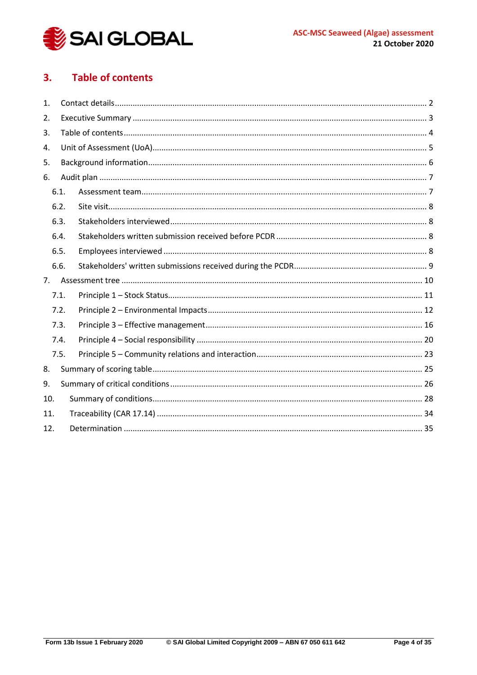

#### <span id="page-3-0"></span>**Table of contents**  $3.$

| 1.  |      |  |  |  |  |
|-----|------|--|--|--|--|
| 2.  |      |  |  |  |  |
| 3.  |      |  |  |  |  |
| 4.  |      |  |  |  |  |
| 5.  |      |  |  |  |  |
| 6.  |      |  |  |  |  |
|     | 6.1. |  |  |  |  |
|     | 6.2. |  |  |  |  |
|     | 6.3. |  |  |  |  |
|     | 6.4. |  |  |  |  |
|     | 6.5. |  |  |  |  |
|     | 6.6. |  |  |  |  |
| 7.  |      |  |  |  |  |
|     | 7.1. |  |  |  |  |
|     | 7.2. |  |  |  |  |
|     | 7.3. |  |  |  |  |
|     | 7.4. |  |  |  |  |
|     | 7.5. |  |  |  |  |
| 8.  |      |  |  |  |  |
| 9.  |      |  |  |  |  |
| 10. |      |  |  |  |  |
| 11. |      |  |  |  |  |
| 12. |      |  |  |  |  |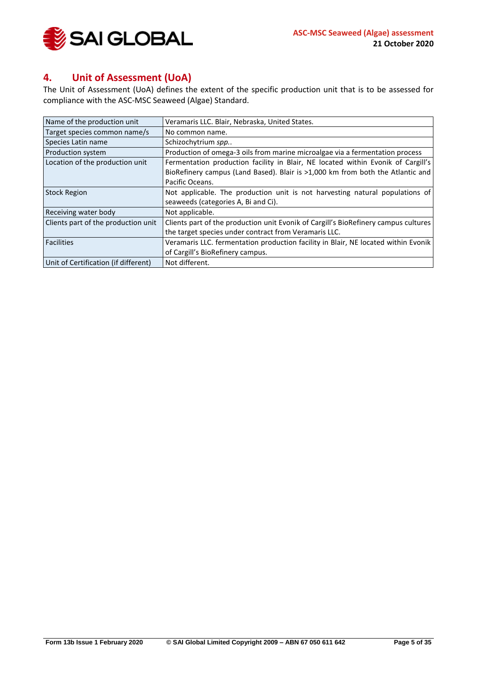

# <span id="page-4-0"></span>**4. Unit of Assessment (UoA)**

The Unit of Assessment (UoA) defines the extent of the specific production unit that is to be assessed for compliance with the ASC-MSC Seaweed (Algae) Standard.

| Name of the production unit          | Veramaris LLC. Blair, Nebraska, United States.                                      |  |
|--------------------------------------|-------------------------------------------------------------------------------------|--|
| Target species common name/s         | No common name.                                                                     |  |
| Species Latin name                   | Schizochytrium spp                                                                  |  |
| Production system                    | Production of omega-3 oils from marine microalgae via a fermentation process        |  |
| Location of the production unit      | Fermentation production facility in Blair, NE located within Evonik of Cargill's    |  |
|                                      | BioRefinery campus (Land Based). Blair is >1,000 km from both the Atlantic and      |  |
|                                      | Pacific Oceans.                                                                     |  |
| <b>Stock Region</b>                  | Not applicable. The production unit is not harvesting natural populations of        |  |
|                                      | seaweeds (categories A, Bi and Ci).                                                 |  |
| Receiving water body                 | Not applicable.                                                                     |  |
| Clients part of the production unit  | Clients part of the production unit Evonik of Cargill's BioRefinery campus cultures |  |
|                                      | the target species under contract from Veramaris LLC.                               |  |
| <b>Facilities</b>                    | Veramaris LLC. fermentation production facility in Blair, NE located within Evonik  |  |
|                                      | of Cargill's BioRefinery campus.                                                    |  |
| Unit of Certification (if different) | Not different.                                                                      |  |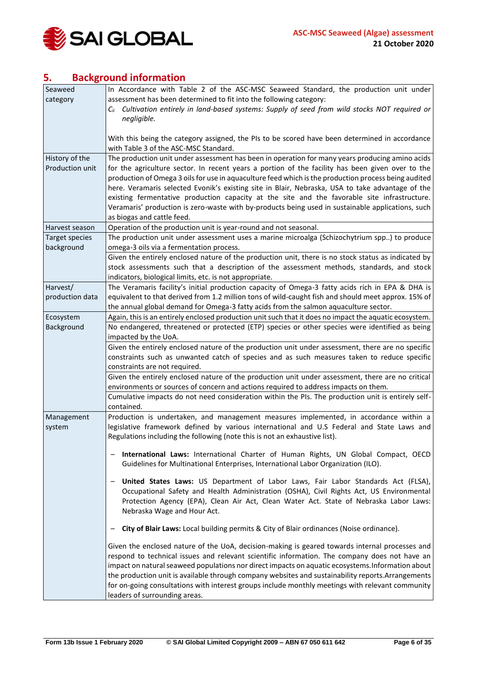

# <span id="page-5-0"></span>**5. Background information**

| Seaweed         | In Accordance with Table 2 of the ASC-MSC Seaweed Standard, the production unit under                  |
|-----------------|--------------------------------------------------------------------------------------------------------|
| category        | assessment has been determined to fit into the following category:                                     |
|                 | $C_{ii}$ Cultivation entirely in land-based systems: Supply of seed from wild stocks NOT required or   |
|                 | negligible.                                                                                            |
|                 |                                                                                                        |
|                 | With this being the category assigned, the PIs to be scored have been determined in accordance         |
|                 | with Table 3 of the ASC-MSC Standard.                                                                  |
| History of the  | The production unit under assessment has been in operation for many years producing amino acids        |
| Production unit | for the agriculture sector. In recent years a portion of the facility has been given over to the       |
|                 | production of Omega 3 oils for use in aquaculture feed which is the production process being audited   |
|                 | here. Veramaris selected Evonik's existing site in Blair, Nebraska, USA to take advantage of the       |
|                 | existing fermentative production capacity at the site and the favorable site infrastructure.           |
|                 | Veramaris' production is zero-waste with by-products being used in sustainable applications, such      |
|                 | as biogas and cattle feed.                                                                             |
| Harvest season  | Operation of the production unit is year-round and not seasonal.                                       |
| Target species  | The production unit under assessment uses a marine microalga (Schizochytrium spp) to produce           |
| background      | omega-3 oils via a fermentation process.                                                               |
|                 | Given the entirely enclosed nature of the production unit, there is no stock status as indicated by    |
|                 | stock assessments such that a description of the assessment methods, standards, and stock              |
|                 | indicators, biological limits, etc. is not appropriate.                                                |
| Harvest/        | The Veramaris facility's initial production capacity of Omega-3 fatty acids rich in EPA & DHA is       |
| production data | equivalent to that derived from 1.2 million tons of wild-caught fish and should meet approx. 15% of    |
|                 | the annual global demand for Omega-3 fatty acids from the salmon aquaculture sector.                   |
| Ecosystem       | Again, this is an entirely enclosed production unit such that it does no impact the aquatic ecosystem. |
| Background      | No endangered, threatened or protected (ETP) species or other species were identified as being         |
|                 | impacted by the UoA.                                                                                   |
|                 | Given the entirely enclosed nature of the production unit under assessment, there are no specific      |
|                 | constraints such as unwanted catch of species and as such measures taken to reduce specific            |
|                 | constraints are not required.                                                                          |
|                 | Given the entirely enclosed nature of the production unit under assessment, there are no critical      |
|                 | environments or sources of concern and actions required to address impacts on them.                    |
|                 | Cumulative impacts do not need consideration within the PIs. The production unit is entirely self-     |
|                 | contained.                                                                                             |
| Management      | Production is undertaken, and management measures implemented, in accordance within a                  |
| system          | legislative framework defined by various international and U.S Federal and State Laws and              |
|                 | Regulations including the following (note this is not an exhaustive list).                             |
|                 |                                                                                                        |
|                 | International Laws: International Charter of Human Rights, UN Global Compact, OECD                     |
|                 | Guidelines for Multinational Enterprises, International Labor Organization (ILO).                      |
|                 | United States Laws: US Department of Labor Laws, Fair Labor Standards Act (FLSA),<br>-                 |
|                 | Occupational Safety and Health Administration (OSHA), Civil Rights Act, US Environmental               |
|                 | Protection Agency (EPA), Clean Air Act, Clean Water Act. State of Nebraska Labor Laws:                 |
|                 | Nebraska Wage and Hour Act.                                                                            |
|                 |                                                                                                        |
|                 | City of Blair Laws: Local building permits & City of Blair ordinances (Noise ordinance).               |
|                 | Given the enclosed nature of the UoA, decision-making is geared towards internal processes and         |
|                 | respond to technical issues and relevant scientific information. The company does not have an          |
|                 | impact on natural seaweed populations nor direct impacts on aquatic ecosystems. Information about      |
|                 | the production unit is available through company websites and sustainability reports. Arrangements     |
|                 | for on-going consultations with interest groups include monthly meetings with relevant community       |
|                 | leaders of surrounding areas.                                                                          |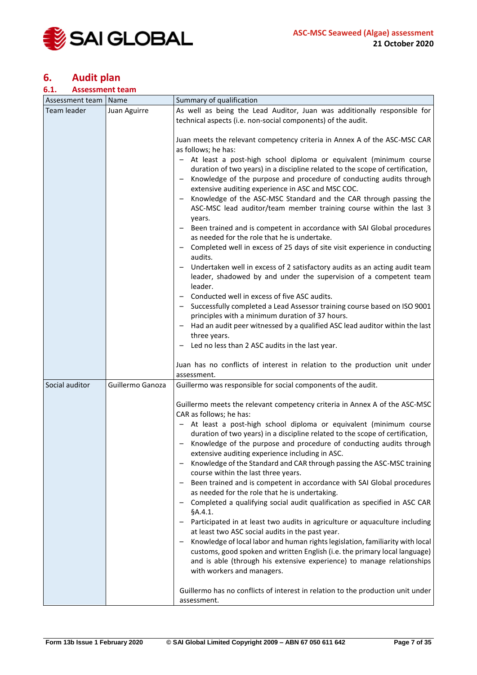

# <span id="page-6-0"></span>**6. Audit plan**

#### <span id="page-6-1"></span>**6.1. Assessment team**

| Assessment team | Name             | Summary of qualification                                                                                                                                                                                                                                                                                                                                                                                                                                                                                                                                                                                                                                                                                                                                                                                                                                                                                                                                                                                                                                                                                                                                                                                                                                           |  |
|-----------------|------------------|--------------------------------------------------------------------------------------------------------------------------------------------------------------------------------------------------------------------------------------------------------------------------------------------------------------------------------------------------------------------------------------------------------------------------------------------------------------------------------------------------------------------------------------------------------------------------------------------------------------------------------------------------------------------------------------------------------------------------------------------------------------------------------------------------------------------------------------------------------------------------------------------------------------------------------------------------------------------------------------------------------------------------------------------------------------------------------------------------------------------------------------------------------------------------------------------------------------------------------------------------------------------|--|
| Team leader     | Juan Aguirre     | As well as being the Lead Auditor, Juan was additionally responsible for                                                                                                                                                                                                                                                                                                                                                                                                                                                                                                                                                                                                                                                                                                                                                                                                                                                                                                                                                                                                                                                                                                                                                                                           |  |
|                 |                  | technical aspects (i.e. non-social components) of the audit.                                                                                                                                                                                                                                                                                                                                                                                                                                                                                                                                                                                                                                                                                                                                                                                                                                                                                                                                                                                                                                                                                                                                                                                                       |  |
|                 |                  | Juan meets the relevant competency criteria in Annex A of the ASC-MSC CAR<br>as follows; he has:<br>- At least a post-high school diploma or equivalent (minimum course<br>duration of two years) in a discipline related to the scope of certification,<br>Knowledge of the purpose and procedure of conducting audits through<br>-<br>extensive auditing experience in ASC and MSC COC.<br>Knowledge of the ASC-MSC Standard and the CAR through passing the<br>ASC-MSC lead auditor/team member training course within the last 3<br>years.<br>- Been trained and is competent in accordance with SAI Global procedures<br>as needed for the role that he is undertake.<br>Completed well in excess of 25 days of site visit experience in conducting<br>audits.<br>Undertaken well in excess of 2 satisfactory audits as an acting audit team<br>leader, shadowed by and under the supervision of a competent team<br>leader.<br>Conducted well in excess of five ASC audits.<br>Successfully completed a Lead Assessor training course based on ISO 9001<br>principles with a minimum duration of 37 hours.<br>Had an audit peer witnessed by a qualified ASC lead auditor within the last<br>three years.<br>Led no less than 2 ASC audits in the last year. |  |
|                 |                  | Juan has no conflicts of interest in relation to the production unit under<br>assessment.                                                                                                                                                                                                                                                                                                                                                                                                                                                                                                                                                                                                                                                                                                                                                                                                                                                                                                                                                                                                                                                                                                                                                                          |  |
| Social auditor  | Guillermo Ganoza | Guillermo was responsible for social components of the audit.                                                                                                                                                                                                                                                                                                                                                                                                                                                                                                                                                                                                                                                                                                                                                                                                                                                                                                                                                                                                                                                                                                                                                                                                      |  |
|                 |                  | Guillermo meets the relevant competency criteria in Annex A of the ASC-MSC<br>CAR as follows; he has:<br>- At least a post-high school diploma or equivalent (minimum course<br>duration of two years) in a discipline related to the scope of certification,<br>Knowledge of the purpose and procedure of conducting audits through<br>extensive auditing experience including in ASC.<br>Knowledge of the Standard and CAR through passing the ASC-MSC training<br>course within the last three years.<br>Been trained and is competent in accordance with SAI Global procedures<br>as needed for the role that he is undertaking.<br>Completed a qualifying social audit qualification as specified in ASC CAR<br>§A.4.1.<br>Participated in at least two audits in agriculture or aquaculture including<br>at least two ASC social audits in the past year.<br>Knowledge of local labor and human rights legislation, familiarity with local<br>customs, good spoken and written English (i.e. the primary local language)<br>and is able (through his extensive experience) to manage relationships<br>with workers and managers.<br>Guillermo has no conflicts of interest in relation to the production unit under<br>assessment.                           |  |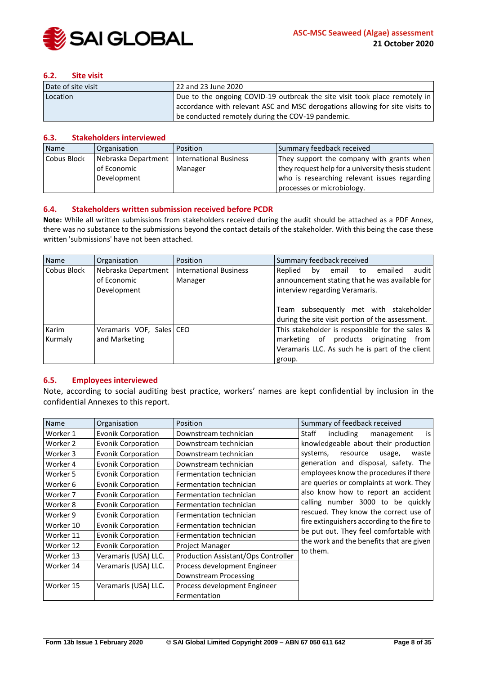

#### <span id="page-7-0"></span>**6.2. Site visit**

| Date of site visit | 22 and 23 June 2020                                                          |  |
|--------------------|------------------------------------------------------------------------------|--|
| Location           | Due to the ongoing COVID-19 outbreak the site visit took place remotely in   |  |
|                    | accordance with relevant ASC and MSC derogations allowing for site visits to |  |
|                    | be conducted remotely during the COV-19 pandemic.                            |  |

#### <span id="page-7-1"></span>**6.3. Stakeholders interviewed**

| Name        | Organisation        | Position               | Summary feedback received                         |
|-------------|---------------------|------------------------|---------------------------------------------------|
| Cobus Block | Nebraska Department | International Business | They support the company with grants when         |
|             | l of Economic       | Manager                | they request help for a university thesis student |
|             | Development         |                        | who is researching relevant issues regarding      |
|             |                     |                        | processes or microbiology.                        |

#### <span id="page-7-2"></span>**6.4. Stakeholders written submission received before PCDR**

**Note:** While all written submissions from stakeholders received during the audit should be attached as a PDF Annex, there was no substance to the submissions beyond the contact details of the stakeholder. With this being the case these written 'submissions' have not been attached.

| Name             | Organisation                                      | <b>Position</b>                          | Summary feedback received                                                                                                                                                                                                          |
|------------------|---------------------------------------------------|------------------------------------------|------------------------------------------------------------------------------------------------------------------------------------------------------------------------------------------------------------------------------------|
| Cobus Block      | Nebraska Department<br>of Economic<br>Development | <b>International Business</b><br>Manager | audit<br>Replied<br>emailed<br>email<br>bv<br>to<br>announcement stating that he was available for<br>interview regarding Veramaris.<br>Team subsequently met with stakeholder<br>during the site visit portion of the assessment. |
| Karim<br>Kurmaly | Veramaris VOF, Sales   CEO<br>and Marketing       |                                          | This stakeholder is responsible for the sales $\&$<br>products originating<br>marketing of<br>from<br>Veramaris LLC. As such he is part of the client<br>group.                                                                    |

#### <span id="page-7-3"></span>**6.5. Employees interviewed**

Note, according to social auditing best practice, workers' names are kept confidential by inclusion in the confidential Annexes to this report.

| Name      | Organisation              | Position                            | Summary of feedback received                |
|-----------|---------------------------|-------------------------------------|---------------------------------------------|
| Worker 1  | Evonik Corporation        | Downstream technician               | Staff<br>including<br>is<br>management      |
| Worker 2  | Evonik Corporation        | Downstream technician               | knowledgeable about their production        |
| Worker 3  | <b>Evonik Corporation</b> | Downstream technician               | systems,<br>waste<br>resource<br>usage,     |
| Worker 4  | <b>Evonik Corporation</b> | Downstream technician               | generation and disposal, safety. The        |
| Worker 5  | Evonik Corporation        | Fermentation technician             | employees know the procedures if there      |
| Worker 6  | <b>Evonik Corporation</b> | Fermentation technician             | are queries or complaints at work. They     |
| Worker 7  | <b>Evonik Corporation</b> | Fermentation technician             | also know how to report an accident         |
| Worker 8  | Evonik Corporation        | Fermentation technician             | calling number 3000 to be quickly           |
| Worker 9  | Evonik Corporation        | Fermentation technician             | rescued. They know the correct use of       |
| Worker 10 | <b>Evonik Corporation</b> | Fermentation technician             | fire extinguishers according to the fire to |
| Worker 11 | <b>Evonik Corporation</b> | Fermentation technician             | be put out. They feel comfortable with      |
| Worker 12 | <b>Evonik Corporation</b> | Project Manager                     | the work and the benefits that are given    |
| Worker 13 | Veramaris (USA) LLC.      | Production Assistant/Ops Controller | to them.                                    |
| Worker 14 | Veramaris (USA) LLC.      | Process development Engineer        |                                             |
|           |                           | Downstream Processing               |                                             |
| Worker 15 | Veramaris (USA) LLC.      | Process development Engineer        |                                             |
|           |                           | Fermentation                        |                                             |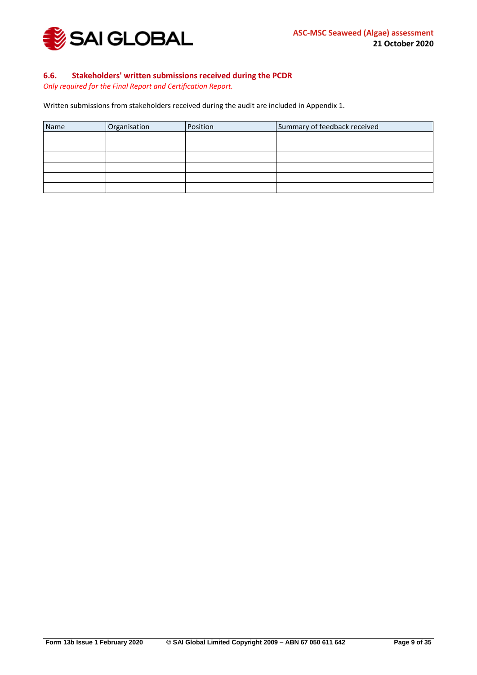

#### <span id="page-8-0"></span>**6.6. Stakeholders' written submissions received during the PCDR**

*Only required for the Final Report and Certification Report.*

Written submissions from stakeholders received during the audit are included in Appendix 1.

| Name | Organisation | Position | Summary of feedback received |
|------|--------------|----------|------------------------------|
|      |              |          |                              |
|      |              |          |                              |
|      |              |          |                              |
|      |              |          |                              |
|      |              |          |                              |
|      |              |          |                              |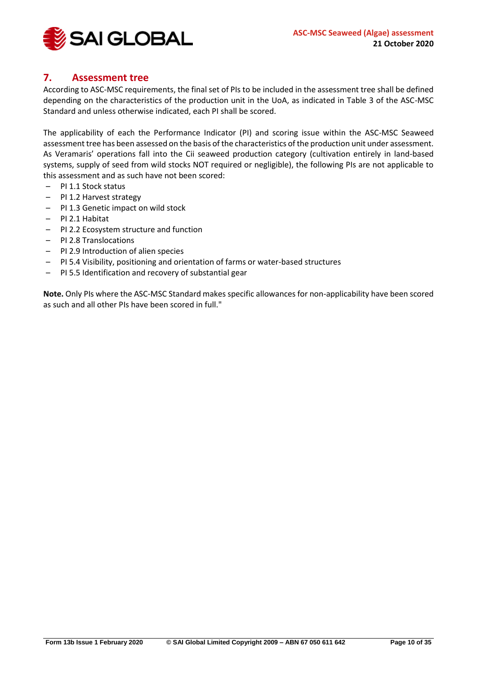

# <span id="page-9-0"></span>**7. Assessment tree**

According to ASC-MSC requirements, the final set of PIs to be included in the assessment tree shall be defined depending on the characteristics of the production unit in the UoA, as indicated in Table 3 of the ASC-MSC Standard and unless otherwise indicated, each PI shall be scored.

The applicability of each the Performance Indicator (PI) and scoring issue within the ASC-MSC Seaweed assessment tree has been assessed on the basis of the characteristics of the production unit under assessment. As Veramaris' operations fall into the Cii seaweed production category (cultivation entirely in land-based systems, supply of seed from wild stocks NOT required or negligible), the following PIs are not applicable to this assessment and as such have not been scored:

- PI 1.1 Stock status
- PI 1.2 Harvest strategy
- PI 1.3 Genetic impact on wild stock
- PI 2.1 Habitat
- PI 2.2 Ecosystem structure and function
- PI 2.8 Translocations
- PI 2.9 Introduction of alien species
- PI 5.4 Visibility, positioning and orientation of farms or water-based structures
- PI 5.5 Identification and recovery of substantial gear

**Note.** Only PIs where the ASC-MSC Standard makes specific allowances for non-applicability have been scored as such and all other PIs have been scored in full."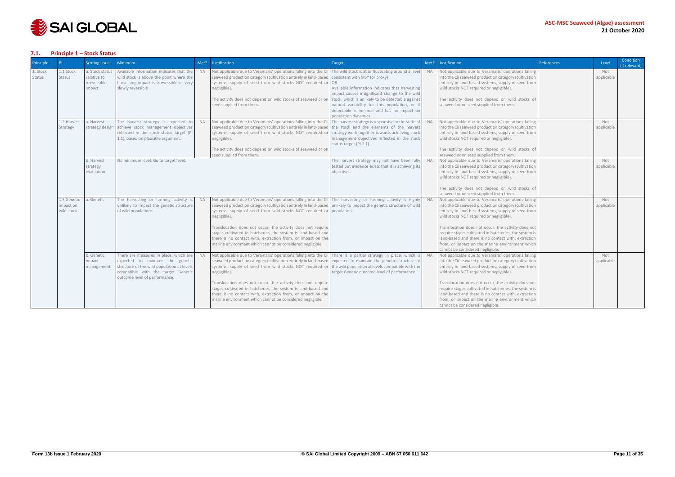

#### <span id="page-10-0"></span>**7.1. Principle 1 – Stock Status**

| <b>Principle</b>   |                                       | <b>Scoring Issue</b>                                     | <b>Minimum</b>                                                                                                                                                                                  | Met?      | <b>Justification</b>                                                                                                                                                                                                                                                                                                                                                                                                                                                                                                        | Target                                                                                                                                                                                                                                                                                                                                                                       | Met?      | Justification                                                                                                                                                                                                                                                                                                                                                                                                                                                                  | References | Level             | Condition<br>(if relevant) |
|--------------------|---------------------------------------|----------------------------------------------------------|-------------------------------------------------------------------------------------------------------------------------------------------------------------------------------------------------|-----------|-----------------------------------------------------------------------------------------------------------------------------------------------------------------------------------------------------------------------------------------------------------------------------------------------------------------------------------------------------------------------------------------------------------------------------------------------------------------------------------------------------------------------------|------------------------------------------------------------------------------------------------------------------------------------------------------------------------------------------------------------------------------------------------------------------------------------------------------------------------------------------------------------------------------|-----------|--------------------------------------------------------------------------------------------------------------------------------------------------------------------------------------------------------------------------------------------------------------------------------------------------------------------------------------------------------------------------------------------------------------------------------------------------------------------------------|------------|-------------------|----------------------------|
| 1. Stock<br>Status | 1.1 Stock<br>Status                   | a. Stock status<br>relative to<br>irreversible<br>impact | Available information indicates that the<br>wild stock is above the point where the<br>harvesting impact is irreversible or very<br>slowly reversible                                           | <b>NA</b> | Not applicable due to Veramaris' operations falling into the Cii<br>seaweed production category (cultivation entirely in land-based<br>systems, supply of seed from wild stocks NOT required or<br>negligible).<br>The activity does not depend on wild stocks of seaweed or on<br>seed supplied from them.                                                                                                                                                                                                                 | The wild stock is at or fluctuating around a level<br>consistent with MSY (or proxy)<br>OR<br>Available information indicates that harvesting<br>impact causes insignificant change to the wild<br>stock, which is unlikely to be detectable against<br>natural variability for this population, or if<br>detectable is minimal and has no impact on<br>population dynamics. | <b>NA</b> | Not applicable due to Veramaris' operations falling<br>into the Cii seaweed production category (cultivation<br>entirely in land-based systems, supply of seed from<br>wild stocks NOT required or negligible).<br>The activity does not depend on wild stocks of<br>seaweed or on seed supplied from them.                                                                                                                                                                    |            | Not<br>applicable |                            |
|                    | 1.2 Harvest<br>Strategy               | a. Harvest<br>strategy design                            | The harvest strategy is expected to<br>achieve stock management objectives<br>reflected in the stock status target (PI<br>1.1), based on plausible argument.                                    | <b>NA</b> | Not applicable due to Veramaris' operations falling into the Ci<br>seaweed production category (cultivation entirely in land-based<br>systems, supply of seed from wild stocks NOT required or<br>negligible).<br>The activity does not depend on wild stocks of seaweed or on<br>seed supplied from them.                                                                                                                                                                                                                  | The harvest strategy is responsive to the state of<br>the stock and the elements of the harvest<br>strategy work together towards achieving stock<br>management objectives reflected in the stock<br>status target (PI 1.1).                                                                                                                                                 | <b>NA</b> | Not applicable due to Veramaris' operations falling<br>into the Cii seaweed production category (cultivation<br>entirely in land-based systems, supply of seed from<br>wild stocks NOT required or negligible).<br>The activity does not depend on wild stocks of<br>seaweed or on seed supplied from them.                                                                                                                                                                    |            | Not<br>applicable |                            |
|                    |                                       | b. Harvest<br>strategy<br>evaluation                     | No minimum level. Go to target level.                                                                                                                                                           |           |                                                                                                                                                                                                                                                                                                                                                                                                                                                                                                                             | The harvest strategy may not have been fully<br>tested but evidence exists that it is achieving its<br>obiectives.                                                                                                                                                                                                                                                           | <b>NA</b> | Not applicable due to Veramaris' operations falling<br>into the Cii seaweed production category (cultivation<br>entirely in land-based systems, supply of seed from<br>wild stocks NOT required or negligible).<br>The activity does not depend on wild stocks of<br>seaweed or on seed supplied from them.                                                                                                                                                                    |            | Not<br>applicable |                            |
|                    | 1.3 Genetic<br>mpact on<br>wild stock | a. Genetic                                               | The harvesting or farming activity is<br>unlikely to impact the genetic structure<br>of wild populations.                                                                                       | <b>NA</b> | Not applicable due to Veramaris' operations falling into the Cii The harvesting or farming activity is highly NA<br>seaweed production category (cultivation entirely in land-based<br>systems, supply of seed from wild stocks NOT required or<br>negligible).<br>Translocation does not occur, the activity does not require<br>stages cultivated in hatcheries, the system is land-based and<br>there is no contact with, extraction from, or impact on the<br>marine environment which cannot be considered negligible. | unlikely to impact the genetic structure of wild<br>populations.                                                                                                                                                                                                                                                                                                             |           | Not applicable due to Veramaris' operations falling<br>into the Cii seaweed production category (cultivation<br>entirely in land-based systems, supply of seed from<br>wild stocks NOT required or negligible).<br>Translocation does not occur, the activity does not<br>require stages cultivated in hatcheries, the system is<br>land-based and there is no contact with, extraction<br>from, or impact on the marine environment which<br>cannot be considered negligible. |            | Not<br>applicable |                            |
|                    |                                       | b. Genetic<br>impact<br>management                       | There are measures in place, which are<br>expected to maintain the genetic<br>structure of the wild population at levels<br>compatible with the target Genetic<br>outcome level of performance. | <b>NA</b> | Not applicable due to Veramaris' operations falling into the Cii<br>seaweed production category (cultivation entirely in land-based<br>systems, supply of seed from wild stocks NOT required or<br>negligible).<br>Translocation does not occur, the activity does not require<br>stages cultivated in hatcheries, the system is land-based and<br>there is no contact with, extraction from, or impact on the<br>marine environment which cannot be considered negligible.                                                 | There is a partial strategy in place, which is<br>expected to maintain the genetic structure of<br>the wild population at levels compatible with the<br>target Genetic outcome level of performance.                                                                                                                                                                         | <b>NA</b> | Not applicable due to Veramaris' operations falling<br>into the Cii seaweed production category (cultivation<br>entirely in land-based systems, supply of seed from<br>wild stocks NOT required or negligible).<br>Translocation does not occur, the activity does not<br>require stages cultivated in hatcheries, the system is<br>land-based and there is no contact with, extraction<br>from, or impact on the marine environment which<br>cannot be considered negligible. |            | Not<br>applicable |                            |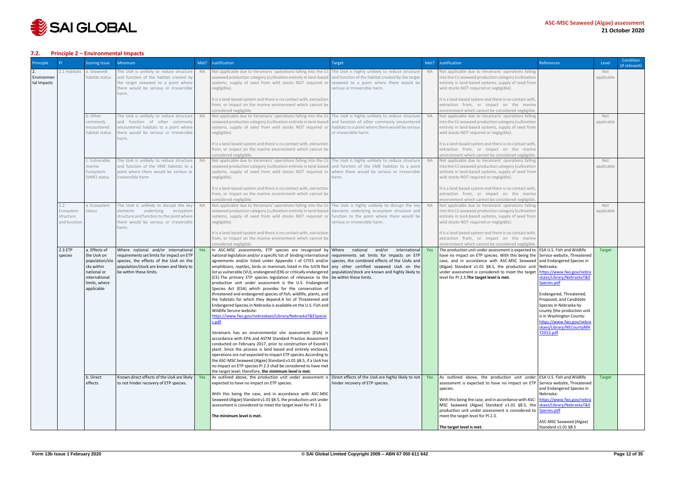

#### <span id="page-11-0"></span>**7.2. Principle 2 – Environmental Impacts**

| Principle                 |                                               | <b>Scoring Issue</b>                                                                                                       | <b>Minimum</b>                                                                                                                                                                                                                                        | Met?      | Justification                                                                                                                                                                                                                                                                                                                                                                                                                                                                                                                                                                                                                                                                                                                                                                                                                                                                                                                                                                                                                                                                                                                                                                                                                                                                                                                                                                                                                                                                                                                                                                          | Target                                                                                | Met?       | Justification                                                                                                                                                                                                                                                                                                                                                                                                                                                                                                        | References                                                                                                                                                                                                                                                 | Level             | Condition<br>(if relevant) |
|---------------------------|-----------------------------------------------|----------------------------------------------------------------------------------------------------------------------------|-------------------------------------------------------------------------------------------------------------------------------------------------------------------------------------------------------------------------------------------------------|-----------|----------------------------------------------------------------------------------------------------------------------------------------------------------------------------------------------------------------------------------------------------------------------------------------------------------------------------------------------------------------------------------------------------------------------------------------------------------------------------------------------------------------------------------------------------------------------------------------------------------------------------------------------------------------------------------------------------------------------------------------------------------------------------------------------------------------------------------------------------------------------------------------------------------------------------------------------------------------------------------------------------------------------------------------------------------------------------------------------------------------------------------------------------------------------------------------------------------------------------------------------------------------------------------------------------------------------------------------------------------------------------------------------------------------------------------------------------------------------------------------------------------------------------------------------------------------------------------------|---------------------------------------------------------------------------------------|------------|----------------------------------------------------------------------------------------------------------------------------------------------------------------------------------------------------------------------------------------------------------------------------------------------------------------------------------------------------------------------------------------------------------------------------------------------------------------------------------------------------------------------|------------------------------------------------------------------------------------------------------------------------------------------------------------------------------------------------------------------------------------------------------------|-------------------|----------------------------|
| Environmen<br>tal Impacts | 2.1 Habitats                                  | a. Seaweed-<br>habitat status                                                                                              | The UoA is unlikely to reduce structure<br>and function of the habitat created by<br>the target seaweed to a point where<br>there would be serious or irreversible<br>arm.                                                                            | <b>NA</b> | Not applicable due to Veramaris' operations falling into the Cii The UoA is highly unlikely to reduce structure<br>seaweed production category (cultivation entirely in land-based and function of the habitat created by the target<br>systems, supply of seed from wild stocks NOT required or seaweed to a point where there would be<br>negligible).<br>It is a land-based system and there is no contact with, extraction                                                                                                                                                                                                                                                                                                                                                                                                                                                                                                                                                                                                                                                                                                                                                                                                                                                                                                                                                                                                                                                                                                                                                         | serious or irreversible harm.                                                         | <b>NA</b>  | Not applicable due to Veramaris' operations falling<br>into the Cii seaweed production category (cultivation<br>entirely in land-based systems, supply of seed from<br>wild stocks NOT required or negligible).<br>It is a land-based system and there is no contact with,                                                                                                                                                                                                                                           |                                                                                                                                                                                                                                                            | Not<br>applicable |                            |
|                           |                                               |                                                                                                                            |                                                                                                                                                                                                                                                       |           | from, or impact on the marine environment which cannot be<br>considered negligible.                                                                                                                                                                                                                                                                                                                                                                                                                                                                                                                                                                                                                                                                                                                                                                                                                                                                                                                                                                                                                                                                                                                                                                                                                                                                                                                                                                                                                                                                                                    |                                                                                       |            | extraction from, or impact on the marine<br>environment which cannot be considered negligible                                                                                                                                                                                                                                                                                                                                                                                                                        |                                                                                                                                                                                                                                                            |                   |                            |
|                           |                                               | b. Other<br>commonly<br>encountered<br>habitat status                                                                      | The UoA is unlikely to reduce structure<br>and function of other commonly<br>encountered habitats to a point where<br>there would be serious or irreversible<br>arm.                                                                                  | <b>NA</b> | Not applicable due to Veramaris' operations falling into the Cii The UoA is highly unlikely to reduce structure<br>seaweed production category (cultivation entirely in land-based and function of other commonly encountered<br>systems, supply of seed from wild stocks NOT required or habitats to a point where there would be serious<br>negligible).                                                                                                                                                                                                                                                                                                                                                                                                                                                                                                                                                                                                                                                                                                                                                                                                                                                                                                                                                                                                                                                                                                                                                                                                                             | or irreversible harm.                                                                 | <b>NA</b>  | Not applicable due to Veramaris' operations falling<br>into the Cii seaweed production category (cultivation<br>entirely in land-based systems, supply of seed from<br>wild stocks NOT required or negligible).                                                                                                                                                                                                                                                                                                      |                                                                                                                                                                                                                                                            | Not<br>applicable |                            |
|                           |                                               |                                                                                                                            |                                                                                                                                                                                                                                                       |           | It is a land-based system and there is no contact with, extraction<br>from, or impact on the marine environment which cannot be<br>considered negligible.                                                                                                                                                                                                                                                                                                                                                                                                                                                                                                                                                                                                                                                                                                                                                                                                                                                                                                                                                                                                                                                                                                                                                                                                                                                                                                                                                                                                                              |                                                                                       |            | It is a land-based system and there is no contact with,<br>extraction from, or impact on the marine<br>environment which cannot be considered negligible.                                                                                                                                                                                                                                                                                                                                                            |                                                                                                                                                                                                                                                            |                   |                            |
|                           |                                               | c. Vulnerable<br>marine<br>Ecosystem<br>(VME) status                                                                       | The UoA is unlikely to reduce structure<br>and function of the VME habitats to a<br>point where there would be serious or<br>irreversible harm                                                                                                        | <b>NA</b> | Not applicable due to Veramaris' operations falling into the Cii The UoA is highly unlikely to reduce structure<br>seaweed production category (cultivation entirely in land-based and function of the VME habitats to a point<br>systems, supply of seed from wild stocks NOT required or where there would be serious or irreversible<br>negligible).                                                                                                                                                                                                                                                                                                                                                                                                                                                                                                                                                                                                                                                                                                                                                                                                                                                                                                                                                                                                                                                                                                                                                                                                                                | narm.                                                                                 | <b>NA</b>  | Not applicable due to Veramaris' operations falling<br>into the Cii seaweed production category (cultivation<br>entirely in land-based systems, supply of seed from<br>wild stocks NOT required or negligible).                                                                                                                                                                                                                                                                                                      |                                                                                                                                                                                                                                                            | Not<br>applicable |                            |
|                           |                                               |                                                                                                                            |                                                                                                                                                                                                                                                       |           | It is a land-based system and there is no contact with, extraction<br>from, or impact on the marine environment which cannot be<br>considered negligible.                                                                                                                                                                                                                                                                                                                                                                                                                                                                                                                                                                                                                                                                                                                                                                                                                                                                                                                                                                                                                                                                                                                                                                                                                                                                                                                                                                                                                              |                                                                                       |            | It is a land-based system and there is no contact with,<br>extraction from, or impact on the marine<br>environment which cannot be considered negligible.                                                                                                                                                                                                                                                                                                                                                            |                                                                                                                                                                                                                                                            |                   |                            |
|                           | 2.2<br>Ecosystem<br>structure<br>and function | a. Ecosystem<br>status                                                                                                     | The UoA is unlikely to disrupt the key<br>elements underlying ecosystem<br>structure and function to the point where<br>there would be serious or irreversible<br>harm.                                                                               | <b>NA</b> | Not applicable due to Veramaris' operations falling into the Cii The UoA is highly unlikely to disrupt the key<br>seaweed production category (cultivation entirely in land-based elements underlying ecosystem structure and<br>systems, supply of seed from wild stocks NOT required or<br>negligible).                                                                                                                                                                                                                                                                                                                                                                                                                                                                                                                                                                                                                                                                                                                                                                                                                                                                                                                                                                                                                                                                                                                                                                                                                                                                              | function to the point where there would be<br>serious or irreversible harm.           | <b>NA</b>  | Not applicable due to Veramaris' operations falling<br>into the Cii seaweed production category (cultivation<br>entirely in land-based systems, supply of seed from<br>wild stocks NOT required or negligible).                                                                                                                                                                                                                                                                                                      |                                                                                                                                                                                                                                                            | Not<br>applicable |                            |
|                           |                                               |                                                                                                                            |                                                                                                                                                                                                                                                       |           | It is a land-based system and there is no contact with, extraction<br>from, or impact on the marine environment which cannot be<br>considered negligible.                                                                                                                                                                                                                                                                                                                                                                                                                                                                                                                                                                                                                                                                                                                                                                                                                                                                                                                                                                                                                                                                                                                                                                                                                                                                                                                                                                                                                              |                                                                                       |            | It is a land-based system and there is no contact with,<br>extraction from, or impact on the marine<br>environment which cannot be considered negligible                                                                                                                                                                                                                                                                                                                                                             |                                                                                                                                                                                                                                                            |                   |                            |
|                           | 2.3 ETP<br>species                            | a. Effects of<br>the UoA on<br>population/sto<br>cks within<br>national or<br>international<br>limits, where<br>applicable | Where national and/or international<br>requirements set limits for impact on ETP<br>species, the effects of the UoA on the<br>population/stock are known and likely to<br>be within these limits.<br>Known direct effects of the UoA are likely   Yes | Yes       | In ASC-MSC assessments, ETP species are recognized by Where national<br>national legislation and/or a specific list of binding international requirements set limits for impacts on ETP<br>agreements and/or listed under Appendix I of CITES and/or species, the combined effects of the UOAs and<br>amphibians, reptiles, birds or mammals listed in the IUCN Red any other certified seaweed UoA on the<br>list as vulnerable (VU), endangered (EN) or critically endangered   population/stock are known and highly likely to<br>(CE). The primary ETP species legislation of relevance to the be within these limits.<br>production unit under assessment is the U.S. Endangered<br>Species Act (ESA) which provides for the conservation of<br>threatened and endangered species of fish, wildlife, plants, and<br>the habitats for which they depend.A list of Threatened and<br>Endangered Species in Nebraska is available on the U.S. Fish and<br>Wildlife Service website:<br>https://www.fws.gov/nebraskaes/Library/NebraskaT&ESpecie<br>s.pdf.<br>Veramaris has an environmental site assessment (ESA) in<br>accordance with EPA and ASTM Standard Practice Assessment<br>conducted on February 2017, prior to construction of Evonik's<br>plant. Since the process is land based and entirely enclosed,<br>operations are not expected to impact ETP species. According to<br>the ASC-MSC Seaweed (Algae) Standard v1.01 §8.5, if a UoA has<br>no impact on ETP species PI 2.3 shall be considered to have met<br>the target level; therefore, the minimum level is met. | and/or<br>international                                                               | Yes<br>Yes | The production unit under assessment is expected to   ESA U.S. Fish and Wildlife<br>have no impact on ETP species. With this being the Service website, Threatened<br>case, and in accordance with ASC-MSC Seaweed and Endangered Species in<br>(Algae) Standard v1.01 §8.5, the production unit Nebraska:<br>under assessment is considered to meet the target   https://www.fws.gov/nebra<br>level for PI 2.3. The target level is met.<br>As outlined above, the production unit under ESA U.S. Fish and Wildlife | skaes/Library/NebraskaT&E<br>Species.pdf<br>Endangered, Threatened,<br>Proposed, and Candidate<br>Species in Nebraska by<br>county (the production unit<br>is in Washington County:<br>https://www.fws.gov/nebra<br>skaes/Library/NECountyMA<br>Y2015.pdf. | <b>Target</b>     |                            |
|                           |                                               | b. Direct<br>effects                                                                                                       | to not hinder recovery of ETP species.                                                                                                                                                                                                                |           | As outlined above, the production unit under assessment is<br>expected to have no impact on ETP species.<br>With this being the case, and in accordance with ASC-MSC<br>Seaweed (Algae) Standard v1.01 §8.5, the production unit under<br>assessment is considered to meet the target level for PI 2.3.                                                                                                                                                                                                                                                                                                                                                                                                                                                                                                                                                                                                                                                                                                                                                                                                                                                                                                                                                                                                                                                                                                                                                                                                                                                                                | Direct effects of the UoA are highly likely to not<br>hinder recovery of ETP species. |            | assessment is expected to have no impact on ETP Service website, Threatened<br>species.<br>With this being the case, and in accordance with ASC- https://www.fws.gov/nebra<br>MSC Seaweed (Algae) Standard v1.01 §8.5, the skaes/Library/NebraskaT&E<br>production unit under assessment is considered to Species.pdf                                                                                                                                                                                                | and Endangered Species in<br>Nebraska:                                                                                                                                                                                                                     | Target            |                            |
|                           |                                               |                                                                                                                            |                                                                                                                                                                                                                                                       |           | The minimum level is met.                                                                                                                                                                                                                                                                                                                                                                                                                                                                                                                                                                                                                                                                                                                                                                                                                                                                                                                                                                                                                                                                                                                                                                                                                                                                                                                                                                                                                                                                                                                                                              |                                                                                       |            | meet the target level for PI 2.3.<br>The target level is met.                                                                                                                                                                                                                                                                                                                                                                                                                                                        | ASC-MSC Seaweed (Algae)<br>Standard v1.01 §8.5                                                                                                                                                                                                             |                   |                            |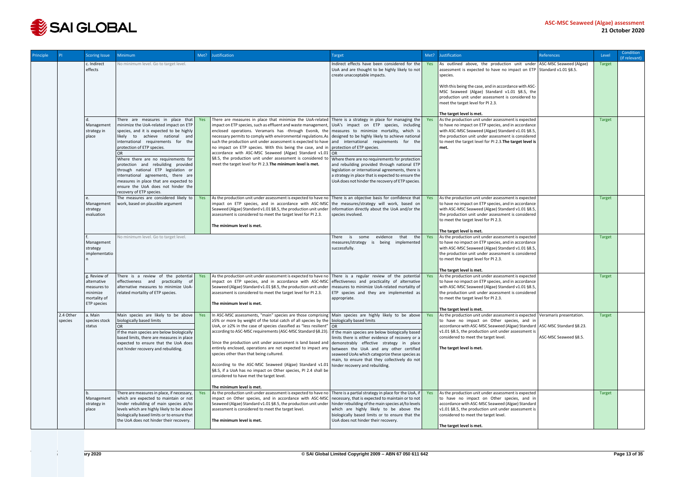

| Principle |                      | <b>Scoring Issue</b>                                                                  | <b>Minimum</b>                                                                                                                                                                                                                                                                                                                                                                                                                                                                                          | Met? | Justification                                                                                                                                                                                                                                                                                                                                                                                                                                                                                                                                                                                                                                                                                                                                                                                                                                                                | <b>Target</b>                                                                                                                                                                                                                                                 | Met? | Justification                                                                                                                                                                                                                                                                                                                                                    | References            | Level         | Condition<br>(if relevant) |
|-----------|----------------------|---------------------------------------------------------------------------------------|---------------------------------------------------------------------------------------------------------------------------------------------------------------------------------------------------------------------------------------------------------------------------------------------------------------------------------------------------------------------------------------------------------------------------------------------------------------------------------------------------------|------|------------------------------------------------------------------------------------------------------------------------------------------------------------------------------------------------------------------------------------------------------------------------------------------------------------------------------------------------------------------------------------------------------------------------------------------------------------------------------------------------------------------------------------------------------------------------------------------------------------------------------------------------------------------------------------------------------------------------------------------------------------------------------------------------------------------------------------------------------------------------------|---------------------------------------------------------------------------------------------------------------------------------------------------------------------------------------------------------------------------------------------------------------|------|------------------------------------------------------------------------------------------------------------------------------------------------------------------------------------------------------------------------------------------------------------------------------------------------------------------------------------------------------------------|-----------------------|---------------|----------------------------|
|           |                      | c. Indirect<br>effects                                                                | No minimum level. Go to target level.                                                                                                                                                                                                                                                                                                                                                                                                                                                                   |      |                                                                                                                                                                                                                                                                                                                                                                                                                                                                                                                                                                                                                                                                                                                                                                                                                                                                              | Indirect effects have been considered for the<br>UoA and are thought to be highly likely to not<br>create unacceptable impacts.                                                                                                                               |      | As outlined above, the production unit under ASC-MSC Seaweed (Algae)<br>assessment is expected to have no impact on ETP Standard v1.01 §8.5.<br>species.                                                                                                                                                                                                         |                       | <b>Target</b> |                            |
|           |                      |                                                                                       |                                                                                                                                                                                                                                                                                                                                                                                                                                                                                                         |      |                                                                                                                                                                                                                                                                                                                                                                                                                                                                                                                                                                                                                                                                                                                                                                                                                                                                              |                                                                                                                                                                                                                                                               |      | With this being the case, and in accordance with ASC-<br>MSC Seaweed (Algae) Standard v1.01 §8.5, the<br>production unit under assessment is considered to<br>meet the target level for PI 2.3.                                                                                                                                                                  |                       |               |                            |
|           |                      |                                                                                       |                                                                                                                                                                                                                                                                                                                                                                                                                                                                                                         |      |                                                                                                                                                                                                                                                                                                                                                                                                                                                                                                                                                                                                                                                                                                                                                                                                                                                                              |                                                                                                                                                                                                                                                               |      | The target level is met.                                                                                                                                                                                                                                                                                                                                         |                       |               |                            |
|           |                      | Management<br>strategy in<br>place                                                    | There are measures in place that Yes<br>minimize the UoA-related impact on ETP<br>species, and it is expected to be highly<br>likely to achieve national and<br>international requirements for the<br>protection of ETP species.<br>Where there are no requirements for<br>protection and rebuilding provided<br>through national ETP legislation or<br>international agreements, there are<br>measures in place that are expected to<br>ensure the UoA does not hinder the<br>recovery of ETP species. |      | There are measures in place that minimize the UoA-related There is a strategy in place for managing the Yes<br>impact on ETP species, such as effluent and waste management, $\bigcup OA$ 's impact on ETP species, including<br>enclosed operations. Veramaris has -through Evonik, the measures to minimize mortality, which is<br>necessary permits to comply with environmental regulations.As designed to be highly likely to achieve national<br>such the production unit under assessment is expected to have and international requirements for the<br>no impact on ETP species. With this being the case, and in protection of ETP species.<br>accordance with ASC-MSC Seaweed (Algae) Standard v1.01 OR<br>§8.5, the production unit under assessment is considered to<br>meet the target level for PI 2.3. The minimum level is met.                              | Where there are no requirements for protection<br>and rebuilding provided through national ETP<br>legislation or international agreements, there is<br>a strategy in place that is expected to ensure the<br>UoA does not hinder the recovery of ETP species. |      | As the production unit under assessment is expected<br>to have no impact on ETP species, and in accordance<br>with ASC-MSC Seaweed (Algae) Standard v1.01 §8.5,<br>the production unit under assessment is considered<br>to meet the target level for PI 2.3. The target level is<br>met.                                                                        |                       | <b>Target</b> |                            |
|           |                      | Management<br>strategy<br>evaluation                                                  | The measures are considered likely to<br>work, based on plausible argument                                                                                                                                                                                                                                                                                                                                                                                                                              | Yes  | As the production unit under assessment is expected to have no There is an objective basis for confidence that $\vert$ Yes<br>impact on ETP species, and in accordance with ASC-MSC the measures/strategy will work, based on<br>Seaweed (Algae) Standard v1.01 §8.5, the production unit under<br>assessment is considered to meet the target level for PI 2.3.<br>The minimum level is met.                                                                                                                                                                                                                                                                                                                                                                                                                                                                                | information directly about the UoA and/or the<br>species involved.                                                                                                                                                                                            |      | As the production unit under assessment is expected<br>to have no impact on ETP species, and in accordance<br>with ASC-MSC Seaweed (Algae) Standard v1.01 §8.5,<br>the production unit under assessment is considered<br>to meet the target level for PI 2.3.<br>The target level is met.                                                                        |                       | <b>Target</b> |                            |
|           |                      | Management<br>strategy<br>implementatio                                               | No minimum level. Go to target level.                                                                                                                                                                                                                                                                                                                                                                                                                                                                   |      |                                                                                                                                                                                                                                                                                                                                                                                                                                                                                                                                                                                                                                                                                                                                                                                                                                                                              | evidence<br>that the Yes<br>There is some<br>measures/strategy<br>is being implemented<br>successfully.                                                                                                                                                       |      | As the production unit under assessment is expected<br>to have no impact on ETP species, and in accordance<br>with ASC-MSC Seaweed (Algae) Standard v1.01 §8.5,<br>the production unit under assessment is considered<br>to meet the target level for PI 2.3.                                                                                                    |                       | <b>Target</b> |                            |
|           |                      | g. Review of<br>alternative<br>measures to<br>minimize<br>mortality of<br>ETP species | There is a review of the potential<br>effectiveness and practicality of<br>alternative measures to minimize UoA-<br>related mortality of ETP species.                                                                                                                                                                                                                                                                                                                                                   | Yes  | As the production unit under assessment is expected to have no There is a regular review of the potential Yes<br>impact on ETP species, and in accordance with ASC-MSC effectiveness and practicality of alternative<br>Seaweed (Algae) Standard v1.01 §8.5, the production unit under<br>assessment is considered to meet the target level for PI 2.3.<br>The minimum level is met.                                                                                                                                                                                                                                                                                                                                                                                                                                                                                         | measures to minimize UoA-related mortality of<br>ETP species and they are implemented as<br>appropriate.                                                                                                                                                      |      | The target level is met.<br>As the production unit under assessment is expected<br>to have no impact on ETP species, and in accordance<br>with ASC-MSC Seaweed (Algae) Standard v1.01 §8.5,<br>the production unit under assessment is considered<br>to meet the target level for PI 2.3.                                                                        |                       | <b>Target</b> |                            |
|           | 2.4 Other<br>species | a. Main<br>species stock<br>status                                                    | Main species are likely to be above<br>biologically based limits<br>OR<br>If the main species are below biologically<br>based limits, there are measures in place<br>expected to ensure that the UoA does<br>not hinder recovery and rebuilding.                                                                                                                                                                                                                                                        | Yes  | In ASC-MSC assessments, "main" species are those comprising Main species are highly likely to be above Yes<br>$\geq$ 5% or more by weight of the total catch of all species by the biologically based limits<br>UoA, or $\geq$ 2% in the case of species classified as "less resilient"   OR<br>according to ASC-MSC requirements (ASC-MSC Standard §8.23). If the main species are below biologically based<br>Since the production unit under assessment is land based and $ $ demonstrably effective strategy in place<br>entirely enclosed, operations are not expected to impact any<br>species other than that being cultured.<br>According to the ASC-MSC Seaweed (Algae) Standard v1.01   hinder recovery and rebuilding.<br>§8.5, if a UoA has no impact on Other species, PI 2.4 shall be<br>considered to have met the target level.<br>The minimum level is met. | limits there is either evidence of recovery or a<br>between the UoA and any other certified<br>seaweed UoAs which categorize these species as<br>main, to ensure that they collectively do not                                                                |      | The target level is met.<br>As the production unit under assessment is expected   Veramaris presentation.<br>to have no impact on Other species, and in<br>accordance with ASC-MSC Seaweed (Algae) Standard   ASC-MSC Standard §8.23.<br>v1.01 §8.5, the production unit under assessment is<br>considered to meet the target level.<br>The target level is met. | ASC-MSC Seaweed §8.5. | <b>Target</b> |                            |
|           |                      | Management<br>strategy in<br>place                                                    | There are measures in place, if necessary,<br>which are expected to maintain or not<br>hinder rebuilding of main species at/to<br>levels which are highly likely to be above<br>biologically based limits or to ensure that<br>the UoA does not hinder their recovery.                                                                                                                                                                                                                                  | Yes  | As the production unit under assessment is expected to have no There is a partial strategy in place for the UoA, if $\vert$ Yes<br>impact on Other species, and in accordance with ASC-MSC necessary, that is expected to maintain or to not<br>Seaweed (Algae) Standard v1.01 §8.5, the production unit under<br>assessment is considered to meet the target level.<br>The minimum level is met.                                                                                                                                                                                                                                                                                                                                                                                                                                                                            | hinder rebuilding of the main species at/to levels<br>which are highly likely to be above the<br>biologically based limits or to ensure that the<br>UoA does not hinder their recovery.                                                                       |      | As the production unit under assessment is expected<br>to have no impact on Other species, and in<br>accordance with ASC-MSC Seaweed (Algae) Standard<br>v1.01 §8.5, the production unit under assessment is<br>considered to meet the target level.<br>The target level is met.                                                                                 |                       | <b>Target</b> |                            |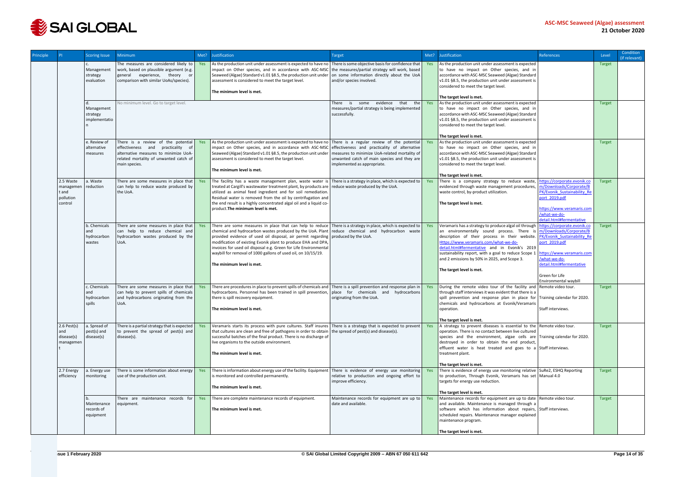

| Principle |                                                         | <b>Scoring Issue</b>                      | Minimum                                                                                                                                                                     | Met? | Justification                                                                                                                                                                                                                                                                                                                                                                                                                                                                                                                           | Target                                                                                                                                                                       | Met?       | Justification                                                                                                                                                                                                                                                                                                                                                                  | <b>References</b>                                                                                                                                                                                                          | Level         | Condition<br>(if relevant) |
|-----------|---------------------------------------------------------|-------------------------------------------|-----------------------------------------------------------------------------------------------------------------------------------------------------------------------------|------|-----------------------------------------------------------------------------------------------------------------------------------------------------------------------------------------------------------------------------------------------------------------------------------------------------------------------------------------------------------------------------------------------------------------------------------------------------------------------------------------------------------------------------------------|------------------------------------------------------------------------------------------------------------------------------------------------------------------------------|------------|--------------------------------------------------------------------------------------------------------------------------------------------------------------------------------------------------------------------------------------------------------------------------------------------------------------------------------------------------------------------------------|----------------------------------------------------------------------------------------------------------------------------------------------------------------------------------------------------------------------------|---------------|----------------------------|
|           |                                                         | Management<br>strategy<br>evaluation      | The measures are considered likely to<br>work, based on plausible argument (e.g.<br>general experience, theory or<br>comparison with similar UoAs/species).                 | Yes  | As the production unit under assessment is expected to have no There is some objective basis for confidence that<br>impact on Other species, and in accordance with ASC-MSC the measures/partial strategy will work, based<br>Seaweed (Algae) Standard v1.01 §8.5, the production unit under<br>assessment is considered to meet the target level.<br>The minimum level is met.                                                                                                                                                         | on some information directly about the UoA<br>and/or species involved.                                                                                                       | Yes        | As the production unit under assessment is expected<br>to have no impact on Other species, and in<br>accordance with ASC-MSC Seaweed (Algae) Standard<br>v1.01 §8.5, the production unit under assessment is<br>considered to meet the target level.<br>The target level is met.                                                                                               |                                                                                                                                                                                                                            | <b>Target</b> |                            |
|           |                                                         | Management<br>strategy<br>implementatio   | No minimum level. Go to target level.                                                                                                                                       |      |                                                                                                                                                                                                                                                                                                                                                                                                                                                                                                                                         | evidence<br>that<br>There is<br>some<br>the<br>measures/partial strategy is being implemented<br>successfully.                                                               | Yes        | As the production unit under assessment is expected<br>to have no impact on Other species, and in<br>accordance with ASC-MSC Seaweed (Algae) Standard<br>v1.01 §8.5, the production unit under assessment is<br>considered to meet the target level.<br>The target level is met.                                                                                               |                                                                                                                                                                                                                            | <b>Target</b> |                            |
|           |                                                         | e. Review of<br>alternative<br>measures   | There is a review of the potential<br>effectiveness and practicality of<br>alternative measures to minimize UoA-<br>related mortality of unwanted catch of<br>main species. | Yes  | As the production unit under assessment is expected to have no There is a regular review of the potential<br>impact on Other species, and in accordance with ASC-MSC<br>Seaweed (Algae) Standard v1.01 §8.5, the production unit under<br>assessment is considered to meet the target level.<br>The minimum level is met.                                                                                                                                                                                                               | effectiveness and practicality of alternative<br>measures to minimize UoA-related mortality of<br>unwanted catch of main species and they are<br>implemented as appropriate. | Yes        | As the production unit under assessment is expected<br>to have no impact on Other species, and in<br>accordance with ASC-MSC Seaweed (Algae) Standard<br>v1.01 §8.5, the production unit under assessment is<br>considered to meet the target level.<br>The target level is met.                                                                                               |                                                                                                                                                                                                                            | <b>Target</b> |                            |
|           | 2.5 Waste<br>managemen<br>t and<br>pollution<br>control | a. Waste<br>reduction                     | There are some measures in place that<br>can help to reduce waste produced by<br>the UoA.                                                                                   | Yes  | The facility has a waste management plan, waste water is There is a strategy in place, which is expected to<br>treated at Cargill's wastewater treatment plant, by products are reduce waste produced by the UoA.<br>utilized as animal feed ingredient and for soil remediation.<br>Residual water is removed from the oil by centrifugation and<br>the end result is a highly concentrated algal oil and a liquid co-<br>product. The minimum level is met.                                                                           |                                                                                                                                                                              | <b>Yes</b> | There is a company strategy to reduce waste,<br>evidenced through waste management procedures,<br>waste control, by-product utilization.<br>The target level is met.                                                                                                                                                                                                           | https://corporate.evonik.co<br>m/Downloads/Corporate/B<br>PK/Evonik Sustainability Re<br>port_2019.pdf<br>https://www.veramaris.com<br>/what-we-do-<br>detail.html#fermentative                                            | <b>Target</b> |                            |
|           |                                                         | b. Chemicals<br>hydrocarbon<br>wastes     | There are some measures in place that<br>can help to reduce chemical and<br>hydrocarbon wastes produced by the<br>UoA.                                                      | Yes  | There are some measures in place that can help to reduce There is a strategy in place, which is expected to<br>chemical and hydrocarbon wastes produced by the UoA. Plant reduce chemical and hydrocarbon waste<br>provided evidence of used oil disposal, air permit regarding produced by the UoA.<br>modification of existing Evonik plant to produce EHA and DPA,<br>invoices for used oil disposal e.g. Green for Life Environmental<br>waybill for removal of 1000 gallons of used oil, on 10/15/19.<br>The minimum level is met. |                                                                                                                                                                              | Yes        | Veramaris has a strategy to produce algal oil through<br>an environmentally sound process. There<br>description of their process in their website.<br>Https://www.veramaris.com/what-we-do-<br>detail.html#fermentative and in Evonik's 2019<br>sustainability report, with a goal to reduce Scope<br>and 2 emissions by 50% in 2025, and Scope 3.<br>The target level is met. | https://corporate.evonik.co<br>m/Downloads/Corporate/B<br>PK/Evonik Sustainability Re<br>port 2019.pdf<br>https://www.yeramaris.com<br>/what-we-do-<br>detail.html#fermentative<br>Green for Life<br>Environmental waybill | <b>Target</b> |                            |
|           |                                                         | c. Chemicals<br>hydrocarbon<br>spills     | There are some measures in place that<br>can help to prevent spills of chemicals<br>and hydrocarbons originating from the<br>U0A.                                           | Yes  | There are procedures in place to prevent spills of chemicals and There is a spill prevention and response plan in<br>hydrocarbons. Personnel has been trained in spill prevention,   place for chemicals and hydrocarbons<br>there is spill recovery equipment.<br>The minimum level is met.                                                                                                                                                                                                                                            | originating from the UoA.                                                                                                                                                    | Yes        | During the remote video tour of the facility and Remote video tour.<br>through staff interviews it was evident that there is a<br>spill prevention and response plan in place for Training calendar for 2020.<br>chemicals and hydrocarbons at Evonik/Veramaris<br>operation.<br>The target level is met.                                                                      | Staff interviews.                                                                                                                                                                                                          | <b>Target</b> |                            |
|           | $2.6$ Pest(s)<br>and<br>disease(s)<br>managemen         | a. Spread of<br>pest(s) and<br>disease(s) | There is a partial strategy that is expected<br>to prevent the spread of pest(s) and<br>disease(s).                                                                         | Yes  | Veramaris starts its process with pure cultures. Staff insures There is a strategy that is expected to prevent<br>that cultures are clean and free of pathogens in order to obtain the spread of pest(s) and disease(s).<br>successful batches of the final product. There is no discharge of<br>live organisms to the outside environment.<br>The minimum level is met.                                                                                                                                                                |                                                                                                                                                                              | Yes        | A strategy to prevent diseases is essential to the Remote video tour.<br>operation. There is no contact between live cultured<br>species and the environment, algae cells are Training calendar for 2020.<br>destroyed in order to obtain the end product,<br>effluent water is heat treated and goes to a Staff interviews.<br>treatment plant.<br>The target level is met.   |                                                                                                                                                                                                                            | <b>Target</b> |                            |
|           | 2.7 Energy<br>efficiency                                | a. Energy use<br>monitoring               | There is some information about energy<br>use of the production unit.                                                                                                       | Yes  | There is information about energy use of the facility. Equipment<br>is monitored and controlled permanently.<br>The minimum level is met.                                                                                                                                                                                                                                                                                                                                                                                               | There is evidence of energy use monitoring<br>relative to production and ongoing effort to<br>improve efficiency.                                                            | Yes        | There is evidence of energy use monitoring relative   SuRe2, ESHQ Reporting<br>to production, Through Evonik, Veramaris has set   Manual 4.0<br>targets for energy use reduction.<br>The target level is met.                                                                                                                                                                  |                                                                                                                                                                                                                            | <b>Target</b> |                            |
|           |                                                         | Maintenance<br>records of<br>equipment    | There are maintenance records for<br>equipment.                                                                                                                             | Yes  | There are complete maintenance records of equipment.<br>The minimum level is met.                                                                                                                                                                                                                                                                                                                                                                                                                                                       | Maintenance records for equipment are up to<br>date and available.                                                                                                           | Yes        | Maintenance records for equipment are up to date Remote video tour.<br>and available. Maintenance is managed through a<br>software which has information about repairs, Staff interviews.<br>scheduled repairs. Maintenance manager explained<br>maintenance program.<br>The target level is met.                                                                              |                                                                                                                                                                                                                            | Target        |                            |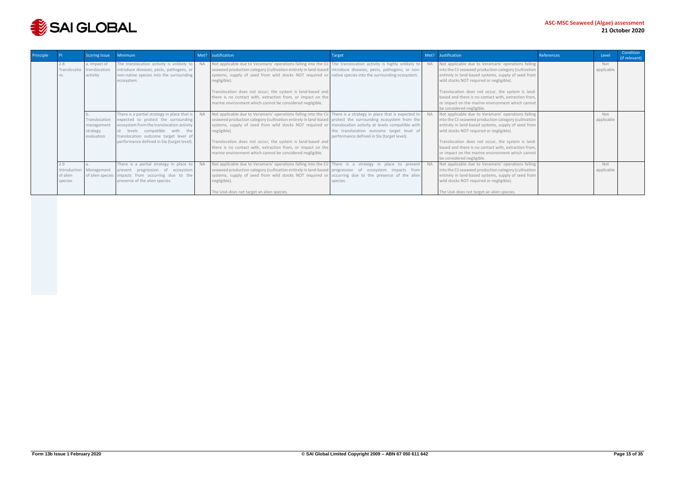

|                            | Scoring Issue                                          | Minimum                                                                                                                                                                                                                                                  | Met? | Justification                                                                                                                                                                                                                                                                                                                                                                                                                                                                                                                                             | Target                                                                                  | Met? | Justification                                                                                                                                                                                                                                                                                                                                                                                                 | References | Level             | Condition<br>(if relevant) |
|----------------------------|--------------------------------------------------------|----------------------------------------------------------------------------------------------------------------------------------------------------------------------------------------------------------------------------------------------------------|------|-----------------------------------------------------------------------------------------------------------------------------------------------------------------------------------------------------------------------------------------------------------------------------------------------------------------------------------------------------------------------------------------------------------------------------------------------------------------------------------------------------------------------------------------------------------|-----------------------------------------------------------------------------------------|------|---------------------------------------------------------------------------------------------------------------------------------------------------------------------------------------------------------------------------------------------------------------------------------------------------------------------------------------------------------------------------------------------------------------|------------|-------------------|----------------------------|
| 2.8                        | a. Impact of<br>Translocatio translocation<br>activity | The translocation activity is unlikely to<br>introduce diseases, pests, pathogens, or<br>non-native species into the surrounding<br>ecosystem.                                                                                                           |      | Not applicable due to Veramaris' operations falling into the Cii The translocation activity is highly unlikely to<br>seaweed production category (cultivation entirely in land-based   introduce diseases, pests, pathogens, or non-<br>systems, supply of seed from wild stocks NOT required or native species into the surrounding ecosystem.<br>negligible).<br>Translocation does not occur, the system is land-based and<br>there is no contact with, extraction from, or impact on the<br>marine environment which cannot be considered negligible. |                                                                                         |      | Not applicable due to Veramaris' operations falling<br>into the Cii seaweed production category (cultivation<br>entirely in land-based systems, supply of seed from<br>wild stocks NOT required or negligible).<br>Translocation does not occur, the system is land-<br>based and there is no contact with, extraction from,<br>or impact on the marine environment which cannot<br>be considered negligible. |            | Not<br>applicable |                            |
|                            | Translocation<br>management<br>strategy<br>evaluation  | There is a partial strategy in place that is<br>expected to protect the surrounding<br>ecosystem from the translocation activity<br>at levels compatible with the<br>translocation outcome target level of<br>performance defined in SIa (target level). |      | Not applicable due to Veramaris' operations falling into the Cii   There is a strategy in place that is expected to<br>seaweed production category (cultivation entirely in land-based protect the surrounding ecosystem from the<br>systems, supply of seed from wild stocks NOT required or translocation activity at levels compatible with<br>negligible).<br>Translocation does not occur, the system is land-based and<br>there is no contact with, extraction from, or impact on the<br>marine environment which cannot be considered negligible.  | the translocation outcome target level of<br>performance defined in SIa (target level). |      | Not applicable due to Veramaris' operations falling<br>into the Cii seaweed production category (cultivation<br>entirely in land-based systems, supply of seed from<br>wild stocks NOT required or negligible).<br>Translocation does not occur, the system is land-<br>based and there is no contact with, extraction from,<br>or impact on the marine environment which cannot<br>be considered negligible. |            | Not<br>applicable |                            |
| 2.9<br>of alien<br>species | Introduction Management                                | There is a partial strategy in place to<br>prevent progression of ecosystem<br>of alien species impacts from occurring due to the<br>presence of the alien species.                                                                                      |      | Not applicable due to Veramaris' operations falling into the Cii There is a strategy in place to prevent<br>seaweed production category (cultivation entirely in land-based progression of ecosystem impacts from<br>systems, supply of seed from wild stocks NOT required or occurring due to the presence of the alien<br>negligible).<br>The UoA does not target an alien species.                                                                                                                                                                     | species.                                                                                |      | Not applicable due to Veramaris' operations falling<br>into the Cii seaweed production category (cultivation<br>entirely in land-based systems, supply of seed from<br>wild stocks NOT required or negligible).<br>The UoA does not target an alien species.                                                                                                                                                  |            | Not<br>applicable |                            |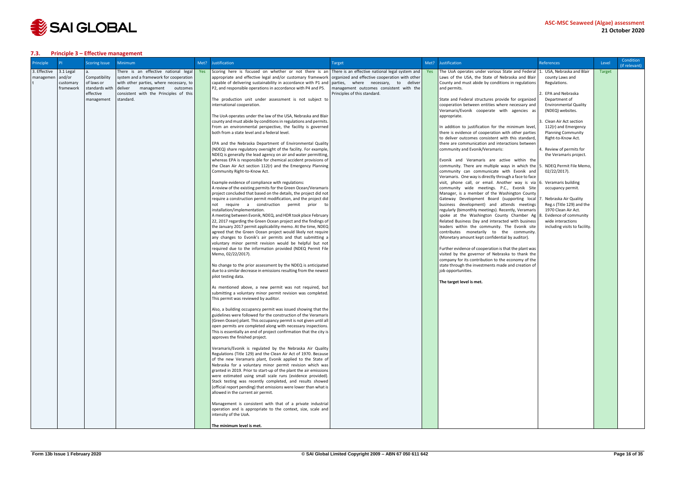

#### <span id="page-15-0"></span>**7.3. Principle 3 – Effective management**

| Principle    | <b>PI</b>              | <b>Scoring Issue</b>         | <b>Minimum</b>                                                         | Met? | Justification                                                                                                                                                       | Target                                  | Met? | Justification                                                                                            | <b>References</b>                                | Level         | Condition<br>(if relevant) |
|--------------|------------------------|------------------------------|------------------------------------------------------------------------|------|---------------------------------------------------------------------------------------------------------------------------------------------------------------------|-----------------------------------------|------|----------------------------------------------------------------------------------------------------------|--------------------------------------------------|---------------|----------------------------|
| 3. Effective | 3.1 Legal              |                              | There is an effective national legal                                   | Yes  | Scoring here is focused on whether or not there is an There is an effective national legal system and                                                               |                                         | Yes  | The UoA operates under various State and Federal 1                                                       | USA, Nebraska and Blair                          | <b>Target</b> |                            |
| managemen    | and/or                 | Compatibility                | system and a framework for cooperation                                 |      | appropriate and effective legal and/or customary framework organized and effective cooperation with other                                                           |                                         |      | Laws of the USA, the State of Nebraska and Blair                                                         | county Laws and                                  |               |                            |
|              | customary<br>framework | of laws or<br>standards with | with other parties, where necessary, to<br>deliver management outcomes |      | capable of delivering sustainability in accordance with P1 and parties, where necessary, to deliver<br>P2, and responsible operations in accordance with P4 and P5. | management outcomes consistent with the |      | County and must abide by conditions in regulations<br>and permits.                                       | Regulations.                                     |               |                            |
|              |                        | effective                    | consistent with the Principles of this                                 |      |                                                                                                                                                                     | Principles of this standard.            |      |                                                                                                          | EPA and Nebraska                                 |               |                            |
|              |                        | management                   | standard.                                                              |      | The production unit under assessment is not subject to                                                                                                              |                                         |      | State and Federal structures provide for organized                                                       | Department of                                    |               |                            |
|              |                        |                              |                                                                        |      | international cooperation.                                                                                                                                          |                                         |      | cooperation between entities where necessary and                                                         | <b>Environmental Quality</b>                     |               |                            |
|              |                        |                              |                                                                        |      | The UoA operates under the law of the USA, Nebraska and Blair                                                                                                       |                                         |      | Veramaris/Evonik cooperate with agencies as<br>appropriate.                                              | (NDEQ) websites.                                 |               |                            |
|              |                        |                              |                                                                        |      | county and must abide by conditions in regulations and permits.                                                                                                     |                                         |      |                                                                                                          | Clean Air Act section                            |               |                            |
|              |                        |                              |                                                                        |      | From an environmental perspective, the facility is governed                                                                                                         |                                         |      | In addition to justification for the minimum level,                                                      | 112(r) and Emergency                             |               |                            |
|              |                        |                              |                                                                        |      | both from a state level and a federal level                                                                                                                         |                                         |      | there is evidence of cooperation with other parties                                                      | <b>Planning Community</b>                        |               |                            |
|              |                        |                              |                                                                        |      |                                                                                                                                                                     |                                         |      | to deliver outcomes consistent with this standard,<br>there are communication and interactions between   | Right-to-Know Act.                               |               |                            |
|              |                        |                              |                                                                        |      | EPA and the Nebraska Department of Environmental Quality<br>(NDEQ) share regulatory oversight of the facility. For example,                                         |                                         |      | community and Evonik/Veramaris:                                                                          | Review of permits for                            |               |                            |
|              |                        |                              |                                                                        |      | NDEQ is generally the lead agency on air and water permitting,                                                                                                      |                                         |      |                                                                                                          | the Veramaris project.                           |               |                            |
|              |                        |                              |                                                                        |      | whereas EPA is responsible for chemical accident provisions of                                                                                                      |                                         |      | Evonik and Veramaris are active within the                                                               |                                                  |               |                            |
|              |                        |                              |                                                                        |      | the Clean Air Act section 112(r) and the Emergency Planning                                                                                                         |                                         |      | community. There are multiple ways in which the $\vert$ 5.                                               | NDEQ Permit File Memo,                           |               |                            |
|              |                        |                              |                                                                        |      | Community Right-to-Know Act.                                                                                                                                        |                                         |      | community can communicate with Evonik and<br>Veramaris. One way is directly through a face to face       | 02/22/2017).                                     |               |                            |
|              |                        |                              |                                                                        |      | Example evidence of compliance with regulations:                                                                                                                    |                                         |      | visit, phone call, or email. Another way is via 6. Veramaris building                                    |                                                  |               |                            |
|              |                        |                              |                                                                        |      | A review of the existing permits for the Green Ocean/Veramaris                                                                                                      |                                         |      | community wide meetings. P.C., Evonik Site                                                               | occupancy permit.                                |               |                            |
|              |                        |                              |                                                                        |      | project concluded that based on the details, the project did not                                                                                                    |                                         |      | Manager, is a member of the Washington County                                                            |                                                  |               |                            |
|              |                        |                              |                                                                        |      | require a construction permit modification, and the project did                                                                                                     |                                         |      | Gateway Development Board (supporting local 7. Nebraska Air Quality                                      |                                                  |               |                            |
|              |                        |                              |                                                                        |      | not require a construction permit prior to<br>installation/implementation.                                                                                          |                                         |      | business development) and attends meetings<br>regularly (bimonthly meetings). Recently, Veramaris        | Reg.s (Title 129) and the<br>1970 Clean Air Act. |               |                            |
|              |                        |                              |                                                                        |      | A meeting between Evonik, NDEQ, and HDR took place February                                                                                                         |                                         |      | spoke at the Washington County Chamber Ag                                                                | Evidence of community                            |               |                            |
|              |                        |                              |                                                                        |      | 22, 2017 regarding the Green Ocean project and the findings of                                                                                                      |                                         |      | Related Business Day and interacted with business                                                        | wide interactions                                |               |                            |
|              |                        |                              |                                                                        |      | the January 2017 permit applicability memo. At the time, NDEQ                                                                                                       |                                         |      | leaders within the community. The Evonik site                                                            | including visits to facility.                    |               |                            |
|              |                        |                              |                                                                        |      | agreed that the Green Ocean project would likely not require<br>any changes to Evonik's air permits and that submitting a                                           |                                         |      | contributes monetarily to the community.<br>(Monetary amount kept confidential by auditor).              |                                                  |               |                            |
|              |                        |                              |                                                                        |      | voluntary minor permit revision would be helpful but not                                                                                                            |                                         |      |                                                                                                          |                                                  |               |                            |
|              |                        |                              |                                                                        |      | required due to the information provided (NDEQ Permit File                                                                                                          |                                         |      | Further evidence of cooperation is that the plant was                                                    |                                                  |               |                            |
|              |                        |                              |                                                                        |      | Memo, 02/22/2017).                                                                                                                                                  |                                         |      | visited by the governor of Nebraska to thank the                                                         |                                                  |               |                            |
|              |                        |                              |                                                                        |      | No change to the prior assessment by the NDEQ is anticipated                                                                                                        |                                         |      | company for its contribution to the economy of the<br>state through the investments made and creation of |                                                  |               |                            |
|              |                        |                              |                                                                        |      | due to a similar decrease in emissions resulting from the newest                                                                                                    |                                         |      | job opportunities.                                                                                       |                                                  |               |                            |
|              |                        |                              |                                                                        |      | pilot testing data.                                                                                                                                                 |                                         |      |                                                                                                          |                                                  |               |                            |
|              |                        |                              |                                                                        |      |                                                                                                                                                                     |                                         |      | The target level is met.                                                                                 |                                                  |               |                            |
|              |                        |                              |                                                                        |      | As mentioned above, a new permit was not required, but<br>submitting a voluntary minor permit revision was completed.                                               |                                         |      |                                                                                                          |                                                  |               |                            |
|              |                        |                              |                                                                        |      | This permit was reviewed by auditor.                                                                                                                                |                                         |      |                                                                                                          |                                                  |               |                            |
|              |                        |                              |                                                                        |      |                                                                                                                                                                     |                                         |      |                                                                                                          |                                                  |               |                            |
|              |                        |                              |                                                                        |      | Also, a building occupancy permit was issued showing that the                                                                                                       |                                         |      |                                                                                                          |                                                  |               |                            |
|              |                        |                              |                                                                        |      | guidelines were followed for the construction of the Veramaris                                                                                                      |                                         |      |                                                                                                          |                                                  |               |                            |
|              |                        |                              |                                                                        |      | (Green Ocean) plant. This occupancy permit is not given until all<br>open permits are completed along with necessary inspections.                                   |                                         |      |                                                                                                          |                                                  |               |                            |
|              |                        |                              |                                                                        |      | This is essentially an end of project confirmation that the city is                                                                                                 |                                         |      |                                                                                                          |                                                  |               |                            |
|              |                        |                              |                                                                        |      | approves the finished project.                                                                                                                                      |                                         |      |                                                                                                          |                                                  |               |                            |
|              |                        |                              |                                                                        |      |                                                                                                                                                                     |                                         |      |                                                                                                          |                                                  |               |                            |
|              |                        |                              |                                                                        |      | Veramaris/Evonik is regulated by the Nebraska Air Quality<br>Regulations (Title 129) and the Clean Air Act of 1970. Because                                         |                                         |      |                                                                                                          |                                                  |               |                            |
|              |                        |                              |                                                                        |      | of the new Veramaris plant, Evonik applied to the State of                                                                                                          |                                         |      |                                                                                                          |                                                  |               |                            |
|              |                        |                              |                                                                        |      | Nebraska for a voluntary minor permit revision which was                                                                                                            |                                         |      |                                                                                                          |                                                  |               |                            |
|              |                        |                              |                                                                        |      | granted in 2019. Prior to start-up of the plant the air emissions                                                                                                   |                                         |      |                                                                                                          |                                                  |               |                            |
|              |                        |                              |                                                                        |      | were estimated using small scale runs (evidence provided).<br>Stack testing was recently completed, and results showed                                              |                                         |      |                                                                                                          |                                                  |               |                            |
|              |                        |                              |                                                                        |      | (official report pending) that emissions were lower than what is                                                                                                    |                                         |      |                                                                                                          |                                                  |               |                            |
|              |                        |                              |                                                                        |      | allowed in the current air permit.                                                                                                                                  |                                         |      |                                                                                                          |                                                  |               |                            |
|              |                        |                              |                                                                        |      |                                                                                                                                                                     |                                         |      |                                                                                                          |                                                  |               |                            |
|              |                        |                              |                                                                        |      | Management is consistent with that of a private industrial                                                                                                          |                                         |      |                                                                                                          |                                                  |               |                            |
|              |                        |                              |                                                                        |      | operation and is appropriate to the context, size, scale and<br>intensity of the UoA.                                                                               |                                         |      |                                                                                                          |                                                  |               |                            |
|              |                        |                              |                                                                        |      |                                                                                                                                                                     |                                         |      |                                                                                                          |                                                  |               |                            |
|              |                        |                              |                                                                        |      | The minimum level is met.                                                                                                                                           |                                         |      |                                                                                                          |                                                  |               |                            |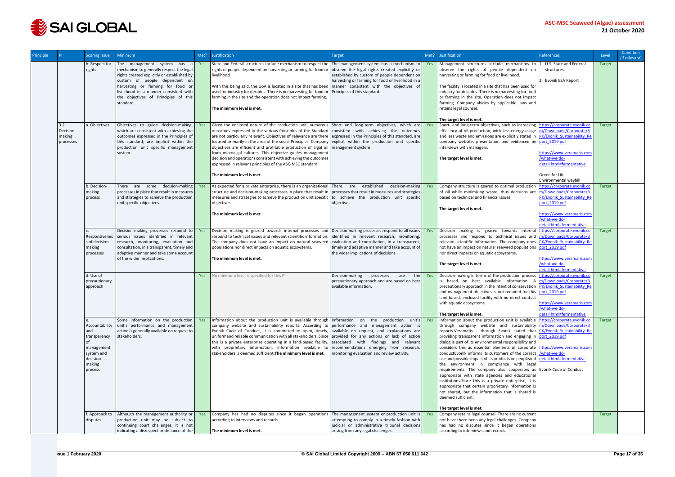

| Principle |                                         | <b>Scoring Issue</b>                                                                                | <b>Minimum</b>                                                                                                                                                                                                                                                                            | Met?    | Justification                                                                                                                                                                                                                                                                                                                                                                                                                                                                                                                                                                                                                                         | Target                                                                                                                                                                                                                                      |     | Met? Justification                                                                                                                                                                                                                                                                                                                                                                                                                                                                                                                                                                                                                                                                                                                                                                                                                                                                                                                                                                                 | References                                                                                                                                       | Level         | Condition<br>(if relevant) |
|-----------|-----------------------------------------|-----------------------------------------------------------------------------------------------------|-------------------------------------------------------------------------------------------------------------------------------------------------------------------------------------------------------------------------------------------------------------------------------------------|---------|-------------------------------------------------------------------------------------------------------------------------------------------------------------------------------------------------------------------------------------------------------------------------------------------------------------------------------------------------------------------------------------------------------------------------------------------------------------------------------------------------------------------------------------------------------------------------------------------------------------------------------------------------------|---------------------------------------------------------------------------------------------------------------------------------------------------------------------------------------------------------------------------------------------|-----|----------------------------------------------------------------------------------------------------------------------------------------------------------------------------------------------------------------------------------------------------------------------------------------------------------------------------------------------------------------------------------------------------------------------------------------------------------------------------------------------------------------------------------------------------------------------------------------------------------------------------------------------------------------------------------------------------------------------------------------------------------------------------------------------------------------------------------------------------------------------------------------------------------------------------------------------------------------------------------------------------|--------------------------------------------------------------------------------------------------------------------------------------------------|---------------|----------------------------|
|           |                                         | b. Respect for<br>rights                                                                            | The management system has<br>mechanism to generally respect the legal<br>rights created explicitly or established by<br>custom of people dependent on<br>harvesting or farming for food or<br>livelihood in a manner consistent with<br>the objectives of Principles of this<br>standard. | a   Yes | State and Federal structures include mechanism to respect the The management system has a mechanism to Yes<br>rights of people dependent on harvesting or farming for food or<br>livelihood.<br>With this being said, the UoA is located in a site that has been<br>used for industry for decades. There is no harvesting for food or<br>farming in the site and the operation does not impact farming.<br>The minimum level is met.                                                                                                                                                                                                                  | observe the legal rights created explicitly or<br>established by custom of people dependent on<br>harvesting or farming for food or livelihood in a<br>manner consistent with the objectives of<br>Principles of this standard.             |     | Management structures include mechanisms to 1. U.S. State and Federal<br>observe the rights of people dependent on<br>harvesting or farming for food or livelihood.<br>The facility is located in a site that has been used for<br>industry for decades. There is no harvesting for food<br>or farming in the site. Operation does not impact<br>farming. Company abides by applicable laws and<br>retains legal counsel.<br>The target level is met.                                                                                                                                                                                                                                                                                                                                                                                                                                                                                                                                              | structures.<br>2. Evonik ESA Report                                                                                                              | Target        |                            |
|           | 3.2<br>Decision-<br>making<br>processes | a. Objectives                                                                                       | Objectives to guide decision-making,<br>which are consistent with achieving the<br>outcomes expressed in the Principles of<br>this standard, are implicit within the<br>production unit specific management<br>system.                                                                    | Yes     | Given the enclosed nature of the production unit, numerous Short and long-term objectives, which are<br>outcomes expressed in the various Principles of the Standard<br>are not particularly relevant. Objectives of relevance are there<br>focused primarily in the area of the social Principles. Company explicit within the production unit specific<br>objectives are efficient and profitable production of algal oil<br>from microalgal cultures. This objective guides management<br>decision and operations consistent with achieving the outcomes<br>expressed in relevant principles of the ASC-MSC standard.<br>The minimum level is met. | consistent with achieving the outcomes<br>expressed in the Principles of this standard, are<br>management system                                                                                                                            |     | Short- and long-term objectives, such as increasing https://corporate.evonik.co<br>efficiency of oil production, with less energy usage m/Downloads/Corporate/B<br>and less waste and emissions are explicitly stated in PK/Evonik Sustainability Re<br>company website, presentation and evidenced by port 2019.pdf<br>interviews with managers.<br>The target level is met.                                                                                                                                                                                                                                                                                                                                                                                                                                                                                                                                                                                                                      | https://www.veramaris.com<br>/what-we-do-<br>detail.html#fermentative<br>Green for Life<br>Environmental waybill                                 | <b>Target</b> |                            |
|           |                                         | b. Decision<br>making<br>process                                                                    | There are some decision-making Yes<br>processes in place that result in measures<br>and strategies to achieve the production<br>unit specific objectives.                                                                                                                                 |         | As expected for a private enterprise, there is an organizational<br>structure and decision-making processes in place that result in<br>measures and strategies to achieve the production unit specific<br>objectives.<br>The minimum level is met.                                                                                                                                                                                                                                                                                                                                                                                                    | There are established<br>decision-making<br>processes that result in measures and strategies<br>to achieve the production unit specific<br>objectives.                                                                                      | Yes | Company structure is geared to optimal production   https://corporate.evonik.co<br>of oil while minimizing waste, thus decisions are<br>based on technical and financial issues.<br>The target level is met.                                                                                                                                                                                                                                                                                                                                                                                                                                                                                                                                                                                                                                                                                                                                                                                       | m/Downloads/Corporate/B<br>PK/Evonik Sustainability Re<br>port 2019.pdf<br>https://www.veramaris.com<br>/what-we-do-<br>detail.html#fermentative | <b>Target</b> |                            |
|           |                                         | Responsivenes<br>s of decision-<br>making<br>processes                                              | Decision-making processes respond to<br>serious issues identified in relevant<br>research, monitoring, evaluation and<br>consultation, in a transparent, timely and<br>adaptive manner and take some account<br>of the wider implications.                                                | Yes     | Decision making is geared towards internal processes and<br>respond to technical issues and relevant scientific information.<br>The company does not have an impact on natural seaweed<br>populations nor direct impacts on aquatic ecosystems.<br>The minimum level is met.                                                                                                                                                                                                                                                                                                                                                                          | Decision-making processes respond to all issues<br>identified in relevant research, monitoring,<br>evaluation and consultation, in a transparent,<br>timely and adaptive manner and take account of<br>the wider implications of decisions. | Yes | Decision making is geared towards internal https://corporate.evonik.co<br>processes and respond to technical issues and m/Downloads/Corporate/B<br>relevant scientific information. The company does PK/Evonik Sustainability Re<br>not have an impact on natural seaweed populations port 2019.pdf<br>nor direct impacts on aquatic ecosystems.<br>The target level is met.                                                                                                                                                                                                                                                                                                                                                                                                                                                                                                                                                                                                                       | https://www.veramaris.com<br>/what-we-do-<br>detail.html#fermentative                                                                            | <b>Target</b> |                            |
|           |                                         | d. Use of<br>precautionary<br>approach                                                              |                                                                                                                                                                                                                                                                                           | Yes     | No minimum level is specified for this PI.                                                                                                                                                                                                                                                                                                                                                                                                                                                                                                                                                                                                            | Decision-making<br>processes<br>use<br>the  <br>precautionary approach and are based on best<br>available information.                                                                                                                      | Yes | Decision-making in terms of the production process   https://corporate.evonik.co<br>is based on best available information. A<br>precautionary approach in the intent of conservation PK/Evonik Sustainability Re<br>and management objectives is not required for this port_2019.pdf<br>land based, enclosed facility with no direct contact<br>with aquatic ecosystems.<br>The target level is met.                                                                                                                                                                                                                                                                                                                                                                                                                                                                                                                                                                                              | m/Downloads/Corporate/B<br>https://www.veramaris.com<br>/what-we-do-<br>detail.html#fermentative                                                 | <b>Target</b> |                            |
|           |                                         | Accountability<br>and<br>transparency<br>management<br>system and<br>decision-<br>making<br>process | Some information on the production Yes<br>unit's performance and management<br>action is generally available on request to<br>stakeholders.                                                                                                                                               |         | Information about the production unit is available through Information on<br>company website and sustainability reports. According to performance and management action is<br>Evonik Code of Conduct, it is committed to open, timely, available on request, and explanations are<br>uniformand reliable communication with all stakeholders. Since<br>this is a private enterprise operating in a land-based facility, associated with findings and relevant<br>with proprietary information, information available to<br>stakeholders is deemed sufficient. The minimum level is met.                                                               | the production unit's Yes<br>provided for any actions or lack of action<br>recommendations emerging from research,<br>monitoring evaluation and review activity.                                                                            |     | Information about the production unit is available https://corporate.evonik.co<br>through company website and sustainability m/Downloads/Corporate/B<br>reports.Veramaris - through Evonik stated that PK/Evonik Sustainability Re<br>providing transparent information and engaging in port 2019.pdf<br>dialog is part of its environmental responsibility and<br>considers this as essential elements of corporate https://www.veramaris.com<br>conduct Evonik informs its customers of the correct /what-we-do-<br>use and possible impact of its products on peopleand detail.html#fermentative<br>the environment in compliance with legal<br>requirements. The company also cooperates as Evonik Code of Conduct<br>appropriate with state agencies and educational<br>institutions. Since this is a private enterprise, it is<br>appropriate that certain proprietary information is<br>not shared, but the information that is shared is<br>deemed sufficient.<br>The target level is met. |                                                                                                                                                  | <b>Target</b> |                            |
|           |                                         | f. Approach to<br>disputes                                                                          | Although the management authority or Yes<br>production unit may be subject to<br>continuing court challenges, it is not<br>indicating a disrespect or defiance of the                                                                                                                     |         | Company has had no disputes since it began operations The management system or production unit is Yes<br>according to interviews and records.<br>The minimum level is met.                                                                                                                                                                                                                                                                                                                                                                                                                                                                            | attempting to comply in a timely fashion with<br>judicial or administrative tribunal decisions<br>arising from any legal challenges.                                                                                                        |     | Company retains legal counsel. There are no current<br>nor have there been any legal challenges. Company<br>has had no disputes since it began operations<br>according to interviews and records.                                                                                                                                                                                                                                                                                                                                                                                                                                                                                                                                                                                                                                                                                                                                                                                                  |                                                                                                                                                  | <b>Target</b> |                            |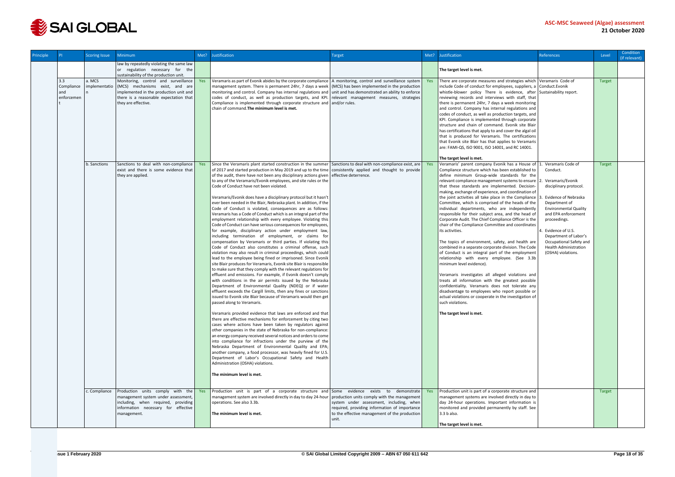

| <b>Principle</b> |                                 | <b>Scoring Issue</b>    | <b>Minimum</b>                                                                                                                                                                         | Met? | Justification                                                                                                                                                                                                                                                                                                                                                                                                                                                                                                                                                                                                                                                                                                                                                                                                                                                                                                                                                                                                                                                                                                                                                                                                                                                                                                                                                                                                                                                                                                                                                                                                                                                                                                                                                                                                                                                                                                                                                                                                                                                                                                                                                                                                                                                     | <b>Target</b>                                                                                                                                       | Met? | Justification                                                                                                                                                                                                                                                                                                                                                                                                                                                                                                                                                                                                                                                                                                                                                                                                                                                                                                                                                                                                                                                                                                                                                                                                             | <b>References</b>                                                                                                                                                                                                                                                                | Level         | Condition<br>(if relevant) |
|------------------|---------------------------------|-------------------------|----------------------------------------------------------------------------------------------------------------------------------------------------------------------------------------|------|-------------------------------------------------------------------------------------------------------------------------------------------------------------------------------------------------------------------------------------------------------------------------------------------------------------------------------------------------------------------------------------------------------------------------------------------------------------------------------------------------------------------------------------------------------------------------------------------------------------------------------------------------------------------------------------------------------------------------------------------------------------------------------------------------------------------------------------------------------------------------------------------------------------------------------------------------------------------------------------------------------------------------------------------------------------------------------------------------------------------------------------------------------------------------------------------------------------------------------------------------------------------------------------------------------------------------------------------------------------------------------------------------------------------------------------------------------------------------------------------------------------------------------------------------------------------------------------------------------------------------------------------------------------------------------------------------------------------------------------------------------------------------------------------------------------------------------------------------------------------------------------------------------------------------------------------------------------------------------------------------------------------------------------------------------------------------------------------------------------------------------------------------------------------------------------------------------------------------------------------------------------------|-----------------------------------------------------------------------------------------------------------------------------------------------------|------|---------------------------------------------------------------------------------------------------------------------------------------------------------------------------------------------------------------------------------------------------------------------------------------------------------------------------------------------------------------------------------------------------------------------------------------------------------------------------------------------------------------------------------------------------------------------------------------------------------------------------------------------------------------------------------------------------------------------------------------------------------------------------------------------------------------------------------------------------------------------------------------------------------------------------------------------------------------------------------------------------------------------------------------------------------------------------------------------------------------------------------------------------------------------------------------------------------------------------|----------------------------------------------------------------------------------------------------------------------------------------------------------------------------------------------------------------------------------------------------------------------------------|---------------|----------------------------|
|                  |                                 |                         | law by repeatedly violating the same law<br>or regulation necessary for the<br>sustainability of the production unit.                                                                  |      |                                                                                                                                                                                                                                                                                                                                                                                                                                                                                                                                                                                                                                                                                                                                                                                                                                                                                                                                                                                                                                                                                                                                                                                                                                                                                                                                                                                                                                                                                                                                                                                                                                                                                                                                                                                                                                                                                                                                                                                                                                                                                                                                                                                                                                                                   |                                                                                                                                                     |      | The target level is met.                                                                                                                                                                                                                                                                                                                                                                                                                                                                                                                                                                                                                                                                                                                                                                                                                                                                                                                                                                                                                                                                                                                                                                                                  |                                                                                                                                                                                                                                                                                  |               |                            |
|                  | 3.3<br>Compliance<br>enforcemen | a. MCS<br>implementatio | Monitoring, control and surveillance<br>(MCS) mechanisms exist, and are<br>implemented in the production unit and<br>there is a reasonable expectation that<br>they are effective.     | Yes  | Veramaris as part of Evonik abides by the corporate compliance   A monitoring, control and surveillance system  <br>management system. There is permanent 24hr, 7 days a week (MCS) has been implemented in the production<br>monitoring and control. Company has internal regulations and unit and has demonstrated an ability to enforce<br>codes of conduct, as well as production targets, and KPI. relevant management measures, strategies<br>Compliance is implemented through corporate structure and and/or rules.<br>chain of command. The minimum level is met.                                                                                                                                                                                                                                                                                                                                                                                                                                                                                                                                                                                                                                                                                                                                                                                                                                                                                                                                                                                                                                                                                                                                                                                                                                                                                                                                                                                                                                                                                                                                                                                                                                                                                        |                                                                                                                                                     | Yes  | There are corporate measures and strategies which   Veramaris Code of<br>include Code of conduct for employees, suppliers, a Conduct. Evonik<br>whistle-blower policy There is evidence, after Sustainability report.<br>reviewing records and interviews with staff, that<br>there is permanent 24hr, 7 days a week monitoring<br>and control. Company has internal regulations and<br>codes of conduct, as well as production targets, and<br>KPI. Compliance is implemented through corporate<br>structure and chain of command. Evonik site Blair<br>has certifications that apply to and cover the algal oil<br>that is produced for Veramaris. The certifications<br>that Evonik site Blair has that applies to Veramaris<br>are: FAMI-QS, ISO 9001, ISO 14001, and RC 14001.                                                                                                                                                                                                                                                                                                                                                                                                                                       |                                                                                                                                                                                                                                                                                  | <b>Target</b> |                            |
|                  |                                 | b. Sanctions            | Sanctions to deal with non-compliance                                                                                                                                                  | Yes  | Since the Veramaris plant started construction in the summer Sanctions to deal with non-compliance exist, are                                                                                                                                                                                                                                                                                                                                                                                                                                                                                                                                                                                                                                                                                                                                                                                                                                                                                                                                                                                                                                                                                                                                                                                                                                                                                                                                                                                                                                                                                                                                                                                                                                                                                                                                                                                                                                                                                                                                                                                                                                                                                                                                                     |                                                                                                                                                     | Yes  | The target level is met.<br>Veramaris' parent company Evonik has a House of   1. Veramaris Code of                                                                                                                                                                                                                                                                                                                                                                                                                                                                                                                                                                                                                                                                                                                                                                                                                                                                                                                                                                                                                                                                                                                        |                                                                                                                                                                                                                                                                                  | <b>Target</b> |                            |
|                  |                                 |                         | exist and there is some evidence that<br>they are applied.                                                                                                                             |      | of 2017 and started production in May 2019 and up to the time   consistently applied and thought to provide<br>of the audit, there have not been any disciplinary actions given effective deterrence.<br>to any of the Veramaris/Evonik employees, and site rules or the<br>Code of Conduct have not been violated.<br>Veramaris/Evonik does have a disciplinary protocol but it hasn't<br>ever been needed in the Blair, Nebraska plant. In addition, if the<br>Code of Conduct is violated, consequences are as follows:<br>Veramaris has a Code of Conduct which is an integral part of the<br>employment relationship with every employee. Violating this<br>Code of Conduct can have serious consequences for employees,<br>for example, disciplinary action under employment law,<br>including termination of employment, or claims for<br>compensation by Veramaris or third parties. If violating this<br>Code of Conduct also constitutes a criminal offense, such<br>violation may also result in criminal proceedings, which could<br>lead to the employee being fined or imprisoned. Since Evonik<br>site Blair produces for Veramaris, Evonik site Blair is responsible<br>to make sure that they comply with the relevant regulations for<br>effluent and emissions. For example, if Evonik doesn't comply<br>with conditions in the air permits issued by the Nebraska<br>Department of Environmental Quality (NDEQ) or if water<br>effluent exceeds the Cargill limits, then any fines or sanctions<br>issued to Evonik site Blair because of Veramaris would then get<br>passed along to Veramaris.<br>Veramaris provided evidence that laws are enforced and that<br>there are effective mechanisms for enforcement by citing two<br>cases where actions have been taken by regulators against<br>other companies in the state of Nebraska for non-compliance:<br>an energy company received several notices and orders to come<br>into compliance for infractions under the purview of the<br>Nebraska Department of Environmental Quality and EPA;<br>another company, a food processor, was heavily fined for U.S.<br>Department of Labor's Occupational Safety and Health<br>Administration (OSHA) violations.<br>The minimum level is met. |                                                                                                                                                     |      | Compliance structure which has been established to<br>define minimum Group-wide standards for the<br>relevant compliance management systems to ensure   2. Veramaris/Evonik<br>that these standards are implemented. Decision-<br>making, exchange of experience, and coordination of<br>the joint activities all take place in the Compliance $ 3$ .<br>Committee, which is comprised of the heads of the<br>individual departments, who are independently<br>responsible for their subject area, and the head of<br>Corporate Audit. The Chief Compliance Officer is the<br>chair of the Compliance Committee and coordinates<br>its activities.<br>The topics of environment, safety, and health are<br>combined in a separate corporate division. The Code<br>of Conduct is an integral part of the employment<br>relationship with every employee. (See 3.3b<br>minimum level evidence).<br>Veramaris investigates all alleged violations and<br>treats all information with the greatest possible<br>confidentiality. Veramaris does not tolerate any<br>disadvantage to employees who report possible or<br>actual violations or cooperate in the investigation of<br>such violations.<br>The target level is met. | Conduct.<br>disciplinary protocol.<br>Evidence of Nebraska<br>Department of<br><b>Environmental Quality</b><br>and EPA enforcement<br>proceedings.<br>Evidence of U.S.<br>Department of Labor's<br>Occupational Safety and<br><b>Health Administration</b><br>(OSHA) violations. |               |                            |
|                  |                                 |                         | c. Compliance Production units comply with the Yes<br>management system under assessment,<br>including, when required, providing<br>information necessary for effective<br>management. |      | Production unit is part of a corporate structure and Some evidence exists to demonstrate Yes<br>management system are involved directly in day to day 24-hour   production units comply with the management<br>operations. See also 3.3b.<br>The minimum level is met.                                                                                                                                                                                                                                                                                                                                                                                                                                                                                                                                                                                                                                                                                                                                                                                                                                                                                                                                                                                                                                                                                                                                                                                                                                                                                                                                                                                                                                                                                                                                                                                                                                                                                                                                                                                                                                                                                                                                                                                            | system under assessment, including, when<br>required, providing information of importance<br>to the effective management of the production<br>unit. |      | Production unit is part of a corporate structure and<br>management systems are involved directly in day to<br>day 24-hour operations. Important information is<br>monitored and provided permanently by staff. See<br>$3.3 b$ also.                                                                                                                                                                                                                                                                                                                                                                                                                                                                                                                                                                                                                                                                                                                                                                                                                                                                                                                                                                                       |                                                                                                                                                                                                                                                                                  | Target        |                            |
|                  |                                 |                         |                                                                                                                                                                                        |      |                                                                                                                                                                                                                                                                                                                                                                                                                                                                                                                                                                                                                                                                                                                                                                                                                                                                                                                                                                                                                                                                                                                                                                                                                                                                                                                                                                                                                                                                                                                                                                                                                                                                                                                                                                                                                                                                                                                                                                                                                                                                                                                                                                                                                                                                   |                                                                                                                                                     |      | The target level is met.                                                                                                                                                                                                                                                                                                                                                                                                                                                                                                                                                                                                                                                                                                                                                                                                                                                                                                                                                                                                                                                                                                                                                                                                  |                                                                                                                                                                                                                                                                                  |               |                            |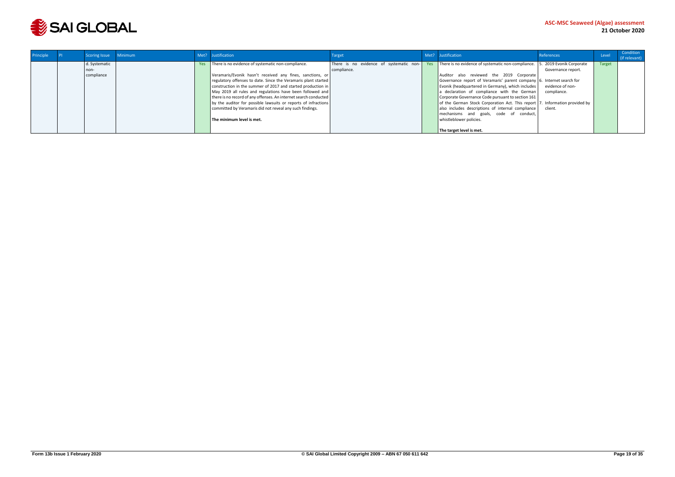

| Principle | Scoring Issue | Minimum |            | Met? Justification                                               | Target                                  | Met? Justification                                                          | References              | Level         | Condition<br>(if relevant) |
|-----------|---------------|---------|------------|------------------------------------------------------------------|-----------------------------------------|-----------------------------------------------------------------------------|-------------------------|---------------|----------------------------|
|           | d. Systematic |         | <b>Yes</b> | There is no evidence of systematic non-compliance.               | There is no evidence of systematic non- | Yes There is no evidence of systematic non-compliance. 5.                   | . 2019 Evonik Corporate | <b>Target</b> |                            |
|           | non-          |         |            |                                                                  | compliance.                             |                                                                             | Governance report.      |               |                            |
|           | compliance    |         |            | Veramaris/Evonik hasn't received any fines, sanctions, or        |                                         | Auditor also reviewed the 2019 Corporate                                    |                         |               |                            |
|           |               |         |            | regulatory offenses to date. Since the Veramaris plant started   |                                         | Governance report of Veramaris' parent company 6. Internet search for       |                         |               |                            |
|           |               |         |            | construction in the summer of 2017 and started production in     |                                         | Evonik (headquartered in Germany), which includes                           | evidence of non-        |               |                            |
|           |               |         |            | May 2019 all rules and regulations have been followed and        |                                         | a declaration of compliance with the German                                 | compliance.             |               |                            |
|           |               |         |            | there is no record of any offenses. An internet search conducted |                                         | Corporate Governance Code pursuant to section 161                           |                         |               |                            |
|           |               |         |            | by the auditor for possible lawsuits or reports of infractions   |                                         | of the German Stock Corporation Act. This report 7. Information provided by |                         |               |                            |
|           |               |         |            | committed by Veramaris did not reveal any such findings.         |                                         | also includes descriptions of internal compliance                           | client.                 |               |                            |
|           |               |         |            |                                                                  |                                         | mechanisms and goals, code of conduct,                                      |                         |               |                            |
|           |               |         |            | The minimum level is met.                                        |                                         | whistleblower policies.                                                     |                         |               |                            |
|           |               |         |            |                                                                  |                                         |                                                                             |                         |               |                            |
|           |               |         |            |                                                                  |                                         | The target level is met.                                                    |                         |               |                            |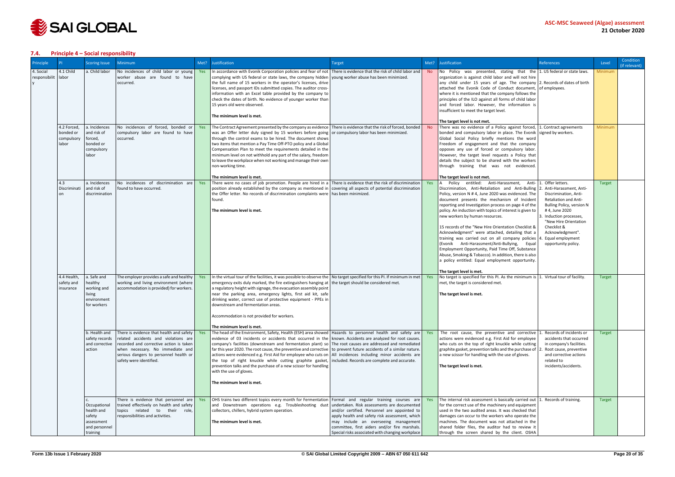

#### <span id="page-19-0"></span>**7.4. Principle 4 – Social responsibility**

| Principle                  |                                                 | <b>Scoring Issue</b>                                                            | <b>Minimum</b>                                                                                                                                                                                                                       | Met? | Justification                                                                                                                                                                                                                                                                                                                                                                                                                                                                                                                                                                                                                                                                                                                                                                                                 | Target                                                                                                                                                                                                                                                                                     | Met?           | Justification                                                                                                                                                                                                                                                                                                                                                                                                                                                                                                                                                                                                                                                                                                                                                                                                            | <b>References</b>                                                                                                                                                                                                                                            | Level         | Condition<br>(if relevant) |
|----------------------------|-------------------------------------------------|---------------------------------------------------------------------------------|--------------------------------------------------------------------------------------------------------------------------------------------------------------------------------------------------------------------------------------|------|---------------------------------------------------------------------------------------------------------------------------------------------------------------------------------------------------------------------------------------------------------------------------------------------------------------------------------------------------------------------------------------------------------------------------------------------------------------------------------------------------------------------------------------------------------------------------------------------------------------------------------------------------------------------------------------------------------------------------------------------------------------------------------------------------------------|--------------------------------------------------------------------------------------------------------------------------------------------------------------------------------------------------------------------------------------------------------------------------------------------|----------------|--------------------------------------------------------------------------------------------------------------------------------------------------------------------------------------------------------------------------------------------------------------------------------------------------------------------------------------------------------------------------------------------------------------------------------------------------------------------------------------------------------------------------------------------------------------------------------------------------------------------------------------------------------------------------------------------------------------------------------------------------------------------------------------------------------------------------|--------------------------------------------------------------------------------------------------------------------------------------------------------------------------------------------------------------------------------------------------------------|---------------|----------------------------|
| 4. Social<br>responsibilit | 4.1 Child<br>labor                              | a. Child labor                                                                  | No incidences of child labor or young<br>worker abuse are found to have<br>occurred.                                                                                                                                                 |      | $\gamma$ es In accordance with Evonik Corporation policies and fear of not There is evidence that the risk of child labor and<br>complying with US federal or state laws, the company hidden voung worker abuse has been minimized.<br>the full name of 15 workers in the operator's licenses, drive<br>licenses, and passport IDs submitted copies. The auditor cross-<br>information with an Excel table provided by the company to<br>check the dates of birth. No evidence of younger worker than<br>15 years old were observed.<br>The minimum level is met.                                                                                                                                                                                                                                             |                                                                                                                                                                                                                                                                                            | <b>No</b>      | No Policy was presented, stating that the $\vert$ 1. US federal or state laws.<br>organization is against child labor and will not hire<br>any child under 15 years of age. The company $\vert$ 2. Records of dates of birth<br>attached the Evonik Code of Conduct document, of employees.<br>where it is mentioned that the company follows the<br>principles of the ILO against all forms of child labor<br>and forced labor. However, the information is<br>insufficient to meet the target level.<br>The target level is not met.                                                                                                                                                                                                                                                                                   |                                                                                                                                                                                                                                                              | Minimum       |                            |
|                            | 4.2 Forced,<br>bonded or<br>compulsory<br>labor | a. Incidences<br>and risk of<br>forced,<br>bonded or<br>compulsory<br>labor     | No incidences of forced, bonded or<br>compulsory labor are found to have<br>occurred.                                                                                                                                                | Yes  | The Contract Agreement presented by the company as evidence   There is evidence that the risk of forced, bonded  <br>was an Offer letter duly signed by 15 workers before going or compulsory labor has been minimized.<br>through the control exams to be hired. The document shows<br>two items that mention a Pay Time Off-PTO policy and a Global<br>Compensation Plan to meet the requirements detailed in the<br>minimum level on not withhold any part of the salary, freedom<br>to leave the workplace when not working and manage their own<br>non-working time.                                                                                                                                                                                                                                     |                                                                                                                                                                                                                                                                                            | N <sub>o</sub> | There was no evidence of a Policy against forced, 1. Contract agreements<br>bonded and compulsory labor in place. The Evonik signed by workers.<br>Global Social Policy briefly mentions the word<br>Freedom of engagement and that the company<br>opposes any use of forced or compulsory labor.<br>However, the target level requests a Policy that<br>details the subject to be shared with the workers<br>through training that was not evidenced.                                                                                                                                                                                                                                                                                                                                                                   |                                                                                                                                                                                                                                                              | Minimum       |                            |
|                            | 4.3<br>Discriminati<br><sub>on</sub>            | a. Incidences<br>and risk of<br>discrimination                                  | No incidences of discrimination are Yes<br>found to have occurred.                                                                                                                                                                   |      | The minimum level is met.<br>There were no cases of job promotion. People are hired in a There is evidence that the risk of discrimination<br>position already established by the company as mentioned in covering all aspects of potential discrimination<br>the Offer letter. No records of discrimination complaints were has been minimized.<br>found.<br>The minimum level is met.                                                                                                                                                                                                                                                                                                                                                                                                                       |                                                                                                                                                                                                                                                                                            | Yes            | The target level is not met.<br>A Policy entitled: Anti-Harassment, Anti- 1. Offer letters.<br>Discrimination, Anti-Retaliation and Anti-Bulling<br>Policy, version N # 4, June 2020 was evidenced. The<br>document presents the mechanism of Incident<br>reporting and Investigation process on page 4 of the<br>policy. An induction with topics of interest is given to<br>new workers by human resources.<br>15 records of the "New Hire Orientation Checklist &<br>Acknowledgment" were attached, detailing that a<br>training was carried out on all company policies<br>(Evonik Anti-Harassment/Anti-Bullying, Equal<br>Employment Opportunity, Paid Time Off, Substance<br>Abuse, Smoking & Tobacco). In addition, there is also<br>a policy entitled: Equal employment opportunity.<br>The target level is met. | Anti-Harassment, Anti-<br>Discrimination, Anti-<br><b>Retaliation and Anti-</b><br>Bulling Policy, version N<br>#4, June 2020<br>Induction processes,<br>"New Hire Orientation<br>Checklist &<br>Acknowledgment".<br>Equal employment<br>opportunity policy. | <b>Target</b> |                            |
|                            | 4.4 Health,<br>safety and<br>insurance          | a. Safe and<br>healthy<br>working and<br>living<br>environment<br>for workers   | The employer provides a safe and healthy<br>working and living environment (where<br>accommodation is provided) for workers.                                                                                                         | Yes  | In the virtual tour of the facilities, it was possible to observe the No target specified for this PI. If minimum in met<br>emergency exits duly marked, the fire extinguishers hanging at the target should be considered met.<br>a regulatory height with signage, the evacuation assembly point<br>near the parking area, emergency lights, first aid kit, safe<br>drinking water, correct use of protective equipment - PPEs in<br>downstream and fermentation areas.<br>Accommodation is not provided for workers.<br>The minimum level is met.                                                                                                                                                                                                                                                          |                                                                                                                                                                                                                                                                                            | Yes            | No target is specified for this PI. As the minimum is $ 1$ . Virtual tour of facility.<br>met, the target is considered met.<br>The target level is met.                                                                                                                                                                                                                                                                                                                                                                                                                                                                                                                                                                                                                                                                 |                                                                                                                                                                                                                                                              | <b>Target</b> |                            |
|                            |                                                 | b. Health and<br>safety records<br>and corrective<br>action                     | There is evidence that health and safety<br>related accidents and violations are<br>recorded and corrective action is taken<br>when necessary. No immediate and<br>serious dangers to personnel health or<br>safety were identified. | Yes  | The head of the Environment, Safety, Health (ESH) area showed   Hazards to personnel health and safety are<br>evidence of 03 incidents or accidents that occurred in the known. Accidents are analyzed for root causes.<br>company's facilities (downstream and fermentation plant) so The root causes are addressed and remediated<br>far this year 2020. The root cause, the preventive and corrective to prevent future accidents of a similar nature.<br>actions were evidenced e.g. First Aid for employee who cuts on   All incidences including minor accidents are<br>the top of right knuckle while cutting graphite gasket, included. Records are complete and accurate.<br>prevention talks and the purchase of a new scissor for handling<br>with the use of gloves.<br>The minimum level is met. |                                                                                                                                                                                                                                                                                            | Yes            | The root cause, the preventive and corrective $ 1$ .<br>actions were evidenced e.g. First Aid for employee<br>who cuts on the top of right knuckle while cutting<br>graphite gasket, prevention talks and the purchase of 2<br>a new scissor for handling with the use of gloves.<br>The target level is met.                                                                                                                                                                                                                                                                                                                                                                                                                                                                                                            | . Records of incidents or<br>accidents that occurred<br>in company's facilities.<br>Root cause, preventive<br>and corrective actions<br>related to<br>incidents/accidents.                                                                                   | Target        |                            |
|                            |                                                 | Occupational<br>health and<br>safety<br>assessment<br>and personnel<br>training | There is evidence that personnel are Yes<br>trained effectively on health and safety<br>topics related to their role,<br>responsibilities and activities.                                                                            |      | OHS trains two different topics every month for Fermentation   Formal and regular training courses are<br>and Downstream operations e.g. Troubleshooting dust<br>collectors, chillers, hybrid system operation.<br>The minimum level is met.                                                                                                                                                                                                                                                                                                                                                                                                                                                                                                                                                                  | undertaken. Risk assessments are documented<br>and/or certified. Personnel are appointed to<br>apply health and safety risk assessment, which<br>may include an overseeing management<br>committee, first aiders and/or fire marshals.<br>Special risks associated with changing workplace | Yes            | The internal risk assessment is basically carried out   1. Records of training.<br>for the correct use of the machinery and equipment<br>used in the two audited areas. It was checked that<br>damages can occur to the workers who operate the<br>machines. The document was not attached in the<br>shared folder files, the auditor had to review it<br>through the screen shared by the client. OSHA                                                                                                                                                                                                                                                                                                                                                                                                                  |                                                                                                                                                                                                                                                              | <b>Target</b> |                            |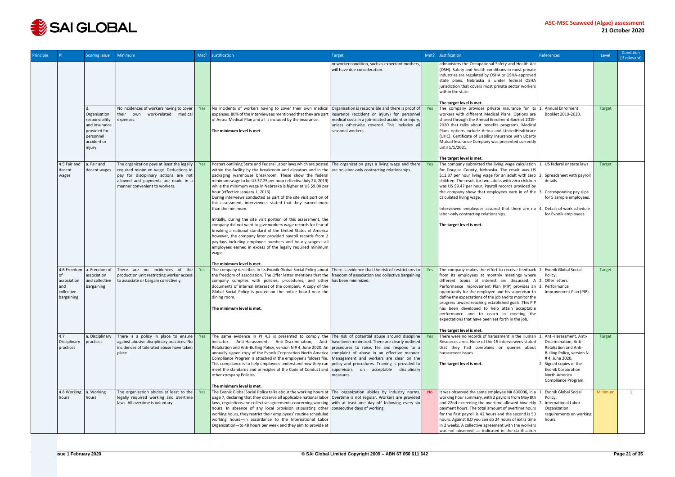

| Principle |                                                               | <b>Scoring Issue</b>                                                                                  | <b>Minimum</b>                                                                                                                                      | Met? | <b>Justification</b>                                                                                                                                                                                                                                                                                                                                                                                                                                                                                                                                                                                                                                                                                                                                                                                                                      | Target                                                                                                                                                                                                                      | Met?           | Justification                                                                                                                                                                                                                                                                                                                                                                                                                                                                                                                                                                                                             | <b>References</b>                                                                                                                                                                          | Level         | Condition<br>(if relevant) |
|-----------|---------------------------------------------------------------|-------------------------------------------------------------------------------------------------------|-----------------------------------------------------------------------------------------------------------------------------------------------------|------|-------------------------------------------------------------------------------------------------------------------------------------------------------------------------------------------------------------------------------------------------------------------------------------------------------------------------------------------------------------------------------------------------------------------------------------------------------------------------------------------------------------------------------------------------------------------------------------------------------------------------------------------------------------------------------------------------------------------------------------------------------------------------------------------------------------------------------------------|-----------------------------------------------------------------------------------------------------------------------------------------------------------------------------------------------------------------------------|----------------|---------------------------------------------------------------------------------------------------------------------------------------------------------------------------------------------------------------------------------------------------------------------------------------------------------------------------------------------------------------------------------------------------------------------------------------------------------------------------------------------------------------------------------------------------------------------------------------------------------------------------|--------------------------------------------------------------------------------------------------------------------------------------------------------------------------------------------|---------------|----------------------------|
|           |                                                               |                                                                                                       |                                                                                                                                                     |      |                                                                                                                                                                                                                                                                                                                                                                                                                                                                                                                                                                                                                                                                                                                                                                                                                                           | or worker condition, such as expectant mothers,<br>will have due consideration.                                                                                                                                             |                | administers the Occupational Safety and Health Act<br>(OSH). Safety and health conditions in most private<br>industries are regulated by OSHA or OSHA-approved<br>state plans. Nebraska is under federal OSHA<br>jurisdiction that covers most private sector workers<br>within the state.                                                                                                                                                                                                                                                                                                                                |                                                                                                                                                                                            |               |                            |
|           |                                                               |                                                                                                       |                                                                                                                                                     |      |                                                                                                                                                                                                                                                                                                                                                                                                                                                                                                                                                                                                                                                                                                                                                                                                                                           |                                                                                                                                                                                                                             |                | The target level is met.                                                                                                                                                                                                                                                                                                                                                                                                                                                                                                                                                                                                  |                                                                                                                                                                                            |               |                            |
|           |                                                               | Organisation<br>responsibility<br>and insurance<br>provided for<br>personnel<br>accident or<br>injury | No incidences of workers having to cover<br>their own<br>work-related<br>medical<br>expenses.                                                       | Yes  | No incidents of workers having to cover their own medical<br>expenses. 80% of the Interviewees mentioned that they are par<br>of Aetna Medical Plan and all is included by the insurance.<br>The minimum level is met.                                                                                                                                                                                                                                                                                                                                                                                                                                                                                                                                                                                                                    | Organisation is responsible and there is proof of<br>insurance (accident or injury) for personnel<br>medical costs in a job-related accident or injury,<br>unless otherwise covered. This includes all<br>seasonal workers. | Yes            | The company provides private insurance for its $ 1$ .<br>workers with different Medical Plans. Options are<br>shared through the Annual Enrolment Booklet 2019-<br>2020 that talks about benefits programs. Medical<br>Plans options include Aetna and UnitedHealthcare<br>(UHC). Certificate of Liability Insurance with Liberty<br>Mutual Insurance Company was presented currently<br>until 1/1/2021.<br>The target level is met.                                                                                                                                                                                      | <b>Annual Enrolment</b><br>Booklet 2019-2020.                                                                                                                                              | <b>Target</b> |                            |
|           | 4.5 Fair and                                                  | a. Fair and                                                                                           | The organization pays at least the legally $\vert$                                                                                                  | Yes  | Posters outlining State and Federal Labor laws which are posted The organization pays a living wage and there                                                                                                                                                                                                                                                                                                                                                                                                                                                                                                                                                                                                                                                                                                                             |                                                                                                                                                                                                                             | Yes            | The company submitted the living wage calculation   1. US federal or state laws.                                                                                                                                                                                                                                                                                                                                                                                                                                                                                                                                          |                                                                                                                                                                                            | Target        |                            |
|           | decent<br>wages                                               | decent wages                                                                                          | required minimum wage. Deductions in<br>pay for disciplinary actions are not<br>allowed and payments are made in a<br>manner convenient to workers. |      | within the facility by the breakroom and elevators and in the $\vert$ are no labor-only contracting relationships.<br>packaging warehouse breakroom. These show the federal<br>minimum wage to be US \$7.25 per hour (effective July 24, 2019)<br>while the minimum wage in Nebraska is higher at US \$9.00 per<br>hour (effective January 1, 2016).<br>During interviews conducted as part of the site visit portion of<br>this assessment, interviewees stated that they earned more<br>than the minimum.<br>Initially, during the site visit portion of this assessment, the<br>company did not want to give workers wage records for fear of<br>breaking a national standard of the United States of America<br>however, the company later provided payroll records from 2<br>paydays including employee numbers and hourly wages-all |                                                                                                                                                                                                                             |                | for Douglas County, Nebraska. The result was US<br>\$11.37 per hour living wage for an adult with zero $\vert$ 2. Spreadsheet with payroll<br>children. The result for two adults with zero children<br>was US \$9.47 per hour. Payroll records provided by<br>the company show that employees earn in of the 3<br>calculated living wage.<br>Interviewed employees assured that there are no $ 4$ .<br>labor-only contracting relationships.<br>The target level is met.                                                                                                                                                 | details.<br>Corresponding pay slips<br>for 5 sample employees.<br>Details of work schedule<br>for Evonik employees.                                                                        |               |                            |
|           |                                                               |                                                                                                       |                                                                                                                                                     |      | employees earned in excess of the legally required minimum<br>wage.<br>The minimum level is met.                                                                                                                                                                                                                                                                                                                                                                                                                                                                                                                                                                                                                                                                                                                                          |                                                                                                                                                                                                                             |                |                                                                                                                                                                                                                                                                                                                                                                                                                                                                                                                                                                                                                           |                                                                                                                                                                                            |               |                            |
|           | 4.6 Freedom<br>association<br>and<br>collective<br>bargaining | a. Freedom of<br>association<br>and collective<br>bargaining                                          | There are no incidences of the<br>production unit restricting worker access<br>to associate or bargain collectively.                                | Yes  | The company describes in its Evonik Global Social Policy about There is evidence that the risk of restrictions to<br>the freedom of association. The Offer letter mentions that the   freedom of association and collective bargaining<br>company complies with policies, procedures, and other has been minimized.<br>documents of internal interest of the company. A copy of the<br>Global Social Policy is posted on the notice board near the<br>dining room.<br>The minimum level is met.                                                                                                                                                                                                                                                                                                                                           |                                                                                                                                                                                                                             | <b>Yes</b>     | The company makes the effort to receive feedback   1. Evonik Global Social<br>from its employees at monthly meetings where<br>different topics of interest are discussed. $A \mid 2$ . Offer letters.<br>Performance Improvement Plan (PIP) provides an 3. Performance<br>opportunity for the employee and his supervisor to<br>define the expectations of the job and to monitor the<br>progress toward reaching established goals. This PIP<br>has been developed to help attain acceptable<br>performance and to coach in meeting the<br>expectations that have been set forth in the job.<br>The target level is met. | Policy.<br>Improvement Plan (PIP).                                                                                                                                                         | <b>Target</b> |                            |
|           | 4.7<br>Disciplinary<br>practices                              | a. Disciplinary<br>practices                                                                          | There is a policy in place to ensure<br>against abusive disciplinary practices. No<br>incidences of tolerated abuse have taken<br>place.            | Yes  | The same evidence in PI 4.3 is presented to comply the The risk of potential abuse around discipline<br>indicator. Anti-Harassment, Anti-Discrimination, Anti- have been minimized. There are clearly outlined<br>Retaliation and Anti-Bulling Policy, version N # 4, June 2020. An procedures to raise, file and respond to a<br>annually signed copy of the Evonik Corporation North America complaint of abuse in an effective manner.<br>Compliance Program is attached in the employee's folders file.   Management and workers are clear on the<br>This compliance is to help employees understand how they can policy and procedures. Training is provided to<br>meet the standards and principles of the Code of Conduct and   supervisors on acceptable disciplinary<br>other company Policies.<br>The minimum level is met.     | measures.                                                                                                                                                                                                                   | Yes            | There were no records of harassment in the Human   1. Anti-Harassment, Anti-<br>Resources area. None of the 15 interviewees stated<br>that they had complains or queries about<br>harassment issues.<br>The target level is met.                                                                                                                                                                                                                                                                                                                                                                                          | Discrimination, Anti-<br>Retaliation and Anti-<br>Bulling Policy, version N<br>#4, June 2020.<br>Signed copies of the<br><b>Evonik Corporation</b><br>North America<br>Compliance Program. | Target        |                            |
|           | 4.8 Working<br>hours                                          | a. Working<br>hours                                                                                   | The organization abides at least to the<br>legally required working and overtime<br>laws. All overtime is voluntary.                                | Yes  | The Evonik Global Social Policy talks about the working hours at The organization abides by industry norms.<br>page 7, declaring that they observe all applicable national labor   Overtime is not regular. Workers are provided<br>laws, regulations and collective agreements concerning working with at least one day off following every six<br>hours. In absence of any local provision stipulating other consecutive days of working.<br>working hours, they restrict their employees' routine scheduled<br>working hours-in accordance to the International Labor<br>Organization-to 48 hours per week and they aim to provide at                                                                                                                                                                                                  |                                                                                                                                                                                                                             | N <sub>o</sub> | It was observed the same employee N# 800006, in a   1. Evonik Global Social<br>working hour summary, with 2 payrolls from May 8th<br>and 22nd exceeding the overtime allowed biweekly 2.<br>payment hours. The total amount of overtime hours<br>for the first payroll is 42 hours and the second is 50<br>hours. Against ILO you can do 24 hours of extra time<br>in 2 weeks. A collective agreement with the workers<br>was not observed, as indicated in the clarification                                                                                                                                             | Policy.<br>International Labor<br>Organization<br>requirements on working<br>hours.                                                                                                        | Minimum       | 1                          |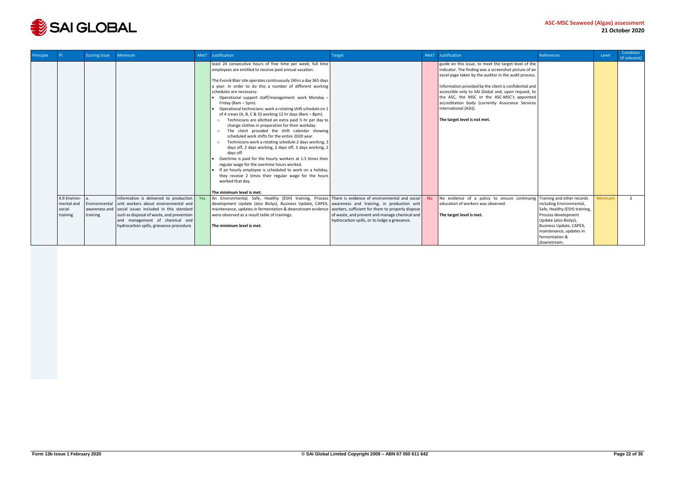

| <b>Principle</b> |                                                  | <b>Scoring Issue</b>      | <b>Minimum</b>                                                                                                                                                                                                                                                     | Met? | <b>Justification</b>                                                                                                                                                                                                                                                                                                                                                                                                                                                                                                                                                                                                                                                                                                                                                                                                                                                                                                                                                                                                                                                                                                                                                    | Target                                                                                        | Met?           | Justification                                                                                                                                                                                                                                                                                                                                                                                                                                       | References                                                                                                                                                                                       | Level   | <b>Condition</b><br>(if relevant) |
|------------------|--------------------------------------------------|---------------------------|--------------------------------------------------------------------------------------------------------------------------------------------------------------------------------------------------------------------------------------------------------------------|------|-------------------------------------------------------------------------------------------------------------------------------------------------------------------------------------------------------------------------------------------------------------------------------------------------------------------------------------------------------------------------------------------------------------------------------------------------------------------------------------------------------------------------------------------------------------------------------------------------------------------------------------------------------------------------------------------------------------------------------------------------------------------------------------------------------------------------------------------------------------------------------------------------------------------------------------------------------------------------------------------------------------------------------------------------------------------------------------------------------------------------------------------------------------------------|-----------------------------------------------------------------------------------------------|----------------|-----------------------------------------------------------------------------------------------------------------------------------------------------------------------------------------------------------------------------------------------------------------------------------------------------------------------------------------------------------------------------------------------------------------------------------------------------|--------------------------------------------------------------------------------------------------------------------------------------------------------------------------------------------------|---------|-----------------------------------|
|                  |                                                  |                           |                                                                                                                                                                                                                                                                    |      | least 24 consecutive hours of free time per week; full time<br>employees are entitled to receive paid annual vacation.<br>The Evonik Blair site operates continuously 24hrs a day 365 days<br>a year. In order to do this a number of different working<br>schedules are necessary:<br>Operational support staff/management: work Monday -<br>Friday (8am - 5pm).<br>Operational technicians: work a rotating shift schedule on 1<br>of 4 crews (A, B, C & D) working 12 hr days (8am – 8pm).<br>Technicians are allotted an extra paid $\frac{1}{2}$ hr per day to<br>change clothes in preparation for their workday.<br>The client provided the shift calendar showing<br>$\circ$<br>scheduled work shifts for the entire 2020 year.<br>Technicians work a rotating schedule 2 days working, 3<br>$\circ$<br>days off, 2 days working, 2 days off, 3 days working, 2<br>days off.<br>Overtime is paid for the hourly workers at 1.5 times their<br>regular wage for the overtime hours worked.<br>If an hourly employee is scheduled to work on a holiday,<br>they receive 2 times their regular wage for the hours<br>worked that day.<br>The minimum level is met. |                                                                                               |                | guide on this issue, to meet the target level of the<br>indicator. The finding was a screenshot picture of an<br>excel page taken by the auditor in the audit process.<br>Information provided by the client is confidential and<br>accessible only to SAI Global and, upon request, to<br>the ASC, the MSC or the ASC-MSC's appointed<br>accreditation body (currently Assurance Services<br>International (ASI)).<br>The target level is not met. |                                                                                                                                                                                                  |         |                                   |
|                  | 4.9 Environ-<br>mental and<br>social<br>training | Environmental<br>training | Information is delivered to production<br>unit workers about environmental and<br>awareness and social issues included in this standard<br>such as disposal of waste, and prevention<br>and management of chemical and<br>hydrocarbon spills, grievance procedure. | Yes  | An Environmental, Safe, Healthy (ESH) training, Process There is evidence of environmental and social<br>development Update (also Biolys), Business Update, CAPEX, awareness and training, in production unit<br>maintenance, updates in fermentation & downstream evidence   workers, sufficient for them to properly dispose<br>were observed as a result table of trainings.<br>The minimum level is met.                                                                                                                                                                                                                                                                                                                                                                                                                                                                                                                                                                                                                                                                                                                                                            | of waste, and prevent and manage chemical and<br>hydrocarbon spills, or to lodge a grievance. | N <sub>o</sub> | No evidence of a policy to ensure continuing Training and other records<br>education of workers was observed.<br>The target level is met.                                                                                                                                                                                                                                                                                                           | including Environmental,<br>Safe, Healthy (ESH) training,<br>Process development<br>Update (also Biolys),<br>Business Update, CAPEX,<br>maintenance, updates in<br>fermentation &<br>downstream. | Minimum | $\overline{2}$                    |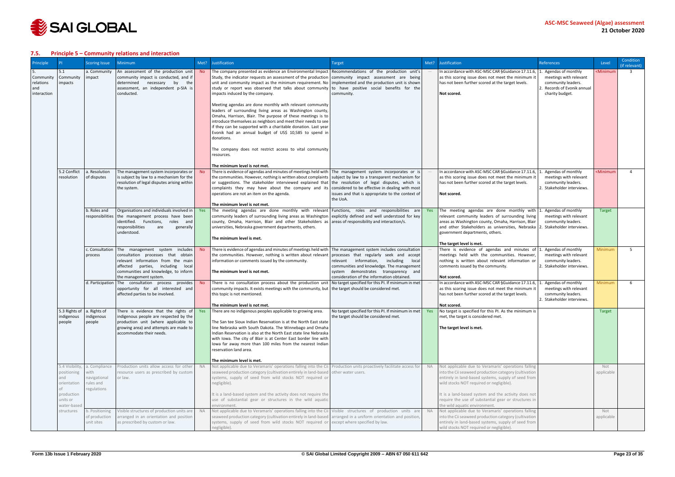

#### <span id="page-22-0"></span>**7.5. Principle 5 – Community relations and interaction**

| Principle                                    |                                                      | <b>Scoring Issue</b>                                              | Minimum                                                                                                                                                                                                                        |           | Met? Justification                                                                                                                                                                                                                                                                                                                                                                                                                                                                                                                                   | <b>Target</b>                                                                                                                                                                                                           | Met?      | <b>Justification</b>                                                                                                                                                                                                                                                        | <b>References</b>                                                                                                 | Level                                                         | Condition<br>(if relevant) |
|----------------------------------------------|------------------------------------------------------|-------------------------------------------------------------------|--------------------------------------------------------------------------------------------------------------------------------------------------------------------------------------------------------------------------------|-----------|------------------------------------------------------------------------------------------------------------------------------------------------------------------------------------------------------------------------------------------------------------------------------------------------------------------------------------------------------------------------------------------------------------------------------------------------------------------------------------------------------------------------------------------------------|-------------------------------------------------------------------------------------------------------------------------------------------------------------------------------------------------------------------------|-----------|-----------------------------------------------------------------------------------------------------------------------------------------------------------------------------------------------------------------------------------------------------------------------------|-------------------------------------------------------------------------------------------------------------------|---------------------------------------------------------------|----------------------------|
| Community<br>relations<br>and<br>interaction | 5.1<br>Community<br>mpacts                           | a. Community<br>impact                                            | An assessment of the production unit<br>community impact is conducted, and if<br>determined<br>necessary<br>by<br>the<br>assessment, an independent p-SIA is<br>conducted.                                                     | No.       | The company presented as evidence an Environmental Impact Recommendations of the production unit's<br>Study, the indicator requests an assessment of the production community impact assessment are being<br>unit and community impact as the minimum requirement. No implemented and the production unit is shown<br>study or report was observed that talks about community to have positive social benefits for the<br>impacts induced by the company.                                                                                            | community.                                                                                                                                                                                                              |           | In accordance with ASC-MSC CAR §Guidance 17.11.6,<br>as this scoring issue does not meet the minimum it<br>has not been further scored at the target levels.<br>Not scored.                                                                                                 | Agendas of monthly<br>meetings with relevant<br>community leaders.<br>Records of Evonik annual<br>charity budget. | <minimum< td=""><td><math>\overline{3}</math></td></minimum<> | $\overline{3}$             |
|                                              |                                                      |                                                                   |                                                                                                                                                                                                                                |           | Meeting agendas are done monthly with relevant community<br>leaders of surrounding living areas as Washington county,<br>Omaha, Harrison, Blair. The purpose of these meetings is to<br>introduce themselves as neighbors and meet their needs to see<br>if they can be supported with a charitable donation. Last year<br>Evonik had an annual budget of US\$ 10,585 to spend in<br>donations.                                                                                                                                                      |                                                                                                                                                                                                                         |           |                                                                                                                                                                                                                                                                             |                                                                                                                   |                                                               |                            |
|                                              |                                                      |                                                                   |                                                                                                                                                                                                                                |           | The company does not restrict access to vital community<br>resources.                                                                                                                                                                                                                                                                                                                                                                                                                                                                                |                                                                                                                                                                                                                         |           |                                                                                                                                                                                                                                                                             |                                                                                                                   |                                                               |                            |
|                                              | 5.2 Conflict<br>resolution                           | a. Resolution<br>of disputes                                      | The management system incorporates or<br>is subject by law to a mechanism for the<br>resolution of legal disputes arising within<br>the system.                                                                                |           | The minimum level is not met.<br>There is evidence of agendas and minutes of meetings held with The management system incorporates or is<br>the communities. However, nothing is written about complaints subject by law to a transparent mechanism for<br>or suggestions. The stakeholder interviewed explained that the resolution of legal disputes, which is<br>complaints they may have about the company and its considered to be effective in dealing with most<br>operations are not an item on the agenda.<br>The minimum level is not met. | issues and that is appropriate to the context of<br>the UoA.                                                                                                                                                            |           | In accordance with ASC-MSC CAR §Guidance 17.11.6,<br>as this scoring issue does not meet the minimum it<br>has not been further scored at the target levels.<br>Not scored.                                                                                                 | Agendas of monthly<br>meetings with relevant<br>community leaders.<br>2. Stakeholder interviews.                  | <minimum< td=""><td><math>\overline{4}</math></td></minimum<> | $\overline{4}$             |
|                                              |                                                      | b. Roles and<br>responsibilities                                  | Organisations and individuals involved in<br>the management process have been<br>identified. Functions,<br>roles<br>and<br>responsibilities<br>are<br>generally<br>understood.                                                 | Yes       | The meeting agendas are done monthly with relevant Functions, roles and responsibilities are<br>community leaders of surrounding living areas as Washington explicitly defined and well understood for key<br>county, Omaha, Harrison, Blair and other Stakeholders as areas of responsibility and interaction/s.<br>universities, Nebraska government departments, others.<br>The minimum level is met.                                                                                                                                             |                                                                                                                                                                                                                         | Yes       | The meeting agendas are done monthly with $ 1$<br>relevant community leaders of surrounding living<br>areas as Washington county, Omaha, Harrison, Blair<br>and other Stakeholders as universities, Nebraska<br>government departments, others.<br>The target level is met. | Agendas of monthly<br>meetings with relevant<br>community leaders.<br>Stakeholder interviews.                     | Target                                                        |                            |
|                                              |                                                      | c. Consultation<br>process                                        | The management system<br><i>includes</i><br>consultation processes that obtain<br>relevant information from the main<br>affected<br>parties, including local<br>communities and knowledge, to inform<br>the management system. | <b>No</b> | There is evidence of agendas and minutes of meetings held with The management system includes consultation<br>the communities. However, nothing is written about relevant<br>information or comments issued by the community.<br>The minimum level is not met.                                                                                                                                                                                                                                                                                       | processes that regularly seek and accept<br>relevant information, including<br>local<br>communities and knowledge. The management<br>system demonstrates transparency and<br>consideration of the information obtained. |           | There is evidence of agendas and minutes of $\vert$ 1. Agendas of monthly<br>meetings held with the communities. However,<br>nothing is written about relevant information or<br>comments issued by the community.<br>Not scored.                                           | meetings with relevant<br>community leaders.<br>2. Stakeholder interviews.                                        | Minimum                                                       | 5 <sup>1</sup>             |
|                                              |                                                      | d. Participation                                                  | The consultation process provides<br>opportunity for all interested and<br>affected parties to be involved.                                                                                                                    | <b>No</b> | There is no consultation process about the production unit No target specified for this PI. If minimum in met<br>community impacts. It exists meetings with the community, but   the target should be considered met.<br>this topic is not mentioned.<br>The minimum level is not met.                                                                                                                                                                                                                                                               |                                                                                                                                                                                                                         |           | In accordance with ASC-MSC CAR §Guidance 17.11.6,<br>as this scoring issue does not meet the minimum it<br>has not been further scored at the target levels.<br>Not scored.                                                                                                 | Agendas of monthly<br>meetings with relevant<br>community leaders.<br>2. Stakeholder interviews.                  | Minimum                                                       | 6                          |
|                                              | indigenous<br>people                                 | 5.3 Rights of $\vert$ a. Rights of<br>indigenous<br>people        | There is evidence that the rights of Yes<br>indigenous people are respected by the<br>production unit (where applicable to<br>growing area) and attempts are made to<br>accommodate their needs.                               |           | There are no indigenous peoples applicable to growing area. No target specified for this PI. If minimum in met<br>The San tee Sioux Indian Reservation is at the North East state<br>line Nebraska with South Dakota. The Winnebago and Omaha<br>Indian Reservation is also at the North East state line Nebraska<br>with Iowa. The city of Blair is at Center East border line with<br>lowa far away more than 100 miles from the nearest Indian<br>reservation land area.                                                                          | the target should be considered met.                                                                                                                                                                                    | Yes       | No target is specified for this PI. As the minimum is<br>met, the target is considered met.<br>The target level is met.                                                                                                                                                     |                                                                                                                   | Target                                                        |                            |
|                                              | 5.4 Visibility,<br>positioning<br>and<br>orientation | a. Compliance<br>with<br>navigational<br>rules and<br>regulations | Production units allow access for other<br>resource users as prescribed by custom<br>or law.                                                                                                                                   | <b>NA</b> | The minimum level is met.<br>Not applicable due to Veramaris' operations falling into the Cii Production units proactively facilitate access for<br>seaweed production category (cultivation entirely in land-based other water users.<br>systems, supply of seed from wild stocks NOT required or<br>negligible).                                                                                                                                                                                                                                   |                                                                                                                                                                                                                         | <b>NA</b> | Not applicable due to Veramaris' operations falling<br>into the Cii seaweed production category (cultivation<br>entirely in land-based systems, supply of seed from<br>wild stocks NOT required or negligible).                                                             |                                                                                                                   | Not<br>applicable                                             |                            |
|                                              | production<br>units or<br>water-based                |                                                                   |                                                                                                                                                                                                                                |           | It is a land-based system and the activity does not require the<br>use of substantial gear or structures in the wild aquatic<br>environment                                                                                                                                                                                                                                                                                                                                                                                                          |                                                                                                                                                                                                                         |           | It is a land-based system and the activity does not<br>require the use of substantial gear or structures in<br>the wild aquatic environment.                                                                                                                                |                                                                                                                   |                                                               |                            |
|                                              | structures                                           | b. Positioning<br>of production<br>unit sites                     | Visible structures of production units are<br>arranged in an orientation and position<br>as prescribed by custom or law.                                                                                                       | <b>NA</b> | Not applicable due to Veramaris' operations falling into the Cii Visible structures of production units are<br>seaweed production category (cultivation entirely in land-based arranged in a uniform orientation and position,<br>systems, supply of seed from wild stocks NOT required or except where specified by law.<br>negligible).                                                                                                                                                                                                            |                                                                                                                                                                                                                         | <b>NA</b> | Not applicable due to Veramaris' operations falling<br>into the Cii seaweed production category (cultivation<br>entirely in land-based systems, supply of seed from<br>wild stocks NOT required or negligible).                                                             |                                                                                                                   | Not<br>applicable                                             |                            |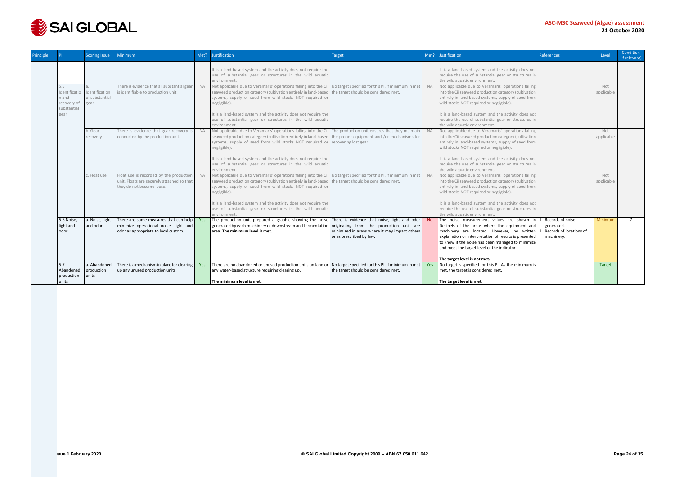

| Principle |                                                    | Scoring Issue                                          | <b>Minimum</b>                                                                                                         | Met?      | Justification                                                                                                                                                                                                                                                                                              | <b>Target</b>                                                                                                                                                            | Met?      | <b>Justification</b>                                                                                                                                                                                                                                                                                                                  | References                                                              | Level             | Condition<br>(if relevant) |
|-----------|----------------------------------------------------|--------------------------------------------------------|------------------------------------------------------------------------------------------------------------------------|-----------|------------------------------------------------------------------------------------------------------------------------------------------------------------------------------------------------------------------------------------------------------------------------------------------------------------|--------------------------------------------------------------------------------------------------------------------------------------------------------------------------|-----------|---------------------------------------------------------------------------------------------------------------------------------------------------------------------------------------------------------------------------------------------------------------------------------------------------------------------------------------|-------------------------------------------------------------------------|-------------------|----------------------------|
|           |                                                    |                                                        |                                                                                                                        |           | It is a land-based system and the activity does not require the<br>use of substantial gear or structures in the wild aquatic<br>environment                                                                                                                                                                |                                                                                                                                                                          |           | It is a land-based system and the activity does not<br>require the use of substantial gear or structures in<br>the wild aquatic environment.                                                                                                                                                                                          |                                                                         |                   |                            |
|           | 5.5<br>n and<br>recovery of<br>substantial<br>gear | Identificatio Identification<br>of substantial<br>gear | There is evidence that all substantial gear<br>is identifiable to production unit.                                     | <b>NA</b> | Not applicable due to Veramaris' operations falling into the Cii<br>seaweed production category (cultivation entirely in land-based<br>systems, supply of seed from wild stocks NOT required or<br>negligible).<br>It is a land-based system and the activity does not require the                         | No target specified for this PI. If minimum in met<br>the target should be considered met.                                                                               | <b>NA</b> | Not applicable due to Veramaris' operations falling<br>into the Cii seaweed production category (cultivation<br>entirely in land-based systems, supply of seed from<br>wild stocks NOT required or negligible).<br>It is a land-based system and the activity does not                                                                |                                                                         | Not<br>applicable |                            |
|           |                                                    |                                                        |                                                                                                                        |           | use of substantial gear or structures in the wild aquatic<br>environment                                                                                                                                                                                                                                   |                                                                                                                                                                          |           | require the use of substantial gear or structures in<br>the wild aquatic environment.                                                                                                                                                                                                                                                 |                                                                         |                   |                            |
|           |                                                    | b. Gear<br>recovery                                    | There is evidence that gear recovery is<br>conducted by the production unit.                                           | <b>NA</b> | Not applicable due to Veramaris' operations falling into the Cii The production unit ensures that they maintain<br>seaweed production category (cultivation entirely in land-based the proper equipment and /or mechanisms for<br>systems, supply of seed from wild stocks NOT required or<br>negligible). | recovering lost gear.                                                                                                                                                    | <b>NA</b> | Not applicable due to Veramaris' operations falling<br>into the Cii seaweed production category (cultivation<br>entirely in land-based systems, supply of seed from<br>wild stocks NOT required or negligible).                                                                                                                       |                                                                         | Not<br>applicable |                            |
|           |                                                    |                                                        |                                                                                                                        |           | It is a land-based system and the activity does not require the<br>use of substantial gear or structures in the wild aquatic<br>environment                                                                                                                                                                |                                                                                                                                                                          |           | It is a land-based system and the activity does not<br>require the use of substantial gear or structures in<br>the wild aquatic environment.                                                                                                                                                                                          |                                                                         |                   |                            |
|           |                                                    | c. Float use                                           | Float use is recorded by the production<br>unit. Floats are securely attached so that<br>they do not become loose.     | <b>NA</b> | Not applicable due to Veramaris' operations falling into the Cii<br>seaweed production category (cultivation entirely in land-based<br>systems, supply of seed from wild stocks NOT required or<br>negligible).                                                                                            | No target specified for this PI. If minimum in met<br>the target should be considered met.                                                                               | <b>NA</b> | Not applicable due to Veramaris' operations falling<br>into the Cii seaweed production category (cultivation<br>entirely in land-based systems, supply of seed from<br>wild stocks NOT required or negligible).                                                                                                                       |                                                                         | Not<br>applicable |                            |
|           |                                                    |                                                        |                                                                                                                        |           | It is a land-based system and the activity does not require the<br>use of substantial gear or structures in the wild aquatic<br>environment                                                                                                                                                                |                                                                                                                                                                          |           | It is a land-based system and the activity does not<br>require the use of substantial gear or structures in<br>the wild aquatic environment.                                                                                                                                                                                          |                                                                         |                   |                            |
|           | 5.6 Noise,<br>light and<br>odor                    | a. Noise, light<br>and odor                            | There are some measures that can help<br>minimize operational noise, light and<br>odor as appropriate to local custom. | Yes       | The production unit prepared a graphic showing the noise<br>generated by each machinery of downstream and fermentation<br>area. The minimum level is met.                                                                                                                                                  | There is evidence that noise, light and odor No<br>originating from the production unit are<br>minimized in areas where it may impact others<br>or as prescribed by law. |           | The noise measurement values are shown in<br>Decibels of the areas where the equipment and<br>machinery are located. However, no written<br>explanation or interpretation of results is presented<br>to know if the noise has been managed to minimize<br>and meet the target level of the indicator.<br>The target level is not met. | Records of noise<br>generated.<br>Records of locations of<br>machinery. | Minimum           | $\overline{7}$             |
|           | 5.7<br>Abandoned                                   | a. Abandoned<br>production                             | There is a mechanism in place for clearing<br>up any unused production units.                                          | Yes       | There are no abandoned or unused production units on land or<br>any water-based structure requiring clearing up.                                                                                                                                                                                           | No target specified for this PI. If minimum in met   Yes<br>the target should be considered met.                                                                         |           | No target is specified for this PI. As the minimum is<br>met, the target is considered met.                                                                                                                                                                                                                                           |                                                                         | <b>Target</b>     |                            |
|           | production<br>units                                | units                                                  |                                                                                                                        |           | The minimum level is met.                                                                                                                                                                                                                                                                                  |                                                                                                                                                                          |           | The target level is met.                                                                                                                                                                                                                                                                                                              |                                                                         |                   |                            |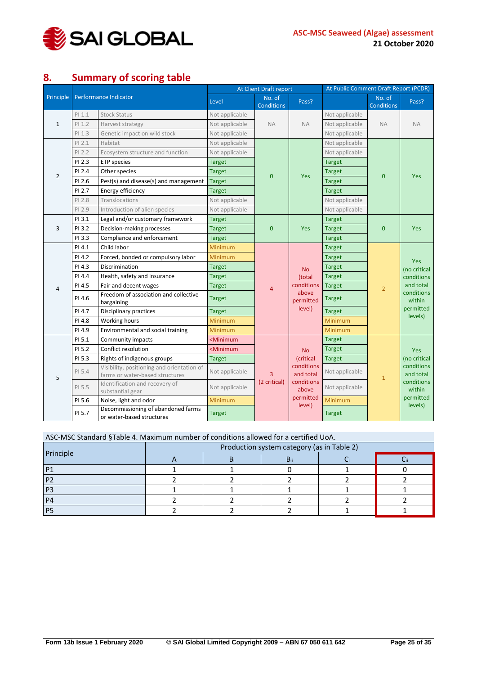

# <span id="page-24-0"></span>**8. Summary of scoring table**

| Principle      |          | Performance Indicator                                                         | Level                                                                                                                                                                                                                                                                                                                                                                                                                                                                                                                                                                                                                                                                                                                                                                                                                                                                                                                                                                                                                                                                                                                                                                                                                                                                                                                                               | No. of<br><b>Conditions</b>                                                                     | Pass?     |                | No. of<br>Conditions | Pass?                             |
|----------------|----------|-------------------------------------------------------------------------------|-----------------------------------------------------------------------------------------------------------------------------------------------------------------------------------------------------------------------------------------------------------------------------------------------------------------------------------------------------------------------------------------------------------------------------------------------------------------------------------------------------------------------------------------------------------------------------------------------------------------------------------------------------------------------------------------------------------------------------------------------------------------------------------------------------------------------------------------------------------------------------------------------------------------------------------------------------------------------------------------------------------------------------------------------------------------------------------------------------------------------------------------------------------------------------------------------------------------------------------------------------------------------------------------------------------------------------------------------------|-------------------------------------------------------------------------------------------------|-----------|----------------|----------------------|-----------------------------------|
|                | $PI$ 1.1 | <b>Stock Status</b>                                                           | Not applicable                                                                                                                                                                                                                                                                                                                                                                                                                                                                                                                                                                                                                                                                                                                                                                                                                                                                                                                                                                                                                                                                                                                                                                                                                                                                                                                                      |                                                                                                 |           | Not applicable |                      |                                   |
| $\mathbf{1}$   | PI 1.2   | Harvest strategy                                                              | At Client Draft report<br><b>NA</b><br><b>NA</b><br>Not applicable<br>Not applicable<br>Not applicable<br>Not applicable<br>Not applicable<br>Not applicable<br>Not applicable<br>Not applicable<br><b>Target</b><br><b>Target</b><br><b>Target</b><br><b>Target</b><br>$\mathbf{0}$<br>Yes<br><b>Target</b><br><b>Target</b><br><b>Target</b><br><b>Target</b><br>Not applicable<br>Not applicable<br>Not applicable<br>Not applicable<br><b>Target</b><br><b>Target</b><br>$\mathbf{0}$<br>Yes<br><b>Target</b><br><b>Target</b><br><b>Target</b><br><b>Target</b><br>Minimum<br><b>Target</b><br>Minimum<br><b>Target</b><br><b>Target</b><br><b>Target</b><br><b>No</b><br><b>Target</b><br><b>Target</b><br>(total<br>conditions<br><b>Target</b><br><b>Target</b><br>$\overline{4}$<br>above<br><b>Target</b><br><b>Target</b><br>permitted<br>level)<br><b>Target</b><br><b>Target</b><br>Minimum<br>Minimum<br>Minimum<br>Minimum<br><minimum<br><b>Target</b><br/><b>Target</b><br/><minimum<br><b>No</b><br/><i>(critical</i><br/><b>Target</b><br/><b>Target</b><br/>conditions<br/>Not applicable<br/>Not applicable<br/>and total<br/>3<br/>(2 critical)<br/>conditions<br/>Not applicable<br/>Not applicable<br/>above<br/>permitted<br/>Minimum<br/>Minimum<br/>level)<br/><b>Target</b><br/><b>Target</b></minimum<br></minimum<br> | <b>NA</b>                                                                                       | <b>NA</b> |                |                      |                                   |
|                | PI 1.3   | Genetic impact on wild stock                                                  |                                                                                                                                                                                                                                                                                                                                                                                                                                                                                                                                                                                                                                                                                                                                                                                                                                                                                                                                                                                                                                                                                                                                                                                                                                                                                                                                                     |                                                                                                 |           |                |                      |                                   |
|                | PI 2.1   | Habitat                                                                       |                                                                                                                                                                                                                                                                                                                                                                                                                                                                                                                                                                                                                                                                                                                                                                                                                                                                                                                                                                                                                                                                                                                                                                                                                                                                                                                                                     |                                                                                                 |           |                |                      |                                   |
|                | PI 2.2   | Ecosystem structure and function                                              |                                                                                                                                                                                                                                                                                                                                                                                                                                                                                                                                                                                                                                                                                                                                                                                                                                                                                                                                                                                                                                                                                                                                                                                                                                                                                                                                                     | At Public Comment Draft Report (PCDR)<br>$\bf{0}$<br>$\bf{0}$<br>$\overline{2}$<br>$\mathbf{1}$ |           |                |                      |                                   |
|                | PI 2.3   | <b>ETP</b> species                                                            |                                                                                                                                                                                                                                                                                                                                                                                                                                                                                                                                                                                                                                                                                                                                                                                                                                                                                                                                                                                                                                                                                                                                                                                                                                                                                                                                                     |                                                                                                 |           |                |                      |                                   |
|                | PI 2.4   | Other species                                                                 |                                                                                                                                                                                                                                                                                                                                                                                                                                                                                                                                                                                                                                                                                                                                                                                                                                                                                                                                                                                                                                                                                                                                                                                                                                                                                                                                                     |                                                                                                 |           |                |                      |                                   |
| $\overline{2}$ | PI 2.6   | Pest(s) and disease(s) and management                                         |                                                                                                                                                                                                                                                                                                                                                                                                                                                                                                                                                                                                                                                                                                                                                                                                                                                                                                                                                                                                                                                                                                                                                                                                                                                                                                                                                     |                                                                                                 |           | <b>Yes</b>     |                      |                                   |
|                | PI 2.7   | Energy efficiency                                                             |                                                                                                                                                                                                                                                                                                                                                                                                                                                                                                                                                                                                                                                                                                                                                                                                                                                                                                                                                                                                                                                                                                                                                                                                                                                                                                                                                     |                                                                                                 |           |                |                      |                                   |
|                | PI 2.8   | Translocations                                                                |                                                                                                                                                                                                                                                                                                                                                                                                                                                                                                                                                                                                                                                                                                                                                                                                                                                                                                                                                                                                                                                                                                                                                                                                                                                                                                                                                     |                                                                                                 |           |                |                      |                                   |
|                | PI 2.9   | Introduction of alien species                                                 |                                                                                                                                                                                                                                                                                                                                                                                                                                                                                                                                                                                                                                                                                                                                                                                                                                                                                                                                                                                                                                                                                                                                                                                                                                                                                                                                                     |                                                                                                 |           |                |                      |                                   |
|                | PI 3.1   | Legal and/or customary framework                                              |                                                                                                                                                                                                                                                                                                                                                                                                                                                                                                                                                                                                                                                                                                                                                                                                                                                                                                                                                                                                                                                                                                                                                                                                                                                                                                                                                     |                                                                                                 |           |                |                      |                                   |
| 3              | PI 3.2   | Decision-making processes                                                     |                                                                                                                                                                                                                                                                                                                                                                                                                                                                                                                                                                                                                                                                                                                                                                                                                                                                                                                                                                                                                                                                                                                                                                                                                                                                                                                                                     |                                                                                                 |           |                |                      | <b>Yes</b>                        |
|                | PI 3.3   | Compliance and enforcement                                                    |                                                                                                                                                                                                                                                                                                                                                                                                                                                                                                                                                                                                                                                                                                                                                                                                                                                                                                                                                                                                                                                                                                                                                                                                                                                                                                                                                     |                                                                                                 |           |                |                      |                                   |
|                | PI 4.1   | Child labor                                                                   |                                                                                                                                                                                                                                                                                                                                                                                                                                                                                                                                                                                                                                                                                                                                                                                                                                                                                                                                                                                                                                                                                                                                                                                                                                                                                                                                                     |                                                                                                 |           |                |                      |                                   |
|                | PI 4.2   | Forced, bonded or compulsory labor                                            |                                                                                                                                                                                                                                                                                                                                                                                                                                                                                                                                                                                                                                                                                                                                                                                                                                                                                                                                                                                                                                                                                                                                                                                                                                                                                                                                                     |                                                                                                 |           |                |                      | Yes                               |
|                | PI 4.3   | Discrimination                                                                |                                                                                                                                                                                                                                                                                                                                                                                                                                                                                                                                                                                                                                                                                                                                                                                                                                                                                                                                                                                                                                                                                                                                                                                                                                                                                                                                                     |                                                                                                 |           |                |                      | (no critical                      |
|                | PI 4.4   | Health, safety and insurance                                                  |                                                                                                                                                                                                                                                                                                                                                                                                                                                                                                                                                                                                                                                                                                                                                                                                                                                                                                                                                                                                                                                                                                                                                                                                                                                                                                                                                     |                                                                                                 |           |                |                      | conditions                        |
| $\overline{4}$ | PI 4.5   | Fair and decent wages                                                         |                                                                                                                                                                                                                                                                                                                                                                                                                                                                                                                                                                                                                                                                                                                                                                                                                                                                                                                                                                                                                                                                                                                                                                                                                                                                                                                                                     |                                                                                                 |           |                |                      | and total<br>conditions<br>within |
|                | PI 4.6   | Freedom of association and collective<br>bargaining                           |                                                                                                                                                                                                                                                                                                                                                                                                                                                                                                                                                                                                                                                                                                                                                                                                                                                                                                                                                                                                                                                                                                                                                                                                                                                                                                                                                     |                                                                                                 |           |                |                      |                                   |
|                | PI 4.7   | Disciplinary practices                                                        |                                                                                                                                                                                                                                                                                                                                                                                                                                                                                                                                                                                                                                                                                                                                                                                                                                                                                                                                                                                                                                                                                                                                                                                                                                                                                                                                                     |                                                                                                 |           |                |                      | permitted<br>levels)              |
|                | PI 4.8   | Working hours                                                                 |                                                                                                                                                                                                                                                                                                                                                                                                                                                                                                                                                                                                                                                                                                                                                                                                                                                                                                                                                                                                                                                                                                                                                                                                                                                                                                                                                     |                                                                                                 |           |                |                      |                                   |
|                | PI 4.9   | Environmental and social training                                             |                                                                                                                                                                                                                                                                                                                                                                                                                                                                                                                                                                                                                                                                                                                                                                                                                                                                                                                                                                                                                                                                                                                                                                                                                                                                                                                                                     |                                                                                                 |           |                |                      |                                   |
|                | PI 5.1   | Community impacts                                                             |                                                                                                                                                                                                                                                                                                                                                                                                                                                                                                                                                                                                                                                                                                                                                                                                                                                                                                                                                                                                                                                                                                                                                                                                                                                                                                                                                     |                                                                                                 |           |                |                      |                                   |
|                | PI 5.2   | Conflict resolution                                                           |                                                                                                                                                                                                                                                                                                                                                                                                                                                                                                                                                                                                                                                                                                                                                                                                                                                                                                                                                                                                                                                                                                                                                                                                                                                                                                                                                     |                                                                                                 |           |                |                      | <b>Yes</b>                        |
|                | PI 5.3   | Rights of indigenous groups                                                   |                                                                                                                                                                                                                                                                                                                                                                                                                                                                                                                                                                                                                                                                                                                                                                                                                                                                                                                                                                                                                                                                                                                                                                                                                                                                                                                                                     |                                                                                                 |           |                |                      | (no critical                      |
| 5              | PI 5.4   | Visibility, positioning and orientation of<br>farms or water-based structures |                                                                                                                                                                                                                                                                                                                                                                                                                                                                                                                                                                                                                                                                                                                                                                                                                                                                                                                                                                                                                                                                                                                                                                                                                                                                                                                                                     |                                                                                                 |           |                |                      | conditions<br>and total           |
|                | PI 5.5   | Identification and recovery of<br>substantial gear                            |                                                                                                                                                                                                                                                                                                                                                                                                                                                                                                                                                                                                                                                                                                                                                                                                                                                                                                                                                                                                                                                                                                                                                                                                                                                                                                                                                     |                                                                                                 |           |                |                      | conditions<br>within              |
|                | PI 5.6   | Noise, light and odor                                                         |                                                                                                                                                                                                                                                                                                                                                                                                                                                                                                                                                                                                                                                                                                                                                                                                                                                                                                                                                                                                                                                                                                                                                                                                                                                                                                                                                     |                                                                                                 |           |                |                      | permitted                         |
|                | PI 5.7   | Decommissioning of abandoned farms<br>or water-based structures               |                                                                                                                                                                                                                                                                                                                                                                                                                                                                                                                                                                                                                                                                                                                                                                                                                                                                                                                                                                                                                                                                                                                                                                                                                                                                                                                                                     |                                                                                                 |           |                |                      | levels)                           |

| ASC-MSC Standard §Table 4. Maximum number of conditions allowed for a certified UoA. |  |       |     |  |  |  |  |  |  |  |
|--------------------------------------------------------------------------------------|--|-------|-----|--|--|--|--|--|--|--|
| Production system category (as in Table 2)                                           |  |       |     |  |  |  |  |  |  |  |
| Principle                                                                            |  | $B_i$ | Bii |  |  |  |  |  |  |  |
| P1                                                                                   |  |       |     |  |  |  |  |  |  |  |
| P <sub>2</sub>                                                                       |  |       |     |  |  |  |  |  |  |  |
| P3                                                                                   |  |       |     |  |  |  |  |  |  |  |
| P <sub>4</sub>                                                                       |  |       |     |  |  |  |  |  |  |  |
| P <sub>5</sub>                                                                       |  |       |     |  |  |  |  |  |  |  |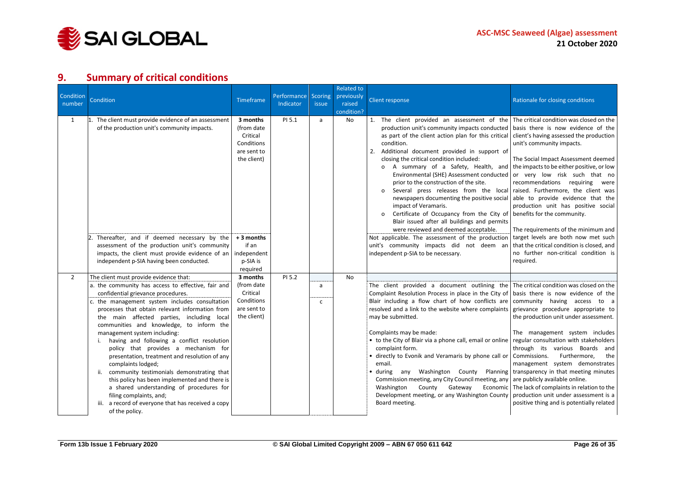

# **9. Summary of critical conditions**

<span id="page-25-0"></span>

| Condition<br>number | <b>Condition</b>                                                                                                                                                                                                                                                                                                                                                                                                                                                                                                                                                                                                                                                                                                                                                                   | Timeframe                                                                      | Performance<br>Indicator | Scoring<br><i>issue</i> | <b>Related to</b><br>previously<br>raised<br>condition? | <b>Client response</b>                                                                                                                                                                                                                                                                                                                                                                                                                                                                                                                                                                                                                                                                                                         | Rationale for closing conditions                                                                                                                                                                                                                                                                                                                                                                                                                                                                                    |
|---------------------|------------------------------------------------------------------------------------------------------------------------------------------------------------------------------------------------------------------------------------------------------------------------------------------------------------------------------------------------------------------------------------------------------------------------------------------------------------------------------------------------------------------------------------------------------------------------------------------------------------------------------------------------------------------------------------------------------------------------------------------------------------------------------------|--------------------------------------------------------------------------------|--------------------------|-------------------------|---------------------------------------------------------|--------------------------------------------------------------------------------------------------------------------------------------------------------------------------------------------------------------------------------------------------------------------------------------------------------------------------------------------------------------------------------------------------------------------------------------------------------------------------------------------------------------------------------------------------------------------------------------------------------------------------------------------------------------------------------------------------------------------------------|---------------------------------------------------------------------------------------------------------------------------------------------------------------------------------------------------------------------------------------------------------------------------------------------------------------------------------------------------------------------------------------------------------------------------------------------------------------------------------------------------------------------|
| 1                   | 1. The client must provide evidence of an assessment<br>of the production unit's community impacts.                                                                                                                                                                                                                                                                                                                                                                                                                                                                                                                                                                                                                                                                                | 3 months<br>(from date<br>Critical<br>Conditions<br>are sent to<br>the client) | PI 5.1                   | a                       | No                                                      | 1. The client provided an assessment of the The critical condition was closed on the<br>production unit's community impacts conducted   basis there is now evidence of the<br>as part of the client action plan for this critical<br>condition.<br>2. Additional document provided in support of<br>closing the critical condition included:<br>o A summary of a Safety, Health, and<br>Environmental (SHE) Assessment conducted<br>prior to the construction of the site.<br>Several press releases from the local<br>newspapers documenting the positive social<br>impact of Veramaris.<br>Certificate of Occupancy from the City of<br>Blair issued after all buildings and permits<br>were reviewed and deemed acceptable. | client's having assessed the production<br>unit's community impacts.<br>The Social Impact Assessment deemed<br>the impacts to be either positive, or low<br>or very low risk such that no<br>recommendations requiring<br>were<br>raised. Furthermore, the client was<br>able to provide evidence that the<br>production unit has positive social<br>benefits for the community.<br>The requirements of the minimum and                                                                                             |
|                     | Thereafter, and if deemed necessary by the<br>assessment of the production unit's community<br>impacts, the client must provide evidence of an<br>independent p-SIA having been conducted.                                                                                                                                                                                                                                                                                                                                                                                                                                                                                                                                                                                         | + 3 months<br>if an<br>independent<br>p-SIA is<br>required                     |                          |                         |                                                         | Not applicable. The assessment of the production<br>unit's community impacts did not deem an<br>independent p-SIA to be necessary.                                                                                                                                                                                                                                                                                                                                                                                                                                                                                                                                                                                             | target levels are both now met such<br>that the critical condition is closed, and<br>no further non-critical condition is<br>required.                                                                                                                                                                                                                                                                                                                                                                              |
| $\overline{2}$      | The client must provide evidence that:<br>a. the community has access to effective, fair and<br>confidential grievance procedures.<br>c. the management system includes consultation<br>processes that obtain relevant information from<br>the main affected parties, including local<br>communities and knowledge, to inform the<br>management system including:<br>having and following a conflict resolution<br>policy that provides a mechanism for<br>presentation, treatment and resolution of any<br>complaints lodged;<br>community testimonials demonstrating that<br>ii.<br>this policy has been implemented and there is<br>a shared understanding of procedures for<br>filing complaints, and;<br>iii. a record of everyone that has received a copy<br>of the policy. | 3 months<br>(from date<br>Critical<br>Conditions<br>are sent to<br>the client) | PI 5.2                   | a<br>$\mathsf{C}$       | No.                                                     | The client provided a document outlining the The critical condition was closed on the<br>Complaint Resolution Process in place in the City of<br>Blair including a flow chart of how conflicts are<br>resolved and a link to the website where complaints<br>may be submitted.<br>Complaints may be made:<br>• to the City of Blair via a phone call, email or online<br>complaint form.<br>• directly to Evonik and Veramaris by phone call or<br>email.<br>$\bullet$ during<br>any Washington County Planning<br>Commission meeting, any City Council meeting, any are publicly available online.<br>Washington<br>County Gateway<br>Economic<br>Development meeting, or any Washington County<br>Board meeting.             | basis there is now evidence of the<br>community having access to a<br>grievance procedure appropriate to<br>the production unit under assessment.<br>The management system includes<br>regular consultation with stakeholders<br>through its various Boards and<br>Commissions.<br>Furthermore,<br>the<br>management system demonstrates<br>transparency in that meeting minutes<br>The lack of complaints in relation to the<br>production unit under assessment is a<br>positive thing and is potentially related |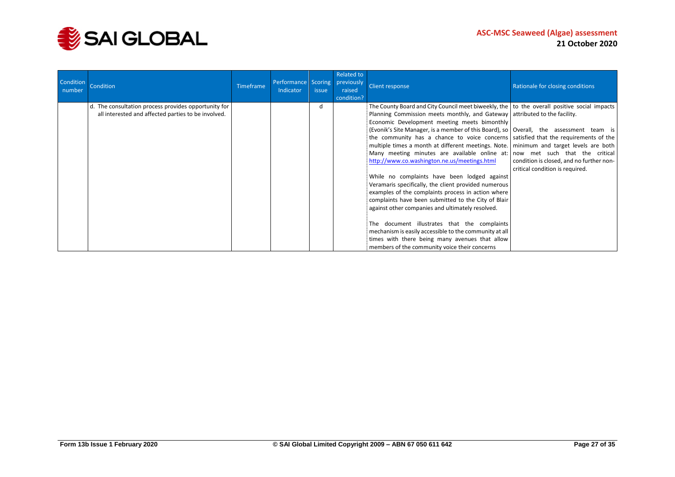

| Condition<br>number | Condition                                                                                                   | <b>Timeframe</b> | Performance Scoring<br>Indicator | issue | Related to<br>previously<br>raised<br>condition? | Client response                                                                                                                                                                                                                                                                                                                                                                                                                                                                                                                                                                                                                                                                                                                                                                                                                                                                                                                                                                                                                                                                                                                         | Rationale for closing conditions                                            |
|---------------------|-------------------------------------------------------------------------------------------------------------|------------------|----------------------------------|-------|--------------------------------------------------|-----------------------------------------------------------------------------------------------------------------------------------------------------------------------------------------------------------------------------------------------------------------------------------------------------------------------------------------------------------------------------------------------------------------------------------------------------------------------------------------------------------------------------------------------------------------------------------------------------------------------------------------------------------------------------------------------------------------------------------------------------------------------------------------------------------------------------------------------------------------------------------------------------------------------------------------------------------------------------------------------------------------------------------------------------------------------------------------------------------------------------------------|-----------------------------------------------------------------------------|
|                     | d. The consultation process provides opportunity for<br>all interested and affected parties to be involved. |                  |                                  | h     |                                                  | The County Board and City Council meet biweekly, the $\vert$ to the overall positive social impacts<br>Planning Commission meets monthly, and Gateway attributed to the facility.<br>Economic Development meeting meets bimonthly<br>(Evonik's Site Manager, is a member of this Board), so   Overall, the assessment team is<br>the community has a chance to voice concerns statisfied that the requirements of the<br>multiple times a month at different meetings. Note.   minimum and target levels are both<br>Many meeting minutes are available online at: now met such that the critical<br>http://www.co.washington.ne.us/meetings.html<br>While no complaints have been lodged against<br>Veramaris specifically, the client provided numerous<br>examples of the complaints process in action where<br>complaints have been submitted to the City of Blair<br>against other companies and ultimately resolved.<br>The document illustrates that the complaints<br>mechanism is easily accessible to the community at all<br>times with there being many avenues that allow<br>members of the community voice their concerns | condition is closed, and no further non-<br>critical condition is required. |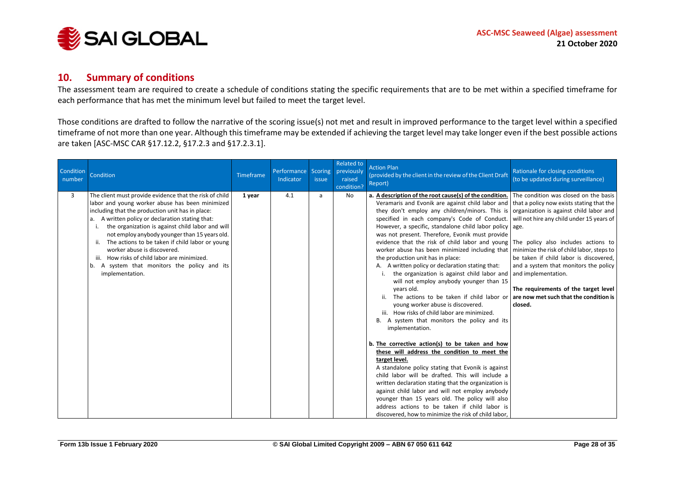

#### **10. Summary of conditions**

The assessment team are required to create a schedule of conditions stating the specific requirements that are to be met within a specified timeframe for each performance that has met the minimum level but failed to meet the target level.

Those conditions are drafted to follow the narrative of the scoring issue(s) not met and result in improved performance to the target level within a specified timeframe of not more than one year. Although this timeframe may be extended if achieving the target level may take longer even if the best possible actions are taken [ASC-MSC CAR §17.12.2, §17.2.3 and §17.2.3.1].

<span id="page-27-0"></span>

| Condition<br>number | Condition                                                                                                                                                                                                                                                                                                                                                                                                                                                                                                                       | <b>Timeframe</b> | Performance Scoring<br>Indicator | issue | <b>Related to</b><br>previously<br>raised<br>condition? | <b>Action Plan</b><br>(provided by the client in the review of the Client Draft<br>Report)                                                                                                                                                                                                                                                                                                                                                                                                                                                                                                                                                                                                                                                                                                                                                                                                                                                                                                                                                                                                                                                                                                                                                                                                                                                                                                                                                                       | Rationale for closing conditions<br>(to be updated during surveillance)                                                                                                                                                                                                                                                                  |
|---------------------|---------------------------------------------------------------------------------------------------------------------------------------------------------------------------------------------------------------------------------------------------------------------------------------------------------------------------------------------------------------------------------------------------------------------------------------------------------------------------------------------------------------------------------|------------------|----------------------------------|-------|---------------------------------------------------------|------------------------------------------------------------------------------------------------------------------------------------------------------------------------------------------------------------------------------------------------------------------------------------------------------------------------------------------------------------------------------------------------------------------------------------------------------------------------------------------------------------------------------------------------------------------------------------------------------------------------------------------------------------------------------------------------------------------------------------------------------------------------------------------------------------------------------------------------------------------------------------------------------------------------------------------------------------------------------------------------------------------------------------------------------------------------------------------------------------------------------------------------------------------------------------------------------------------------------------------------------------------------------------------------------------------------------------------------------------------------------------------------------------------------------------------------------------------|------------------------------------------------------------------------------------------------------------------------------------------------------------------------------------------------------------------------------------------------------------------------------------------------------------------------------------------|
| 3                   | The client must provide evidence that the risk of child<br>labor and young worker abuse has been minimized<br>including that the production unit has in place:<br>A written policy or declaration stating that:<br>the organization is against child labor and will<br>not employ anybody younger than 15 years old.<br>The actions to be taken if child labor or young<br>worker abuse is discovered.<br>How risks of child labor are minimized.<br>iii.<br>A system that monitors the policy and its<br>b.<br>implementation. | 1 year           | 4.1                              | a     | No                                                      | a. A description of the root cause(s) of the condition.<br>Veramaris and Evonik are against child labor and that a policy now exists stating that the<br>they don't employ any children/minors. This is<br>specified in each company's Code of Conduct.<br>However, a specific, standalone child labor policy age.<br>was not present. Therefore, Evonik must provide<br>evidence that the risk of child labor and young The policy also includes actions to<br>worker abuse has been minimized including that<br>the production unit has in place:<br>A. A written policy or declaration stating that:<br>the organization is against child labor and<br>will not employ anybody younger than 15<br>years old.<br>The actions to be taken if child labor or are now met such that the condition is<br>young worker abuse is discovered.<br>iii. How risks of child labor are minimized.<br>B. A system that monitors the policy and its<br>implementation.<br>b. The corrective action(s) to be taken and how<br>these will address the condition to meet the<br>target level.<br>A standalone policy stating that Evonik is against<br>child labor will be drafted. This will include a<br>written declaration stating that the organization is<br>against child labor and will not employ anybody<br>younger than 15 years old. The policy will also<br>address actions to be taken if child labor is<br>discovered, how to minimize the risk of child labor, | The condition was closed on the basis<br>organization is against child labor and<br>will not hire any child under 15 years of<br>minimize the risk of child labor, steps to<br>be taken if child labor is discovered,<br>and a system that monitors the policy<br>and implementation.<br>The requirements of the target level<br>closed. |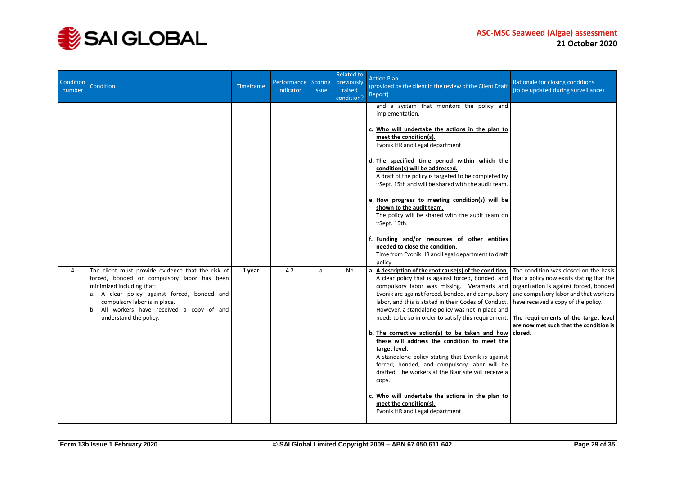

| Condition<br>number | Condition                                                                                                                                                                                                                                                                              | Timeframe | Performance Scoring<br>Indicator | <i>issue</i> | Related to<br>previously<br>raised<br>condition? | <b>Action Plan</b><br>(provided by the client in the review of the Client Draft<br>Report)                                                                                                                                                                                                                                                                                                                                                                                                                                                                                                                                                                                                                                                                                                         | Rationale for closing conditions<br>(to be updated during surveillance)                                                                                                                                                                                                                                   |
|---------------------|----------------------------------------------------------------------------------------------------------------------------------------------------------------------------------------------------------------------------------------------------------------------------------------|-----------|----------------------------------|--------------|--------------------------------------------------|----------------------------------------------------------------------------------------------------------------------------------------------------------------------------------------------------------------------------------------------------------------------------------------------------------------------------------------------------------------------------------------------------------------------------------------------------------------------------------------------------------------------------------------------------------------------------------------------------------------------------------------------------------------------------------------------------------------------------------------------------------------------------------------------------|-----------------------------------------------------------------------------------------------------------------------------------------------------------------------------------------------------------------------------------------------------------------------------------------------------------|
|                     |                                                                                                                                                                                                                                                                                        |           |                                  |              |                                                  | and a system that monitors the policy and<br>implementation.<br>c. Who will undertake the actions in the plan to<br>meet the condition(s).<br>Evonik HR and Legal department<br>d. The specified time period within which the<br>condition(s) will be addressed.<br>A draft of the policy is targeted to be completed by<br>~Sept. 15th and will be shared with the audit team.<br>e. How progress to meeting condition(s) will be<br>shown to the audit team.<br>The policy will be shared with the audit team on<br>~Sept. 15th.<br>f. Funding and/or resources of other entities<br>needed to close the condition.<br>Time from Evonik HR and Legal department to draft<br>policy                                                                                                               |                                                                                                                                                                                                                                                                                                           |
| 4                   | The client must provide evidence that the risk of<br>forced, bonded or compulsory labor has been<br>minimized including that:<br>a. A clear policy against forced, bonded and<br>compulsory labor is in place.<br>b. All workers have received a copy of and<br>understand the policy. | 1 year    | 4.2                              | a            | <b>No</b>                                        | a. A description of the root cause(s) of the condition.<br>A clear policy that is against forced, bonded, and<br>compulsory labor was missing. Veramaris and<br>Evonik are against forced, bonded, and compulsory<br>labor, and this is stated in their Codes of Conduct.<br>However, a standalone policy was not in place and<br>needs to be so in order to satisfy this requirement.<br>b. The corrective action(s) to be taken and how<br>these will address the condition to meet the<br>target level.<br>A standalone policy stating that Evonik is against<br>forced, bonded, and compulsory labor will be<br>drafted. The workers at the Blair site will receive a<br>copy.<br>c. Who will undertake the actions in the plan to<br>meet the condition(s).<br>Evonik HR and Legal department | The condition was closed on the basis<br>that a policy now exists stating that the<br>organization is against forced, bonded<br>and compulsory labor and that workers<br>have received a copy of the policy.<br>The requirements of the target level<br>are now met such that the condition is<br>closed. |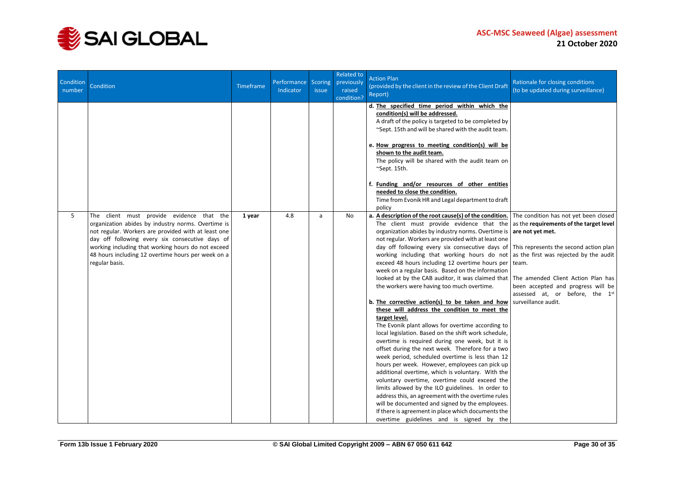

| Condition<br>number | Condition                                                                                                                                                                                                                                                                                                                               | Timeframe | Performance Scoring<br>Indicator | <i>issue</i> | Related to<br>previously<br>raised<br>condition? | <b>Action Plan</b><br>(provided by the client in the review of the Client Draft<br>Report)                                                                                                                                                                                                                                                                                                                                                                                                                                                                                                                                                                                                                                                                                                                                                                                                                                                                                                                                                                                                                                                                                                                                                                                                                                                                                                                                                                                                                                      | Rationale for closing conditions<br>(to be updated during surveillance)                                                                 |
|---------------------|-----------------------------------------------------------------------------------------------------------------------------------------------------------------------------------------------------------------------------------------------------------------------------------------------------------------------------------------|-----------|----------------------------------|--------------|--------------------------------------------------|---------------------------------------------------------------------------------------------------------------------------------------------------------------------------------------------------------------------------------------------------------------------------------------------------------------------------------------------------------------------------------------------------------------------------------------------------------------------------------------------------------------------------------------------------------------------------------------------------------------------------------------------------------------------------------------------------------------------------------------------------------------------------------------------------------------------------------------------------------------------------------------------------------------------------------------------------------------------------------------------------------------------------------------------------------------------------------------------------------------------------------------------------------------------------------------------------------------------------------------------------------------------------------------------------------------------------------------------------------------------------------------------------------------------------------------------------------------------------------------------------------------------------------|-----------------------------------------------------------------------------------------------------------------------------------------|
|                     |                                                                                                                                                                                                                                                                                                                                         |           |                                  |              |                                                  | d. The specified time period within which the<br>condition(s) will be addressed.<br>A draft of the policy is targeted to be completed by<br>~Sept. 15th and will be shared with the audit team.<br>e. How progress to meeting condition(s) will be<br>shown to the audit team.<br>The policy will be shared with the audit team on<br>~Sept. 15th.<br>f. Funding and/or resources of other entities<br>needed to close the condition.<br>Time from Evonik HR and Legal department to draft<br>policy                                                                                                                                                                                                                                                                                                                                                                                                                                                                                                                                                                                                                                                                                                                                                                                                                                                                                                                                                                                                                            |                                                                                                                                         |
| 5                   | The client must provide evidence that the<br>organization abides by industry norms. Overtime is<br>not regular. Workers are provided with at least one<br>day off following every six consecutive days of<br>working including that working hours do not exceed<br>48 hours including 12 overtime hours per week on a<br>regular basis. | 1 year    | 4.8                              | a            | <b>No</b>                                        | a. A description of the root cause(s) of the condition. The condition has not yet been closed<br>The client must provide evidence that the<br>organization abides by industry norms. Overtime is are not yet met.<br>not regular. Workers are provided with at least one<br>day off following every six consecutive days of This represents the second action plan<br>working including that working hours do not as the first was rejected by the audit<br>exceed 48 hours including 12 overtime hours per team.<br>week on a regular basis. Based on the information<br>looked at by the CAB auditor, it was claimed that The amended Client Action Plan has<br>the workers were having too much overtime.<br>b. The corrective action(s) to be taken and how<br>these will address the condition to meet the<br>target level.<br>The Evonik plant allows for overtime according to<br>local legislation. Based on the shift work schedule,<br>overtime is required during one week, but it is<br>offset during the next week. Therefore for a two<br>week period, scheduled overtime is less than 12<br>hours per week. However, employees can pick up<br>additional overtime, which is voluntary. With the<br>voluntary overtime, overtime could exceed the<br>limits allowed by the ILO guidelines. In order to<br>address this, an agreement with the overtime rules<br>will be documented and signed by the employees.<br>If there is agreement in place which documents the<br>overtime guidelines and is signed by the | as the requirements of the target level<br>been accepted and progress will be<br>assessed at, or before, the 1st<br>surveillance audit. |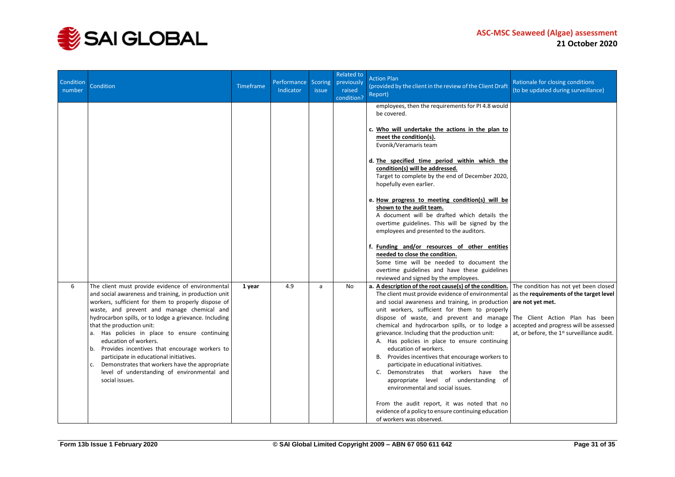

| Condition<br>number | Condition                                                                                                                                                                                                                                                                                                                                                                                                                                                                                                                                                                                                   | <b>Timeframe</b> | Performance<br>Indicator | <b>Scoring</b><br><i>issue</i> | Related to<br>previously<br>raised<br>condition? | <b>Action Plan</b><br>(provided by the client in the review of the Client Draft<br>Report)                                                                                                                                                                                                                                                                                                                                                                                                                                                                                                                                                                                                                                                                                                         | Rationale for closing conditions<br>(to be updated during surveillance)                                                                                                                                                                     |
|---------------------|-------------------------------------------------------------------------------------------------------------------------------------------------------------------------------------------------------------------------------------------------------------------------------------------------------------------------------------------------------------------------------------------------------------------------------------------------------------------------------------------------------------------------------------------------------------------------------------------------------------|------------------|--------------------------|--------------------------------|--------------------------------------------------|----------------------------------------------------------------------------------------------------------------------------------------------------------------------------------------------------------------------------------------------------------------------------------------------------------------------------------------------------------------------------------------------------------------------------------------------------------------------------------------------------------------------------------------------------------------------------------------------------------------------------------------------------------------------------------------------------------------------------------------------------------------------------------------------------|---------------------------------------------------------------------------------------------------------------------------------------------------------------------------------------------------------------------------------------------|
|                     |                                                                                                                                                                                                                                                                                                                                                                                                                                                                                                                                                                                                             |                  |                          |                                |                                                  | employees, then the requirements for PI 4.8 would<br>be covered.<br>c. Who will undertake the actions in the plan to<br>meet the condition(s).<br>Evonik/Veramaris team<br>d. The specified time period within which the<br>condition(s) will be addressed.<br>Target to complete by the end of December 2020,<br>hopefully even earlier.<br>e. How progress to meeting condition(s) will be<br>shown to the audit team.<br>A document will be drafted which details the<br>overtime guidelines. This will be signed by the<br>employees and presented to the auditors.<br>f. Funding and/or resources of other entities<br>needed to close the condition.<br>Some time will be needed to document the<br>overtime guidelines and have these guidelines<br>reviewed and signed by the employees.   |                                                                                                                                                                                                                                             |
| 6                   | The client must provide evidence of environmental<br>and social awareness and training, in production unit<br>workers, sufficient for them to properly dispose of<br>waste, and prevent and manage chemical and<br>hydrocarbon spills, or to lodge a grievance. Including<br>that the production unit:<br>a. Has policies in place to ensure continuing<br>education of workers.<br>Provides incentives that encourage workers to<br>b.<br>participate in educational initiatives.<br>Demonstrates that workers have the appropriate<br>c.<br>level of understanding of environmental and<br>social issues. | 1 year           | 4.9                      | a                              | No                                               | a. A description of the root cause(s) of the condition.<br>The client must provide evidence of environmental<br>and social awareness and training, in production<br>unit workers, sufficient for them to properly<br>dispose of waste, and prevent and manage<br>chemical and hydrocarbon spills, or to lodge a<br>grievance. Including that the production unit:<br>A. Has policies in place to ensure continuing<br>education of workers.<br>B. Provides incentives that encourage workers to<br>participate in educational initiatives.<br>C. Demonstrates that workers have the<br>appropriate level of understanding of<br>environmental and social issues.<br>From the audit report, it was noted that no<br>evidence of a policy to ensure continuing education<br>of workers was observed. | The condition has not yet been closed<br>as the requirements of the target level<br>are not yet met.<br>The Client Action Plan has been<br>accepted and progress will be assessed<br>at, or before, the 1 <sup>st</sup> surveillance audit. |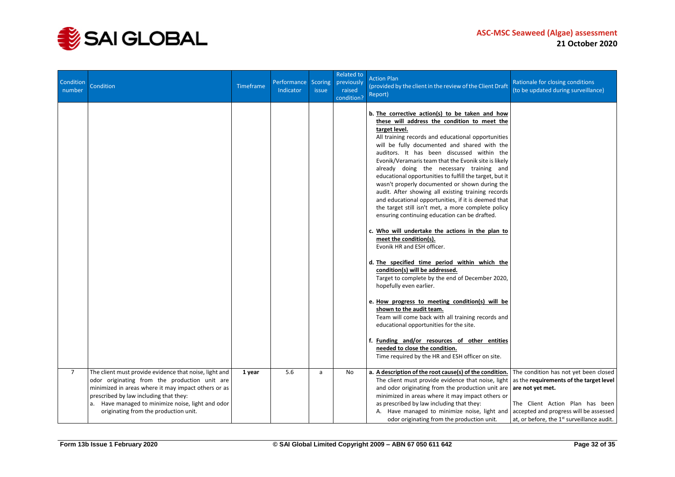

| Condition<br>number | Condition                                                                                                                                                                                                                                                                                              | Timeframe | Performance Scoring<br>Indicator | <i>issue</i> | <b>Related to</b><br>previously<br>raised<br>condition? | <b>Action Plan</b><br>(provided by the client in the review of the Client Draft<br>Report)                                                                                                                                                                                                                                                                                                                                                                                                                                                                                                                                                                                                                                                                                                                                                                                                                                                                                                                                                                                                                                                                                                                                                                                                                    | Rationale for closing conditions<br>(to be updated during surveillance)                                                                                                                                                                     |
|---------------------|--------------------------------------------------------------------------------------------------------------------------------------------------------------------------------------------------------------------------------------------------------------------------------------------------------|-----------|----------------------------------|--------------|---------------------------------------------------------|---------------------------------------------------------------------------------------------------------------------------------------------------------------------------------------------------------------------------------------------------------------------------------------------------------------------------------------------------------------------------------------------------------------------------------------------------------------------------------------------------------------------------------------------------------------------------------------------------------------------------------------------------------------------------------------------------------------------------------------------------------------------------------------------------------------------------------------------------------------------------------------------------------------------------------------------------------------------------------------------------------------------------------------------------------------------------------------------------------------------------------------------------------------------------------------------------------------------------------------------------------------------------------------------------------------|---------------------------------------------------------------------------------------------------------------------------------------------------------------------------------------------------------------------------------------------|
|                     |                                                                                                                                                                                                                                                                                                        |           |                                  |              |                                                         | b. The corrective action(s) to be taken and how<br>these will address the condition to meet the<br>target level.<br>All training records and educational opportunities<br>will be fully documented and shared with the<br>auditors. It has been discussed within the<br>Evonik/Veramaris team that the Evonik site is likely<br>already doing the necessary training and<br>educational opportunities to fulfill the target, but it<br>wasn't properly documented or shown during the<br>audit. After showing all existing training records<br>and educational opportunities, if it is deemed that<br>the target still isn't met, a more complete policy<br>ensuring continuing education can be drafted.<br>c. Who will undertake the actions in the plan to<br>meet the condition(s).<br>Evonik HR and ESH officer.<br>d. The specified time period within which the<br>condition(s) will be addressed.<br>Target to complete by the end of December 2020,<br>hopefully even earlier.<br>e. How progress to meeting condition(s) will be<br>shown to the audit team.<br>Team will come back with all training records and<br>educational opportunities for the site.<br>f. Funding and/or resources of other entities<br>needed to close the condition.<br>Time required by the HR and ESH officer on site. |                                                                                                                                                                                                                                             |
| $\overline{7}$      | The client must provide evidence that noise, light and<br>odor originating from the production unit are<br>minimized in areas where it may impact others or as<br>prescribed by law including that they:<br>a. Have managed to minimize noise, light and odor<br>originating from the production unit. | 1 year    | 5.6                              | a            | No                                                      | a. A description of the root cause(s) of the condition.<br>The client must provide evidence that noise, light<br>and odor originating from the production unit are<br>minimized in areas where it may impact others or<br>as prescribed by law including that they:<br>A. Have managed to minimize noise, light and<br>odor originating from the production unit.                                                                                                                                                                                                                                                                                                                                                                                                                                                                                                                                                                                                                                                                                                                                                                                                                                                                                                                                             | The condition has not yet been closed<br>as the requirements of the target level<br>are not yet met.<br>The Client Action Plan has been<br>accepted and progress will be assessed<br>at, or before, the 1 <sup>st</sup> surveillance audit. |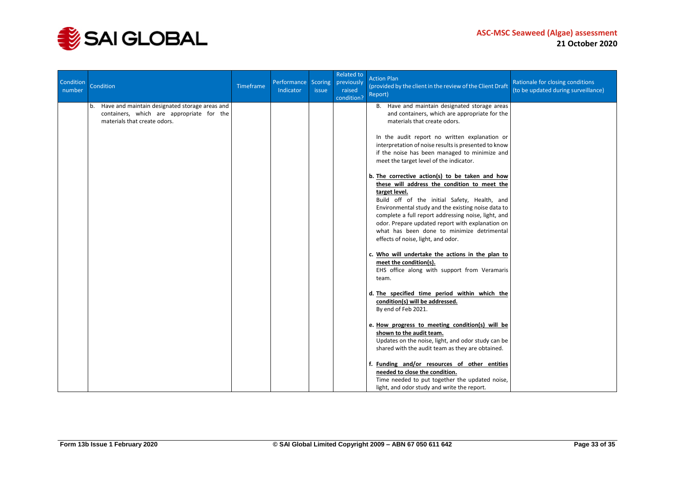

| Condition<br>number | Condition                                                                                                                         | Timeframe | Performance Scoring<br>Indicator | <i>issue</i> | Related to<br>previously<br>raised<br>condition? | <b>Action Plan</b><br>(provided by the client in the review of the Client Draft<br>Report)                                                                                                                                                                                                                                                                                                                            | Rationale for closing conditions<br>(to be updated during surveillance) |
|---------------------|-----------------------------------------------------------------------------------------------------------------------------------|-----------|----------------------------------|--------------|--------------------------------------------------|-----------------------------------------------------------------------------------------------------------------------------------------------------------------------------------------------------------------------------------------------------------------------------------------------------------------------------------------------------------------------------------------------------------------------|-------------------------------------------------------------------------|
|                     | Have and maintain designated storage areas and<br>b.<br>containers, which are appropriate for the<br>materials that create odors. |           |                                  |              |                                                  | B. Have and maintain designated storage areas<br>and containers, which are appropriate for the<br>materials that create odors.                                                                                                                                                                                                                                                                                        |                                                                         |
|                     |                                                                                                                                   |           |                                  |              |                                                  | In the audit report no written explanation or<br>interpretation of noise results is presented to know<br>if the noise has been managed to minimize and<br>meet the target level of the indicator.                                                                                                                                                                                                                     |                                                                         |
|                     |                                                                                                                                   |           |                                  |              |                                                  | b. The corrective action(s) to be taken and how<br>these will address the condition to meet the<br>target level.<br>Build off of the initial Safety, Health, and<br>Environmental study and the existing noise data to<br>complete a full report addressing noise, light, and<br>odor. Prepare updated report with explanation on<br>what has been done to minimize detrimental<br>effects of noise, light, and odor. |                                                                         |
|                     |                                                                                                                                   |           |                                  |              |                                                  | c. Who will undertake the actions in the plan to<br>meet the condition(s).<br>EHS office along with support from Veramaris<br>team.                                                                                                                                                                                                                                                                                   |                                                                         |
|                     |                                                                                                                                   |           |                                  |              |                                                  | d. The specified time period within which the<br>condition(s) will be addressed.<br>By end of Feb 2021.                                                                                                                                                                                                                                                                                                               |                                                                         |
|                     |                                                                                                                                   |           |                                  |              |                                                  | e. How progress to meeting condition(s) will be<br>shown to the audit team.<br>Updates on the noise, light, and odor study can be<br>shared with the audit team as they are obtained.                                                                                                                                                                                                                                 |                                                                         |
|                     |                                                                                                                                   |           |                                  |              |                                                  | f. Funding and/or resources of other entities<br>needed to close the condition.<br>Time needed to put together the updated noise,<br>light, and odor study and write the report.                                                                                                                                                                                                                                      |                                                                         |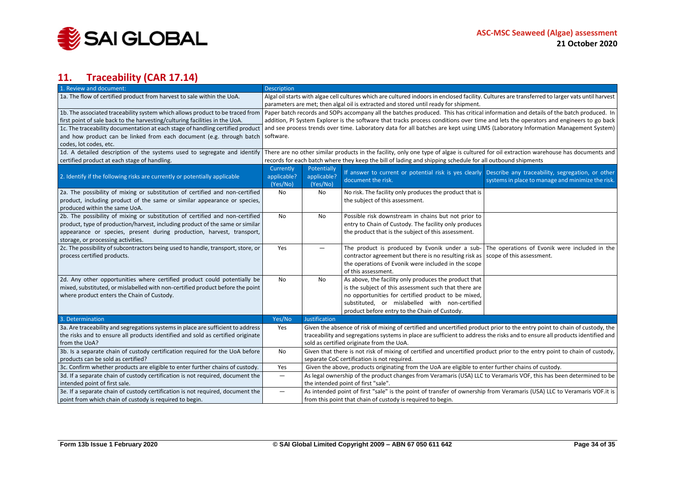

# **11. Traceability (CAR 17.14)**

<span id="page-33-0"></span>

| 1. Review and document:                                                          | <b>Description</b>                                                                                                                                                                                                   |                                                                                                                              |                                                                                                                              |                                                   |  |  |
|----------------------------------------------------------------------------------|----------------------------------------------------------------------------------------------------------------------------------------------------------------------------------------------------------------------|------------------------------------------------------------------------------------------------------------------------------|------------------------------------------------------------------------------------------------------------------------------|---------------------------------------------------|--|--|
| 1a. The flow of certified product from harvest to sale within the UoA.           | Algal oil starts with algae cell cultures which are cultured indoors in enclosed facility. Cultures are transferred to larger vats until harvest                                                                     |                                                                                                                              |                                                                                                                              |                                                   |  |  |
|                                                                                  | parameters are met; then algal oil is extracted and stored until ready for shipment.                                                                                                                                 |                                                                                                                              |                                                                                                                              |                                                   |  |  |
|                                                                                  | 1b. The associated traceability system which allows product to be traced from   Paper batch records and SOPs accompany all the batches produced. This has critical information and details of the batch produced. In |                                                                                                                              |                                                                                                                              |                                                   |  |  |
| first point of sale back to the harvesting/culturing facilities in the UoA.      | addition, PI System Explorer is the software that tracks process conditions over time and lets the operators and engineers to go back                                                                                |                                                                                                                              |                                                                                                                              |                                                   |  |  |
| 1c. The traceability documentation at each stage of handling certified product   | and see process trends over time. Laboratory data for all batches are kept using LIMS (Laboratory Information Management System)                                                                                     |                                                                                                                              |                                                                                                                              |                                                   |  |  |
| and how product can be linked from each document (e.g. through batch             | software.                                                                                                                                                                                                            |                                                                                                                              |                                                                                                                              |                                                   |  |  |
| codes, lot codes, etc.                                                           |                                                                                                                                                                                                                      |                                                                                                                              |                                                                                                                              |                                                   |  |  |
| 1d. A detailed description of the systems used to segregate and identify         | There are no other similar products in the facility, only one type of algae is cultured for oil extraction warehouse has documents and                                                                               |                                                                                                                              |                                                                                                                              |                                                   |  |  |
| certified product at each stage of handling.                                     | records for each batch where they keep the bill of lading and shipping schedule for all outbound shipments                                                                                                           |                                                                                                                              |                                                                                                                              |                                                   |  |  |
|                                                                                  | Currently                                                                                                                                                                                                            | Potentially                                                                                                                  |                                                                                                                              |                                                   |  |  |
| 2. Identify if the following risks are currently or potentially applicable       | applicable?                                                                                                                                                                                                          | applicable?                                                                                                                  | If answer to current or potential risk is yes clearly Describe any traceability, segregation, or other<br>document the risk. | systems in place to manage and minimize the risk. |  |  |
|                                                                                  | (Yes/No)                                                                                                                                                                                                             | (Yes/No)                                                                                                                     |                                                                                                                              |                                                   |  |  |
| 2a. The possibility of mixing or substitution of certified and non-certified     | No                                                                                                                                                                                                                   | No                                                                                                                           | No risk. The facility only produces the product that is                                                                      |                                                   |  |  |
| product, including product of the same or similar appearance or species,         |                                                                                                                                                                                                                      |                                                                                                                              | the subject of this assessment.                                                                                              |                                                   |  |  |
| produced within the same UoA.                                                    |                                                                                                                                                                                                                      |                                                                                                                              |                                                                                                                              |                                                   |  |  |
| 2b. The possibility of mixing or substitution of certified and non-certified     | No                                                                                                                                                                                                                   | No                                                                                                                           | Possible risk downstream in chains but not prior to                                                                          |                                                   |  |  |
| product, type of production/harvest, including product of the same or similar    |                                                                                                                                                                                                                      |                                                                                                                              | entry to Chain of Custody. The facility only produces                                                                        |                                                   |  |  |
| appearance or species, present during production, harvest, transport,            |                                                                                                                                                                                                                      |                                                                                                                              | the product that is the subject of this assessment.                                                                          |                                                   |  |  |
| storage, or processing activities.                                               |                                                                                                                                                                                                                      |                                                                                                                              |                                                                                                                              |                                                   |  |  |
| 2c. The possibility of subcontractors being used to handle, transport, store, or | Yes                                                                                                                                                                                                                  | $\overline{\phantom{0}}$                                                                                                     | The product is produced by Evonik under a sub-                                                                               | The operations of Evonik were included in the     |  |  |
| process certified products.                                                      |                                                                                                                                                                                                                      |                                                                                                                              | contractor agreement but there is no resulting risk as scope of this assessment.                                             |                                                   |  |  |
|                                                                                  |                                                                                                                                                                                                                      |                                                                                                                              | the operations of Evonik were included in the scope                                                                          |                                                   |  |  |
|                                                                                  |                                                                                                                                                                                                                      |                                                                                                                              | of this assessment.                                                                                                          |                                                   |  |  |
| 2d. Any other opportunities where certified product could potentially be         | No                                                                                                                                                                                                                   | <b>No</b>                                                                                                                    | As above, the facility only produces the product that                                                                        |                                                   |  |  |
| mixed, substituted, or mislabelled with non-certified product before the point   |                                                                                                                                                                                                                      |                                                                                                                              | is the subject of this assessment such that there are                                                                        |                                                   |  |  |
| where product enters the Chain of Custody.                                       |                                                                                                                                                                                                                      |                                                                                                                              | no opportunities for certified product to be mixed,                                                                          |                                                   |  |  |
|                                                                                  |                                                                                                                                                                                                                      |                                                                                                                              | substituted, or mislabelled with non-certified                                                                               |                                                   |  |  |
|                                                                                  |                                                                                                                                                                                                                      |                                                                                                                              | product before entry to the Chain of Custody.                                                                                |                                                   |  |  |
| 3. Determination                                                                 | Yes/No                                                                                                                                                                                                               | <b>Justification</b>                                                                                                         |                                                                                                                              |                                                   |  |  |
| 3a. Are traceability and segregations systems in place are sufficient to address | Yes                                                                                                                                                                                                                  | Given the absence of risk of mixing of certified and uncertified product prior to the entry point to chain of custody, the   |                                                                                                                              |                                                   |  |  |
| the risks and to ensure all products identified and sold as certified originate  |                                                                                                                                                                                                                      | traceability and segregations systems in place are sufficient to address the risks and to ensure all products identified and |                                                                                                                              |                                                   |  |  |
| from the UoA?                                                                    |                                                                                                                                                                                                                      | sold as certified originate from the UoA.                                                                                    |                                                                                                                              |                                                   |  |  |
| 3b. Is a separate chain of custody certification required for the UoA before     | No<br>Given that there is not risk of mixing of certified and uncertified product prior to the entry point to chain of custody,                                                                                      |                                                                                                                              |                                                                                                                              |                                                   |  |  |
| products can be sold as certified?                                               | separate CoC certification is not required.                                                                                                                                                                          |                                                                                                                              |                                                                                                                              |                                                   |  |  |
| 3c. Confirm whether products are eligible to enter further chains of custody.    | Yes<br>Given the above, products originating from the UoA are eligible to enter further chains of custody.                                                                                                           |                                                                                                                              |                                                                                                                              |                                                   |  |  |
| 3d. If a separate chain of custody certification is not required, document the   | —                                                                                                                                                                                                                    |                                                                                                                              | As legal ownership of the product changes from Veramaris (USA) LLC to Veramaris VOF, this has been determined to be          |                                                   |  |  |
| intended point of first sale.                                                    |                                                                                                                                                                                                                      |                                                                                                                              | the intended point of first "sale".                                                                                          |                                                   |  |  |
| 3e. If a separate chain of custody certification is not required, document the   | —                                                                                                                                                                                                                    |                                                                                                                              | As intended point of first "sale" is the point of transfer of ownership from Veramaris (USA) LLC to Veramaris VOF.it is      |                                                   |  |  |
| point from which chain of custody is required to begin.                          |                                                                                                                                                                                                                      |                                                                                                                              | from this point that chain of custody is required to begin.                                                                  |                                                   |  |  |